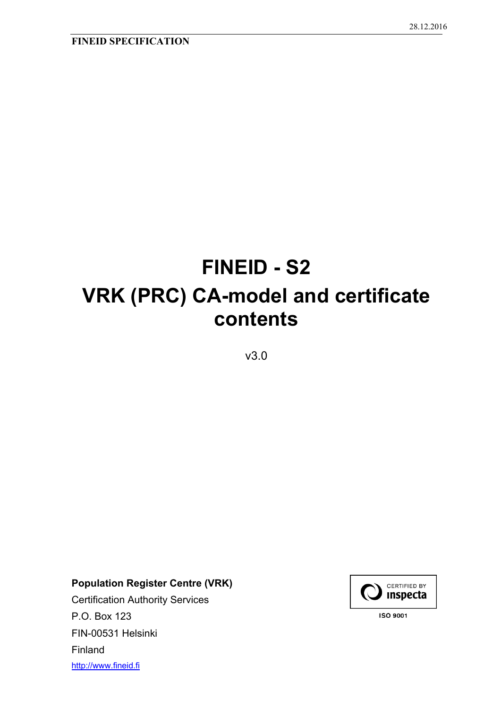# **FINEID - S2 VRK (PRC) CA-model and certificate contents**

v3.0

**Population Register Centre (VRK)** 

Certification Authority Services P.O. Box 123 FIN-00531 Helsinki Finland http://www.fineid.fi

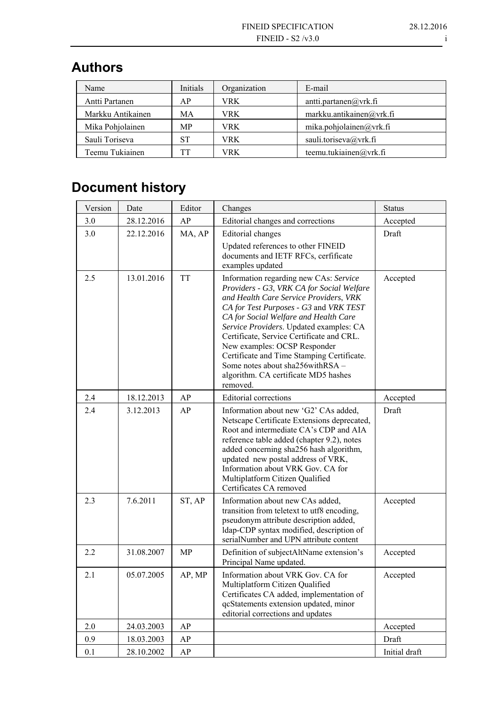# **Authors**

| Name              | Initials | Organization | E-mail                   |
|-------------------|----------|--------------|--------------------------|
| Antti Partanen    | АP       | VRK          | antti.partanen@vrk.fi    |
| Markku Antikainen | МA       | VRK.         | markku.antikainen@vrk.fi |
| Mika Pohjolainen  | MP.      | VRK          | mika.pohjolainen@vrk.fi  |
| Sauli Toriseva    | ST       | VRK          | sauli.toriseva@vrk.fi    |
| Teemu Tukiainen   | TТ       | VRK          | teemu.tukiainen@vrk.fi   |

# **Document history**

| Version | Date       | Editor    | Changes                                                                                                                                                                                                                                                                                                                                                                                                                                                                        | <b>Status</b> |
|---------|------------|-----------|--------------------------------------------------------------------------------------------------------------------------------------------------------------------------------------------------------------------------------------------------------------------------------------------------------------------------------------------------------------------------------------------------------------------------------------------------------------------------------|---------------|
| 3.0     | 28.12.2016 | AP        | Editorial changes and corrections                                                                                                                                                                                                                                                                                                                                                                                                                                              | Accepted      |
| 3.0     | 22.12.2016 | MA, AP    | Editorial changes                                                                                                                                                                                                                                                                                                                                                                                                                                                              | Draft         |
|         |            |           | Updated references to other FINEID<br>documents and IETF RFCs, cerfificate<br>examples updated                                                                                                                                                                                                                                                                                                                                                                                 |               |
| 2.5     | 13.01.2016 | <b>TT</b> | Information regarding new CAs: Service<br>Providers - G3, VRK CA for Social Welfare<br>and Health Care Service Providers, VRK<br>CA for Test Purposes - G3 and VRK TEST<br>CA for Social Welfare and Health Care<br>Service Providers. Updated examples: CA<br>Certificate, Service Certificate and CRL.<br>New examples: OCSP Responder<br>Certificate and Time Stamping Certificate.<br>Some notes about sha256withRSA -<br>algorithm. CA certificate MD5 hashes<br>removed. | Accepted      |
| 2.4     | 18.12.2013 | AP        | <b>Editorial corrections</b>                                                                                                                                                                                                                                                                                                                                                                                                                                                   | Accepted      |
| 2.4     | 3.12.2013  | AP        | Information about new 'G2' CAs added,<br>Netscape Certificate Extensions deprecated,<br>Root and intermediate CA's CDP and AIA<br>reference table added (chapter 9.2), notes<br>added concerning sha256 hash algorithm,<br>updated new postal address of VRK,<br>Information about VRK Gov. CA for<br>Multiplatform Citizen Qualified<br>Certificates CA removed                                                                                                               | Draft         |
| 2.3     | 7.6.2011   | ST, AP    | Information about new CAs added,<br>transition from teletext to utf8 encoding,<br>pseudonym attribute description added,<br>ldap-CDP syntax modified, description of<br>serialNumber and UPN attribute content                                                                                                                                                                                                                                                                 | Accepted      |
| 2.2     | 31.08.2007 | <b>MP</b> | Definition of subjectAltName extension's<br>Principal Name updated.                                                                                                                                                                                                                                                                                                                                                                                                            | Accepted      |
| 2.1     | 05.07.2005 | AP, MP    | Information about VRK Gov. CA for<br>Multiplatform Citizen Qualified<br>Certificates CA added, implementation of<br>qcStatements extension updated, minor<br>editorial corrections and updates                                                                                                                                                                                                                                                                                 | Accepted      |
| 2.0     | 24.03.2003 | AP        |                                                                                                                                                                                                                                                                                                                                                                                                                                                                                | Accepted      |
| 0.9     | 18.03.2003 | AP        |                                                                                                                                                                                                                                                                                                                                                                                                                                                                                | Draft         |
| 0.1     | 28.10.2002 | AP        |                                                                                                                                                                                                                                                                                                                                                                                                                                                                                | Initial draft |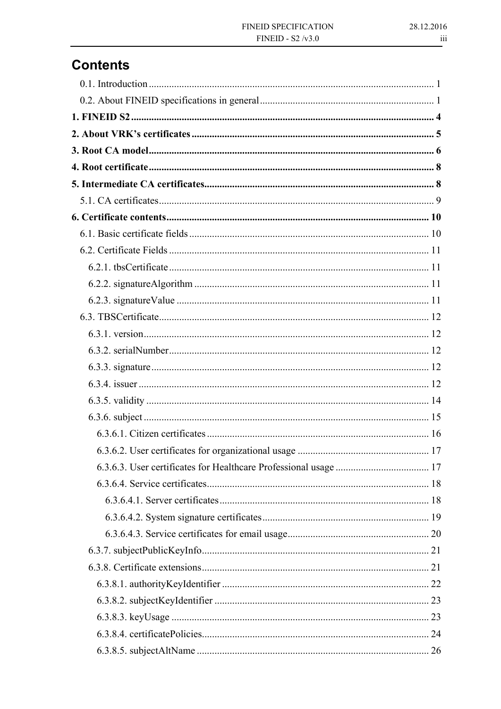# **Contents**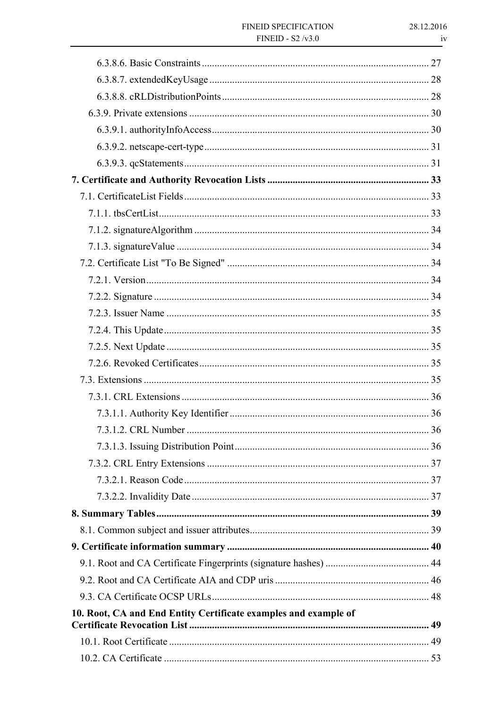| 10. Root, CA and End Entity Certificate examples and example of |  |
|-----------------------------------------------------------------|--|
|                                                                 |  |
|                                                                 |  |
|                                                                 |  |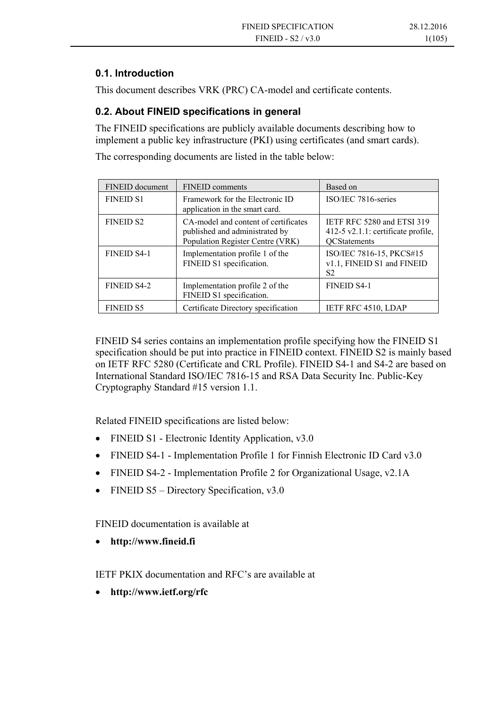#### **0.1. Introduction**

This document describes VRK (PRC) CA-model and certificate contents.

#### **0.2. About FINEID specifications in general**

The FINEID specifications are publicly available documents describing how to implement a public key infrastructure (PKI) using certificates (and smart cards).

The corresponding documents are listed in the table below:

| FINEID document    | <b>FINEID</b> comments                                                                                     | Based on                                                                                |
|--------------------|------------------------------------------------------------------------------------------------------------|-----------------------------------------------------------------------------------------|
| <b>FINEID S1</b>   | Framework for the Electronic ID<br>application in the smart card.                                          | ISO/IEC 7816-series                                                                     |
| <b>FINEID S2</b>   | CA-model and content of certificates<br>published and administrated by<br>Population Register Centre (VRK) | IETF RFC 5280 and ETSI 319<br>412-5 v2.1.1: certificate profile,<br><b>QCStatements</b> |
| <b>FINEID S4-1</b> | Implementation profile 1 of the<br>FINEID S1 specification.                                                | ISO/IEC 7816-15, PKCS#15<br>v1.1, FINEID S1 and FINEID<br>S2                            |
| <b>FINEID S4-2</b> | Implementation profile 2 of the<br>FINEID S1 specification.                                                | <b>FINEID S4-1</b>                                                                      |
| <b>FINEID S5</b>   | Certificate Directory specification                                                                        | <b>IETF RFC 4510, LDAP</b>                                                              |

FINEID S4 series contains an implementation profile specifying how the FINEID S1 specification should be put into practice in FINEID context. FINEID S2 is mainly based on IETF RFC 5280 (Certificate and CRL Profile). FINEID S4-1 and S4-2 are based on International Standard ISO/IEC 7816-15 and RSA Data Security Inc. Public-Key Cryptography Standard #15 version 1.1.

Related FINEID specifications are listed below:

- FINEID S1 Electronic Identity Application, v3.0
- FINEID S4-1 Implementation Profile 1 for Finnish Electronic ID Card v3.0
- FINEID S4-2 Implementation Profile 2 for Organizational Usage, v2.1A
- FINEID S5 Directory Specification, v3.0

FINEID documentation is available at

**http://www.fineid.fi**

IETF PKIX documentation and RFC's are available at

**http://www.ietf.org/rfc**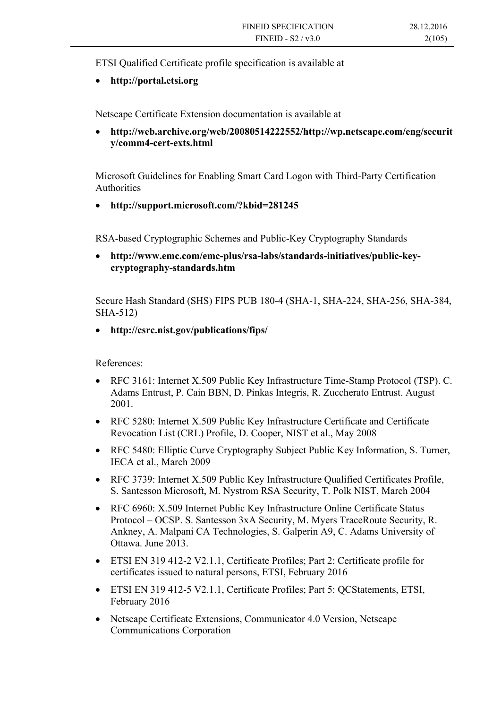ETSI Qualified Certificate profile specification is available at

**http://portal.etsi.org**

Netscape Certificate Extension documentation is available at

 **http://web.archive.org/web/20080514222552/http://wp.netscape.com/eng/securit y/comm4-cert-exts.html**

Microsoft Guidelines for Enabling Smart Card Logon with Third-Party Certification Authorities

**http://support.microsoft.com/?kbid=281245**

RSA-based Cryptographic Schemes and Public-Key Cryptography Standards

 **http://www.emc.com/emc-plus/rsa-labs/standards-initiatives/public-keycryptography-standards.htm**

Secure Hash Standard (SHS) FIPS PUB 180-4 (SHA-1, SHA-224, SHA-256, SHA-384, SHA-512)

**http://csrc.nist.gov/publications/fips/**

References:

- RFC 3161: Internet X.509 Public Key Infrastructure Time-Stamp Protocol (TSP). C. Adams Entrust, P. Cain BBN, D. Pinkas Integris, R. Zuccherato Entrust. August 2001.
- RFC 5280: Internet X.509 Public Key Infrastructure Certificate and Certificate Revocation List (CRL) Profile, D. Cooper, NIST et al., May 2008
- RFC 5480: Elliptic Curve Cryptography Subject Public Key Information, S. Turner, IECA et al., March 2009
- RFC 3739: Internet X.509 Public Key Infrastructure Qualified Certificates Profile, S. Santesson Microsoft, M. Nystrom RSA Security, T. Polk NIST, March 2004
- RFC 6960: X.509 Internet Public Key Infrastructure Online Certificate Status Protocol – OCSP. S. Santesson 3xA Security, M. Myers TraceRoute Security, R. Ankney, A. Malpani CA Technologies, S. Galperin A9, C. Adams University of Ottawa. June 2013.
- ETSI EN 319 412-2 V2.1.1, Certificate Profiles; Part 2: Certificate profile for certificates issued to natural persons, ETSI, February 2016
- ETSI EN 319 412-5 V2.1.1, Certificate Profiles; Part 5: QCStatements, ETSI, February 2016
- Netscape Certificate Extensions, Communicator 4.0 Version, Netscape Communications Corporation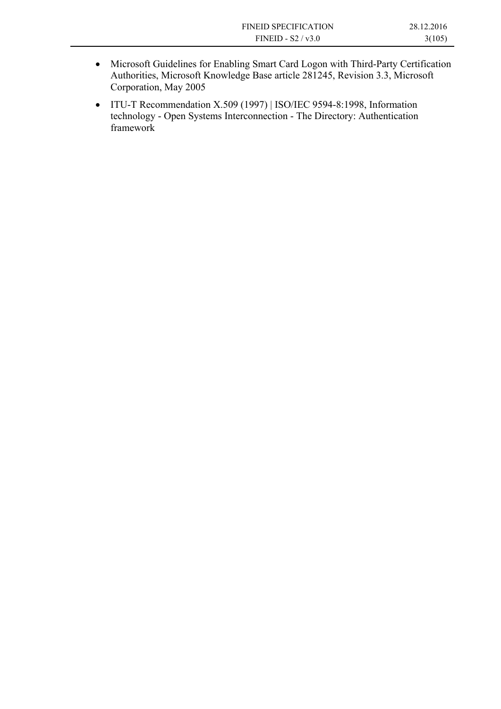- Microsoft Guidelines for Enabling Smart Card Logon with Third-Party Certification Authorities, Microsoft Knowledge Base article 281245, Revision 3.3, Microsoft Corporation, May 2005
- ITU-T Recommendation X.509 (1997) | ISO/IEC 9594-8:1998, Information technology - Open Systems Interconnection - The Directory: Authentication framework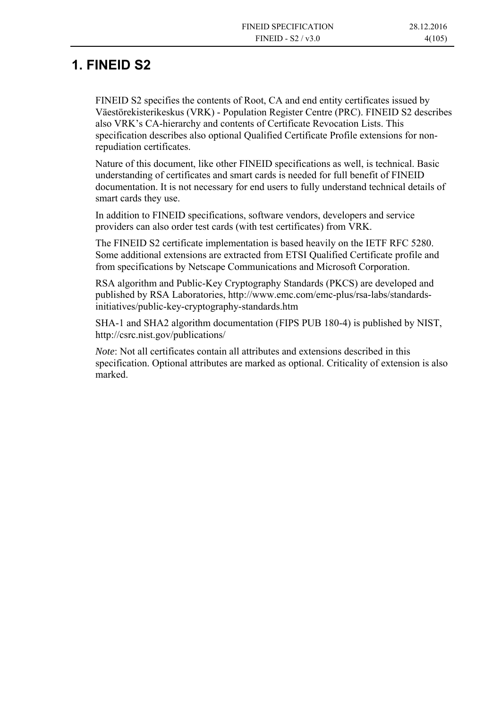## **1. FINEID S2**

FINEID S2 specifies the contents of Root, CA and end entity certificates issued by Väestörekisterikeskus (VRK) - Population Register Centre (PRC). FINEID S2 describes also VRK's CA-hierarchy and contents of Certificate Revocation Lists. This specification describes also optional Qualified Certificate Profile extensions for nonrepudiation certificates.

Nature of this document, like other FINEID specifications as well, is technical. Basic understanding of certificates and smart cards is needed for full benefit of FINEID documentation. It is not necessary for end users to fully understand technical details of smart cards they use.

In addition to FINEID specifications, software vendors, developers and service providers can also order test cards (with test certificates) from VRK.

The FINEID S2 certificate implementation is based heavily on the IETF RFC 5280. Some additional extensions are extracted from ETSI Qualified Certificate profile and from specifications by Netscape Communications and Microsoft Corporation.

RSA algorithm and Public-Key Cryptography Standards (PKCS) are developed and published by RSA Laboratories, http://www.emc.com/emc-plus/rsa-labs/standardsinitiatives/public-key-cryptography-standards.htm

SHA-1 and SHA2 algorithm documentation (FIPS PUB 180-4) is published by NIST, http://csrc.nist.gov/publications/

*Note*: Not all certificates contain all attributes and extensions described in this specification. Optional attributes are marked as optional. Criticality of extension is also marked.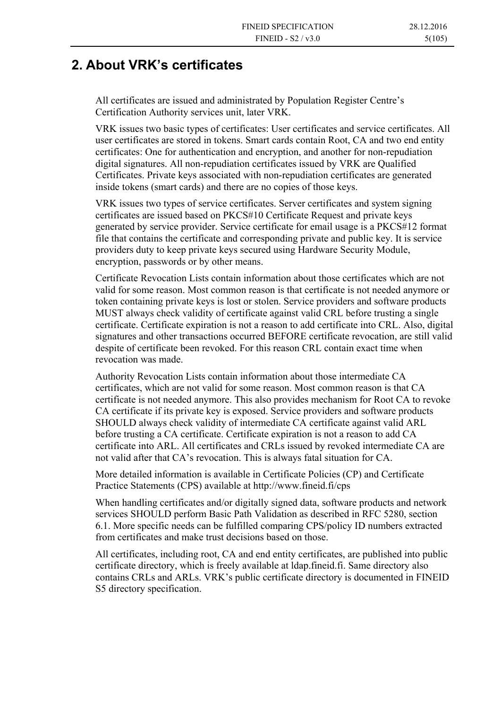## **2. About VRK's certificates**

All certificates are issued and administrated by Population Register Centre's Certification Authority services unit, later VRK.

VRK issues two basic types of certificates: User certificates and service certificates. All user certificates are stored in tokens. Smart cards contain Root, CA and two end entity certificates: One for authentication and encryption, and another for non-repudiation digital signatures. All non-repudiation certificates issued by VRK are Qualified Certificates. Private keys associated with non-repudiation certificates are generated inside tokens (smart cards) and there are no copies of those keys.

VRK issues two types of service certificates. Server certificates and system signing certificates are issued based on PKCS#10 Certificate Request and private keys generated by service provider. Service certificate for email usage is a PKCS#12 format file that contains the certificate and corresponding private and public key. It is service providers duty to keep private keys secured using Hardware Security Module, encryption, passwords or by other means.

Certificate Revocation Lists contain information about those certificates which are not valid for some reason. Most common reason is that certificate is not needed anymore or token containing private keys is lost or stolen. Service providers and software products MUST always check validity of certificate against valid CRL before trusting a single certificate. Certificate expiration is not a reason to add certificate into CRL. Also, digital signatures and other transactions occurred BEFORE certificate revocation, are still valid despite of certificate been revoked. For this reason CRL contain exact time when revocation was made.

Authority Revocation Lists contain information about those intermediate CA certificates, which are not valid for some reason. Most common reason is that CA certificate is not needed anymore. This also provides mechanism for Root CA to revoke CA certificate if its private key is exposed. Service providers and software products SHOULD always check validity of intermediate CA certificate against valid ARL before trusting a CA certificate. Certificate expiration is not a reason to add CA certificate into ARL. All certificates and CRLs issued by revoked intermediate CA are not valid after that CA's revocation. This is always fatal situation for CA.

More detailed information is available in Certificate Policies (CP) and Certificate Practice Statements (CPS) available at http://www.fineid.fi/cps

When handling certificates and/or digitally signed data, software products and network services SHOULD perform Basic Path Validation as described in RFC 5280, section 6.1. More specific needs can be fulfilled comparing CPS/policy ID numbers extracted from certificates and make trust decisions based on those.

All certificates, including root, CA and end entity certificates, are published into public certificate directory, which is freely available at ldap.fineid.fi. Same directory also contains CRLs and ARLs. VRK's public certificate directory is documented in FINEID S5 directory specification.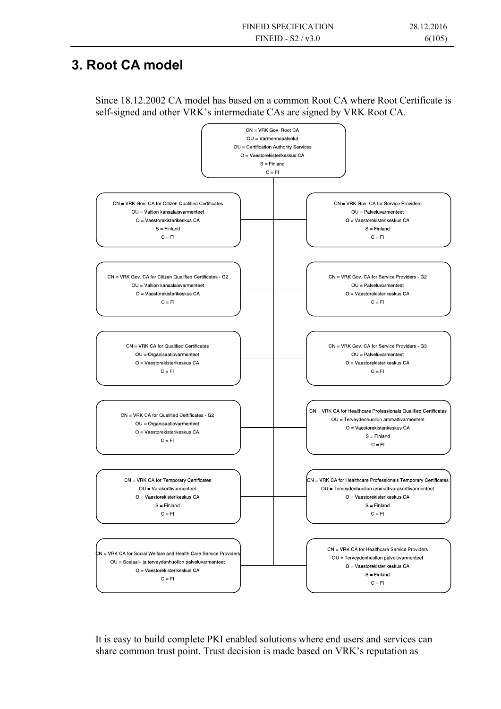## **3. Root CA model**

Since 18.12.2002 CA model has based on a common Root CA where Root Certificate is self-signed and other VRK's intermediate CAs are signed by VRK Root CA.



It is easy to build complete PKI enabled solutions where end users and services can share common trust point. Trust decision is made based on VRK's reputation as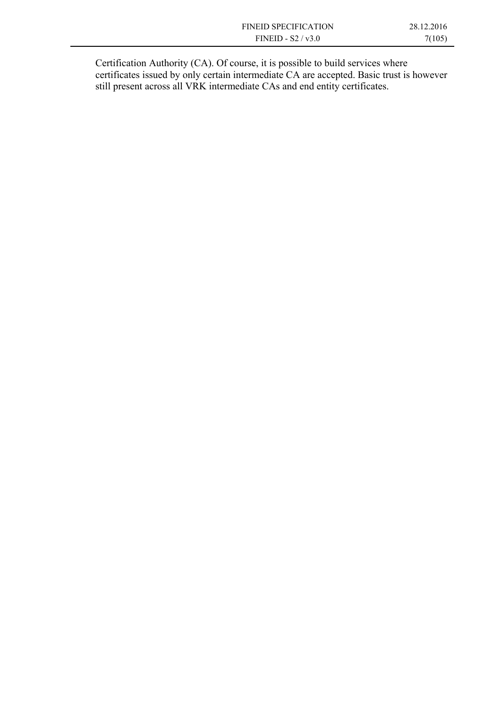| <b>FINEID SPECIFICATION</b> | 28.12.2016 |
|-----------------------------|------------|
| FINEID - $S2/v3.0$          | 7(105)     |
|                             |            |

Certification Authority (CA). Of course, it is possible to build services where certificates issued by only certain intermediate CA are accepted. Basic trust is however still present across all VRK intermediate CAs and end entity certificates.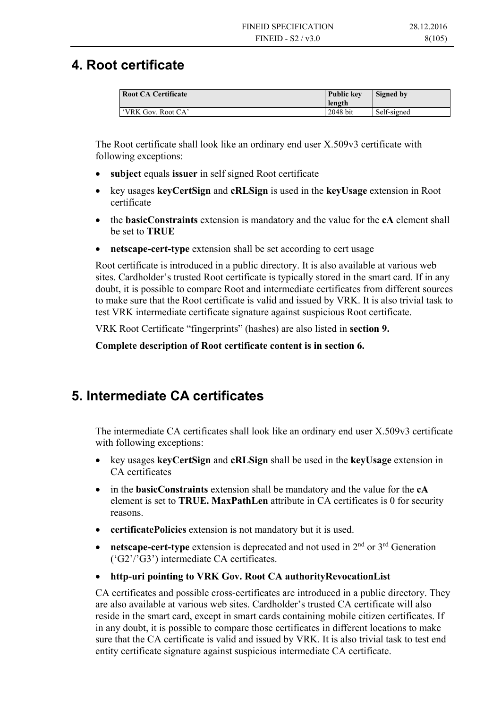### **4. Root certificate**

| <b>Root CA Certificate</b> | <b>Public key</b><br>length | Signed by   |
|----------------------------|-----------------------------|-------------|
| 'VRK Gov. Root CA'         | 2048 bit                    | Self-signed |

The Root certificate shall look like an ordinary end user X.509v3 certificate with following exceptions:

- **subject** equals **issuer** in self signed Root certificate
- key usages **keyCertSign** and **cRLSign** is used in the **keyUsage** extension in Root certificate
- the **basicConstraints** extension is mandatory and the value for the **cA** element shall be set to **TRUE**
- **netscape-cert-type** extension shall be set according to cert usage

Root certificate is introduced in a public directory. It is also available at various web sites. Cardholder's trusted Root certificate is typically stored in the smart card. If in any doubt, it is possible to compare Root and intermediate certificates from different sources to make sure that the Root certificate is valid and issued by VRK. It is also trivial task to test VRK intermediate certificate signature against suspicious Root certificate.

VRK Root Certificate "fingerprints" (hashes) are also listed in **section 9.** 

**Complete description of Root certificate content is in section 6.** 

# **5. Intermediate CA certificates**

The intermediate CA certificates shall look like an ordinary end user X.509v3 certificate with following exceptions:

- key usages **keyCertSign** and **cRLSign** shall be used in the **keyUsage** extension in CA certificates
- in the **basicConstraints** extension shall be mandatory and the value for the **cA**  element is set to **TRUE. MaxPathLen** attribute in CA certificates is 0 for security reasons.
- **certificatePolicies** extension is not mandatory but it is used.
- netscape-cert-type extension is deprecated and not used in 2<sup>nd</sup> or 3<sup>rd</sup> Generation ('G2'/'G3') intermediate CA certificates.
- **http-uri pointing to VRK Gov. Root CA authorityRevocationList**

CA certificates and possible cross-certificates are introduced in a public directory. They are also available at various web sites. Cardholder's trusted CA certificate will also reside in the smart card, except in smart cards containing mobile citizen certificates. If in any doubt, it is possible to compare those certificates in different locations to make sure that the CA certificate is valid and issued by VRK. It is also trivial task to test end entity certificate signature against suspicious intermediate CA certificate.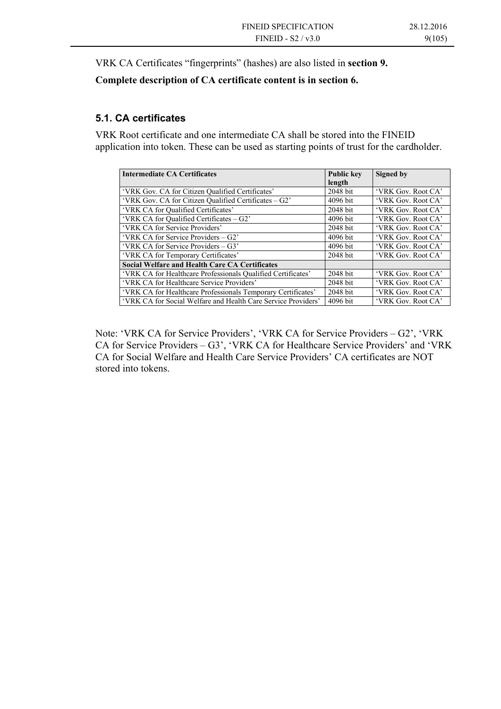VRK CA Certificates "fingerprints" (hashes) are also listed in **section 9.** 

#### **Complete description of CA certificate content is in section 6.**

#### **5.1. CA certificates**

VRK Root certificate and one intermediate CA shall be stored into the FINEID application into token. These can be used as starting points of trust for the cardholder.

| <b>Intermediate CA Certificates</b>                           | <b>Public kev</b> | Signed by          |
|---------------------------------------------------------------|-------------------|--------------------|
|                                                               | length            |                    |
| 'VRK Gov. CA for Citizen Qualified Certificates'              | 2048 bit          | 'VRK Gov. Root CA' |
| 'VRK Gov. CA for Citizen Qualified Certificates – G2'         | 4096 bit          | 'VRK Gov. Root CA' |
| 'VRK CA for Qualified Certificates'                           | 2048 bit          | 'VRK Gov. Root CA' |
| 'VRK CA for Qualified Certificates – G2'                      | 4096 bit          | 'VRK Gov. Root CA' |
| 'VRK CA for Service Providers'                                | 2048 bit          | 'VRK Gov. Root CA' |
| 'VRK CA for Service Providers – G2'                           | 4096 bit          | 'VRK Gov. Root CA' |
| 'VRK CA for Service Providers – G3'                           | 4096 bit          | 'VRK Gov. Root CA' |
| 'VRK CA for Temporary Certificates'                           | 2048 bit          | 'VRK Gov. Root CA' |
| <b>Social Welfare and Health Care CA Certificates</b>         |                   |                    |
| 'VRK CA for Healthcare Professionals Qualified Certificates'  | 2048 bit          | 'VRK Gov. Root CA' |
| 'VRK CA for Healthcare Service Providers'                     | 2048 bit          | 'VRK Gov. Root CA' |
| 'VRK CA for Healthcare Professionals Temporary Certificates'  | 2048 bit          | 'VRK Gov. Root CA' |
| 'VRK CA for Social Welfare and Health Care Service Providers' | 4096 bit          | 'VRK Gov. Root CA' |

Note: 'VRK CA for Service Providers', 'VRK CA for Service Providers – G2', 'VRK CA for Service Providers – G3', 'VRK CA for Healthcare Service Providers' and 'VRK CA for Social Welfare and Health Care Service Providers' CA certificates are NOT stored into tokens.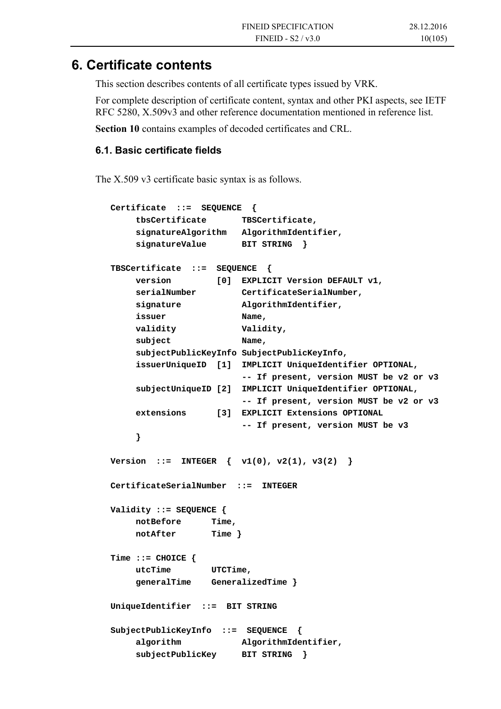### **6. Certificate contents**

This section describes contents of all certificate types issued by VRK.

For complete description of certificate content, syntax and other PKI aspects, see IETF RFC 5280, X.509v3 and other reference documentation mentioned in reference list.

**Section 10** contains examples of decoded certificates and CRL.

#### **6.1. Basic certificate fields**

The X.509 v3 certificate basic syntax is as follows.

```
 Certificate ::= SEQUENCE { 
     tbsCertificate TBSCertificate, 
     signatureAlgorithm AlgorithmIdentifier, 
     signatureValue BIT STRING } 
 TBSCertificate ::= SEQUENCE { 
     version [0] EXPLICIT Version DEFAULT v1, 
     serialNumber CertificateSerialNumber, 
     signature AlgorithmIdentifier, 
     issuer Name, 
    validity validity,
    subject Name,
     subjectPublicKeyInfo SubjectPublicKeyInfo, 
     issuerUniqueID [1] IMPLICIT UniqueIdentifier OPTIONAL, 
                         -- If present, version MUST be v2 or v3 
     subjectUniqueID [2] IMPLICIT UniqueIdentifier OPTIONAL, 
                         -- If present, version MUST be v2 or v3 
     extensions [3] EXPLICIT Extensions OPTIONAL 
                         -- If present, version MUST be v3 
     } 
Version ::= <br> <b>INTER</b> { v1(0), v2(1), v3(2) } CertificateSerialNumber ::= INTEGER 
 Validity ::= SEQUENCE { 
     notBefore Time, 
     notAfter Time } 
 Time ::= CHOICE { 
     utcTime UTCTime, 
     generalTime GeneralizedTime } 
 UniqueIdentifier ::= BIT STRING 
 SubjectPublicKeyInfo ::= SEQUENCE { 
     algorithm AlgorithmIdentifier, 
     subjectPublicKey BIT STRING }
```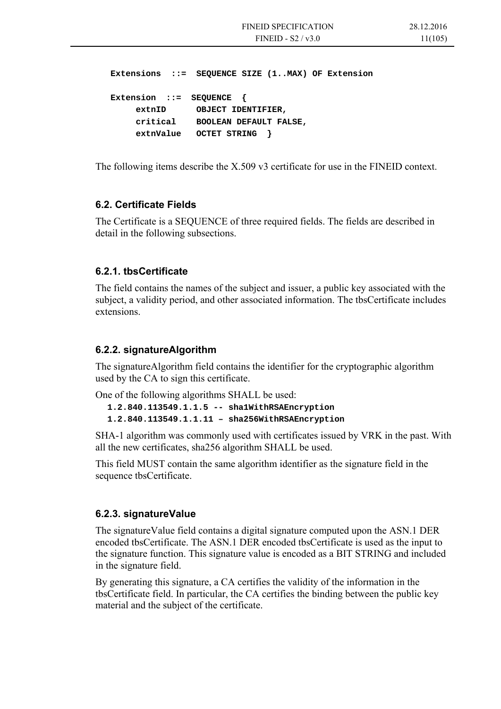**Extensions ::= SEQUENCE SIZE (1..MAX) OF Extension Extension ::= SEQUENCE { extnID OBJECT IDENTIFIER, critical BOOLEAN DEFAULT FALSE, extnValue OCTET STRING }** 

The following items describe the X.509 v3 certificate for use in the FINEID context.

#### **6.2. Certificate Fields**

The Certificate is a SEQUENCE of three required fields. The fields are described in detail in the following subsections.

#### **6.2.1. tbsCertificate**

The field contains the names of the subject and issuer, a public key associated with the subject, a validity period, and other associated information. The tbsCertificate includes extensions.

#### **6.2.2. signatureAlgorithm**

The signatureAlgorithm field contains the identifier for the cryptographic algorithm used by the CA to sign this certificate.

One of the following algorithms SHALL be used:

**1.2.840.113549.1.1.5 -- sha1WithRSAEncryption 1.2.840.113549.1.1.11 – sha256WithRSAEncryption** 

SHA-1 algorithm was commonly used with certificates issued by VRK in the past. With all the new certificates, sha256 algorithm SHALL be used.

This field MUST contain the same algorithm identifier as the signature field in the sequence tbsCertificate.

#### **6.2.3. signatureValue**

The signatureValue field contains a digital signature computed upon the ASN.1 DER encoded tbsCertificate. The ASN.1 DER encoded tbsCertificate is used as the input to the signature function. This signature value is encoded as a BIT STRING and included in the signature field.

By generating this signature, a CA certifies the validity of the information in the tbsCertificate field. In particular, the CA certifies the binding between the public key material and the subject of the certificate.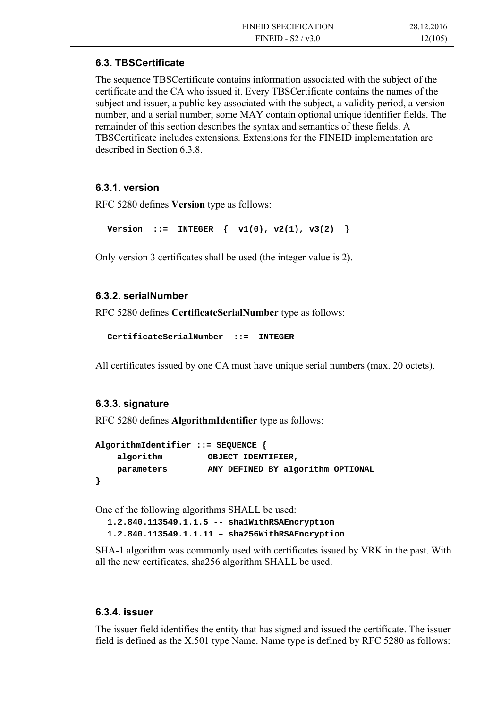#### **6.3. TBSCertificate**

The sequence TBSCertificate contains information associated with the subject of the certificate and the CA who issued it. Every TBSCertificate contains the names of the subject and issuer, a public key associated with the subject, a validity period, a version number, and a serial number; some MAY contain optional unique identifier fields. The remainder of this section describes the syntax and semantics of these fields. A TBSCertificate includes extensions. Extensions for the FINEID implementation are described in Section 6.3.8.

#### **6.3.1. version**

RFC 5280 defines **Version** type as follows:

Version ::= INTEGER  $\{ v1(0), v2(1), v3(2) \}$ 

Only version 3 certificates shall be used (the integer value is 2).

#### **6.3.2. serialNumber**

RFC 5280 defines **CertificateSerialNumber** type as follows:

```
CertificateSerialNumber ::= INTEGER
```
All certificates issued by one CA must have unique serial numbers (max. 20 octets).

#### **6.3.3. signature**

RFC 5280 defines **AlgorithmIdentifier** type as follows:

```
AlgorithmIdentifier ::= SEQUENCE { 
    algorithm OBJECT IDENTIFIER, 
    parameters ANY DEFINED BY algorithm OPTIONAL 
}
```
One of the following algorithms SHALL be used:

**1.2.840.113549.1.1.5 -- sha1WithRSAEncryption 1.2.840.113549.1.1.11 – sha256WithRSAEncryption** 

SHA-1 algorithm was commonly used with certificates issued by VRK in the past. With all the new certificates, sha256 algorithm SHALL be used.

#### **6.3.4. issuer**

The issuer field identifies the entity that has signed and issued the certificate. The issuer field is defined as the X.501 type Name. Name type is defined by RFC 5280 as follows: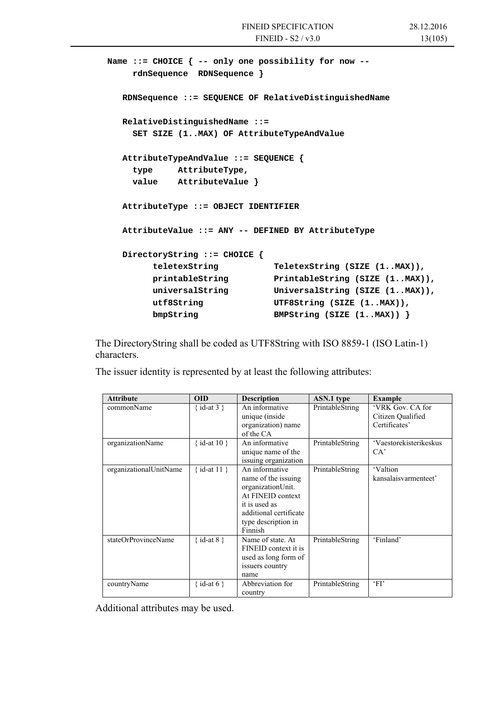```
Name ::= CHOICE { -- only one possibility for now -- 
     rdnSequence RDNSequence } 
   RDNSequence ::= SEQUENCE OF RelativeDistinguishedName 
   RelativeDistinguishedName ::= 
     SET SIZE (1..MAX) OF AttributeTypeAndValue 
   AttributeTypeAndValue ::= SEQUENCE { 
     type AttributeType, 
     value AttributeValue } 
   AttributeType ::= OBJECT IDENTIFIER 
   AttributeValue ::= ANY -- DEFINED BY AttributeType 
   DirectoryString ::= CHOICE { 
         teletexString TeletexString (SIZE (1..MAX)), 
         printableString PrintableString (SIZE (1..MAX)), 
         universalString UniversalString (SIZE (1..MAX)), 
         utf8String UTF8String (SIZE (1..MAX)), 
         bmpString BMPString (SIZE (1..MAX)) }
```
The DirectoryString shall be coded as UTF8String with ISO 8859-1 (ISO Latin-1) characters.

The issuer identity is represented by at least the following attributes:

| <b>Attribute</b>       | <b>OID</b>     | <b>Description</b>                                                                                                                                           | ASN.1 type      | <b>Example</b>                                         |
|------------------------|----------------|--------------------------------------------------------------------------------------------------------------------------------------------------------------|-----------------|--------------------------------------------------------|
| commonName             | {id-at 3 }     | An informative<br>unique (inside<br>organization) name<br>of the CA                                                                                          | PrintableString | 'VRK Gov. CA for<br>Citizen Qualified<br>Certificates' |
| organizationName       | { id-at $10$ } | An informative<br>unique name of the<br>issuing organization                                                                                                 | PrintableString | 'Vaestorekisterikeskus<br>CA'                          |
| organizationalUnitName | {id-at $11$ }  | An informative<br>name of the issuing<br>organizationUnit.<br>At FINEID context<br>it is used as<br>additional certificate<br>type description in<br>Finnish | PrintableString | 'Valtion<br>kansalaisvarmenteet'                       |
| stateOrProvinceName    | { id-at 8 }    | Name of state. At<br>FINEID context it is<br>used as long form of<br>issuers country<br>name                                                                 | PrintableString | 'Finland'                                              |
| countryName            | { id-at 6 }    | Abbreviation for<br>country                                                                                                                                  | PrintableString | 'FI'                                                   |

Additional attributes may be used.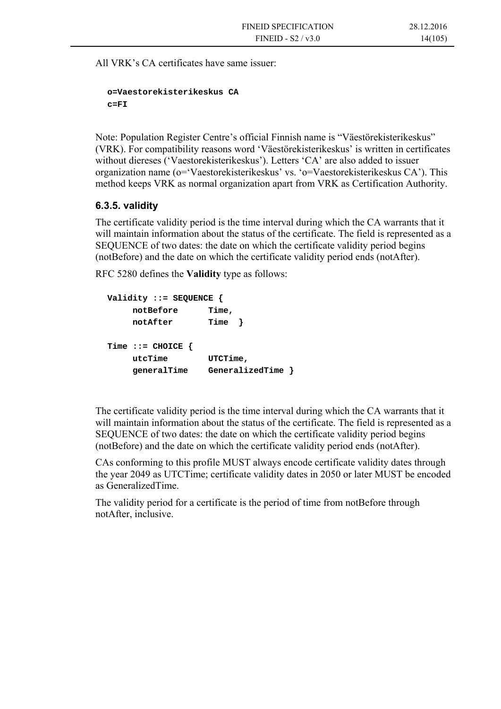All VRK's CA certificates have same issuer:

```
o=Vaestorekisterikeskus CA 
c=FI
```
Note: Population Register Centre's official Finnish name is "Väestörekisterikeskus" (VRK). For compatibility reasons word 'Väestörekisterikeskus' is written in certificates without diereses ('Vaestorekisterikeskus'). Letters 'CA' are also added to issuer organization name (o='Vaestorekisterikeskus' vs. 'o=Vaestorekisterikeskus CA'). This method keeps VRK as normal organization apart from VRK as Certification Authority.

#### **6.3.5. validity**

The certificate validity period is the time interval during which the CA warrants that it will maintain information about the status of the certificate. The field is represented as a SEQUENCE of two dates: the date on which the certificate validity period begins (notBefore) and the date on which the certificate validity period ends (notAfter).

RFC 5280 defines the **Validity** type as follows:

```
Validity ::= SEQUENCE { 
     notBefore Time, 
     notAfter Time } 
Time ::= CHOICE { 
     utcTime UTCTime, 
     generalTime GeneralizedTime }
```
The certificate validity period is the time interval during which the CA warrants that it will maintain information about the status of the certificate. The field is represented as a SEQUENCE of two dates: the date on which the certificate validity period begins (notBefore) and the date on which the certificate validity period ends (notAfter).

CAs conforming to this profile MUST always encode certificate validity dates through the year 2049 as UTCTime; certificate validity dates in 2050 or later MUST be encoded as GeneralizedTime.

The validity period for a certificate is the period of time from notBefore through notAfter, inclusive.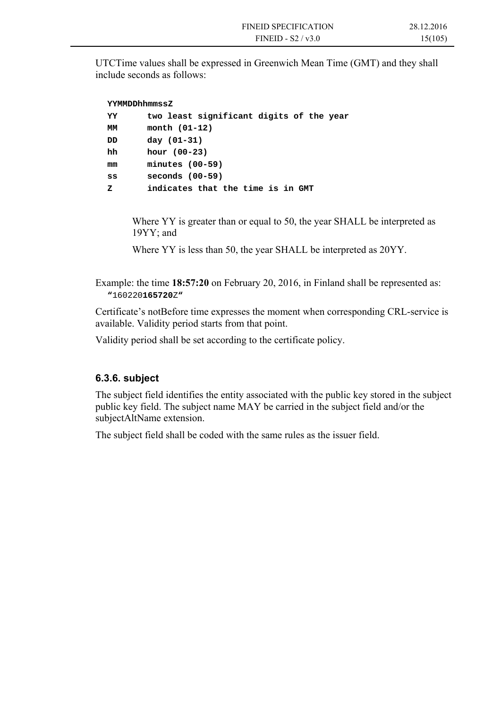UTCTime values shall be expressed in Greenwich Mean Time (GMT) and they shall include seconds as follows:

| YYMMDDhhmmssZ |                                          |  |  |  |  |
|---------------|------------------------------------------|--|--|--|--|
| YY            | two least significant digits of the year |  |  |  |  |
| MМ            | month $(01-12)$                          |  |  |  |  |
| DD            | day $(01-31)$                            |  |  |  |  |
| hh            | hour $(00-23)$                           |  |  |  |  |
| mm            | $minutes (00-59)$                        |  |  |  |  |
| SS            | $seconds(00-59)$                         |  |  |  |  |
| z             | indicates that the time is in GMT        |  |  |  |  |

Where YY is greater than or equal to 50, the year SHALL be interpreted as 19YY; and

Where YY is less than 50, the year SHALL be interpreted as 20YY.

Example: the time **18:57:20** on February 20, 2016, in Finland shall be represented as: **"**160220**165720**Z**"** 

Certificate's notBefore time expresses the moment when corresponding CRL-service is available. Validity period starts from that point.

Validity period shall be set according to the certificate policy.

#### **6.3.6. subject**

The subject field identifies the entity associated with the public key stored in the subject public key field. The subject name MAY be carried in the subject field and/or the subjectAltName extension.

The subject field shall be coded with the same rules as the issuer field.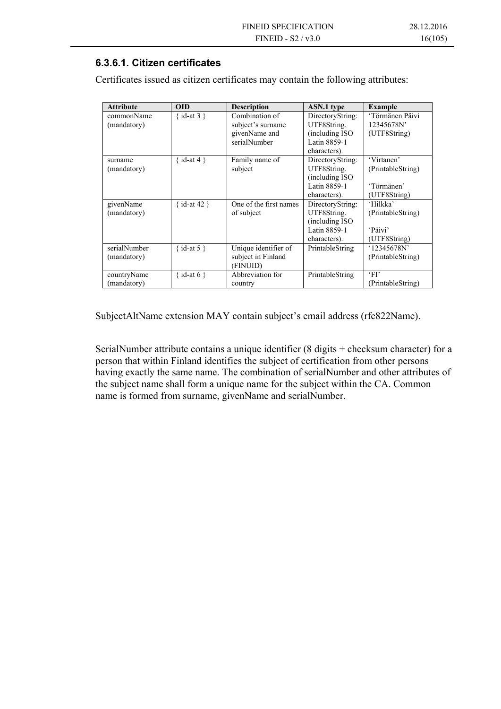#### **6.3.6.1. Citizen certificates**

| <b>Attribute</b> | <b>OID</b>          | <b>Description</b>     | ASN.1 type       | <b>Example</b>    |
|------------------|---------------------|------------------------|------------------|-------------------|
| commonName       | { id-at 3 }         | Combination of         | DirectoryString: | 'Törmänen Päivi   |
| (mandatory)      |                     | subject's surname      | UTF8String.      | 12345678N'        |
|                  |                     | givenName and          | (including ISO   | (UTF8String)      |
|                  |                     | serialNumber           | Latin 8859-1     |                   |
|                  |                     |                        | characters).     |                   |
| surname          | $\{ id$ -at 4 $\}$  | Family name of         | DirectoryString: | 'Virtanen'        |
| (mandatory)      |                     | subject                | UTF8String.      | (PrintableString) |
|                  |                     |                        | (including ISO)  |                   |
|                  |                     |                        | Latin 8859-1     | 'Törmänen'        |
|                  |                     |                        | characters).     | (UTF8String)      |
| givenName        | $\{ id$ -at 42 $\}$ | One of the first names | DirectoryString: | 'Hilkka'          |
| (mandatory)      |                     | of subject             | UTF8String.      | (PrintableString) |
|                  |                     |                        | (including ISO   |                   |
|                  |                     |                        | Latin 8859-1     | 'Päivi'           |
|                  |                     |                        | characters).     | (UTF8String)      |
| serialNumber     | { id-at 5 }         | Unique identifier of   | PrintableString  | '12345678N'       |
| (mandatory)      |                     | subject in Finland     |                  | (PrintableString) |
|                  |                     | (FINUID)               |                  |                   |
| countryName      | {id-at 6}           | Abbreviation for       | PrintableString  | FI                |
| (mandatory)      |                     | country                |                  | (PrintableString) |

Certificates issued as citizen certificates may contain the following attributes:

SubjectAltName extension MAY contain subject's email address (rfc822Name).

SerialNumber attribute contains a unique identifier (8 digits + checksum character) for a person that within Finland identifies the subject of certification from other persons having exactly the same name. The combination of serialNumber and other attributes of the subject name shall form a unique name for the subject within the CA. Common name is formed from surname, givenName and serialNumber.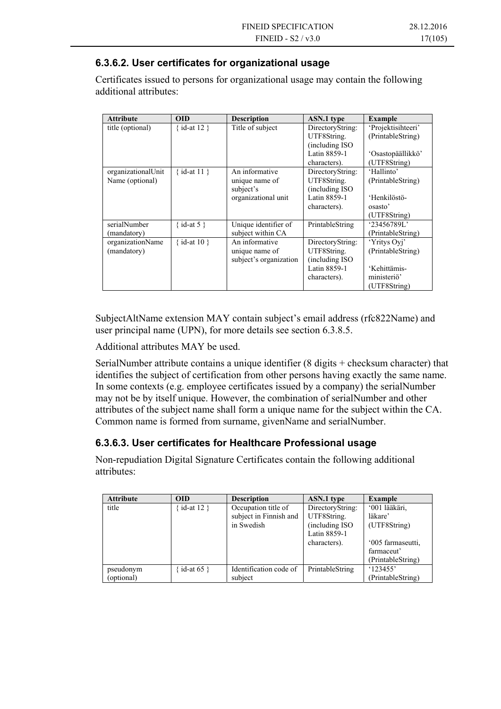#### **6.3.6.2. User certificates for organizational usage**

Certificates issued to persons for organizational usage may contain the following additional attributes:

| <b>Attribute</b>                      | <b>OID</b>       | <b>Description</b>                                                   | <b>ASN.1</b> type                                                                  | Example                                                                                |
|---------------------------------------|------------------|----------------------------------------------------------------------|------------------------------------------------------------------------------------|----------------------------------------------------------------------------------------|
| title (optional)                      | {id-at $12$ }    | Title of subject                                                     | DirectoryString:<br>UTF8String.<br>(including ISO)<br>Latin 8859-1<br>characters). | 'Projektisihteeri'<br>(PrintableString)<br>'Osastopäällikkö'<br>(UTF8String)           |
| organizationalUnit<br>Name (optional) | $\{ id-at 11 \}$ | An informative<br>unique name of<br>subject's<br>organizational unit | DirectoryString:<br>UTF8String.<br>(including ISO)<br>Latin 8859-1<br>characters). | 'Hallinto'<br>(PrintableString)<br>'Henkilöstö-<br>osasto <sup>2</sup><br>(UTF8String) |
| serialNumber<br>(mandatory)           | { $id$ -at 5 }   | Unique identifier of<br>subject within CA                            | PrintableString                                                                    | '23456789L'<br>(PrintableString)                                                       |
| organizationName<br>(mandatory)       | { id-at $10$ }   | An informative<br>unique name of<br>subject's organization           | DirectoryString:<br>UTF8String.<br>(including ISO)<br>Latin 8859-1<br>characters). | 'Yritys Oyj'<br>(PrintableString)<br>'Kehittämis-<br>ministeriö'<br>(UTF8String)       |

SubjectAltName extension MAY contain subject's email address (rfc822Name) and user principal name (UPN), for more details see section 6.3.8.5.

Additional attributes MAY be used.

SerialNumber attribute contains a unique identifier (8 digits + checksum character) that identifies the subject of certification from other persons having exactly the same name. In some contexts (e.g. employee certificates issued by a company) the serialNumber may not be by itself unique. However, the combination of serialNumber and other attributes of the subject name shall form a unique name for the subject within the CA. Common name is formed from surname, givenName and serialNumber.

#### **6.3.6.3. User certificates for Healthcare Professional usage**

Non-repudiation Digital Signature Certificates contain the following additional attributes:

| <b>Attribute</b> | <b>OID</b>   | <b>Description</b>     | <b>ASN.1</b> type | <b>Example</b>    |
|------------------|--------------|------------------------|-------------------|-------------------|
| title            | id-at $12$ } | Occupation title of    | DirectoryString:  | '001 lääkäri,     |
|                  |              | subject in Finnish and | UTF8String.       | läkare'           |
|                  |              | in Swedish             | (including ISO)   | (UTF8String)      |
|                  |              |                        | Latin 8859-1      |                   |
|                  |              |                        | characters).      | '005 farmaseutti, |
|                  |              |                        |                   | farmaceut'        |
|                  |              |                        |                   | (PrintableString) |
| pseudonym        | id-at $65$ } | Identification code of | PrintableString   | '123455'          |
| (optional)       |              | subject                |                   | (PrintableString) |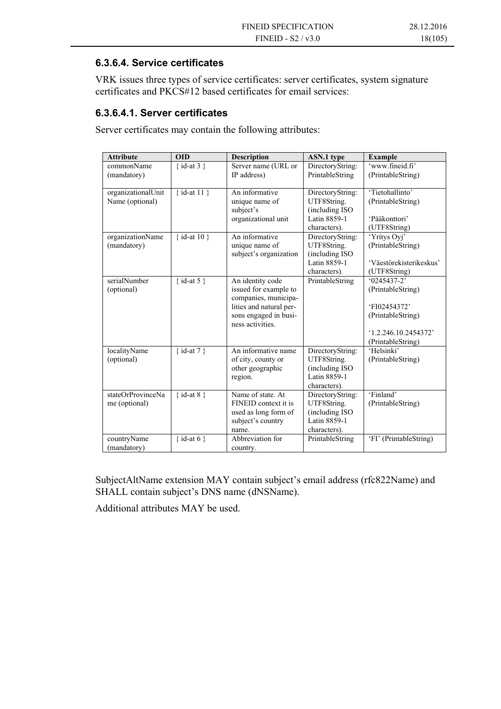#### **6.3.6.4. Service certificates**

VRK issues three types of service certificates: server certificates, system signature certificates and PKCS#12 based certificates for email services:

#### **6.3.6.4.1. Server certificates**

Server certificates may contain the following attributes:

| <b>Attribute</b>   | <b>OID</b>    | <b>Description</b>                              | <b>ASN.1</b> type               | <b>Example</b>          |
|--------------------|---------------|-------------------------------------------------|---------------------------------|-------------------------|
| commonName         | {id-at $3$ }  | Server name (URL or                             | DirectoryString:                | 'www.fineid.fi'         |
| (mandatory)        |               | IP address)                                     | PrintableString                 | (PrintableString)       |
| organizationalUnit | {id-at $11$ } | An informative                                  |                                 | 'Tietohallinto'         |
| Name (optional)    |               | unique name of                                  | DirectoryString:<br>UTF8String. | (PrintableString)       |
|                    |               | subject's                                       | (including ISO)                 |                         |
|                    |               | organizational unit                             | Latin 8859-1                    | 'Pääkonttori'           |
|                    |               |                                                 | characters).                    | (UTF8String)            |
| organizationName   | {id-at $10$ } | An informative                                  | DirectoryString:                | 'Yritys Oyj'            |
| (mandatory)        |               | unique name of                                  | UTF8String.                     | (PrintableString)       |
|                    |               | subject's organization                          | (including ISO)                 |                         |
|                    |               |                                                 | Latin 8859-1                    | 'Väestörekisterikeskus' |
|                    |               |                                                 | characters).                    | (UTF8String)            |
| serialNumber       | {id-at 5}     | An identity code                                | PrintableString                 | $\sqrt{0}$ 245437-2'    |
| (optional)         |               | issued for example to                           |                                 | (PrintableString)       |
|                    |               | companies, municipa-<br>lities and natural per- |                                 | 'FI02454372'            |
|                    |               | sons engaged in busi-                           |                                 | (PrintableString)       |
|                    |               | ness activities.                                |                                 |                         |
|                    |               |                                                 |                                 | 1.2.246.10.2454372      |
|                    |               |                                                 |                                 | (PrintableString)       |
| localityName       | {id-at $7$ }  | An informative name                             | DirectoryString:                | 'Helsinki'              |
| (optional)         |               | of city, county or                              | UTF8String.                     | (PrintableString)       |
|                    |               | other geographic                                | (including ISO                  |                         |
|                    |               | region.                                         | Latin 8859-1                    |                         |
| stateOrProvinceNa  |               | Name of state. At                               | characters).                    | 'Finland'               |
| me (optional)      | {id-at 8 }    | FINEID context it is                            | DirectoryString:<br>UTF8String. | (PrintableString)       |
|                    |               | used as long form of                            | (including ISO                  |                         |
|                    |               | subject's country                               | Latin 8859-1                    |                         |
|                    |               | name.                                           | characters).                    |                         |
| countryName        | { id-at 6 }   | Abbreviation for                                | PrintableString                 | 'FI' (PrintableString)  |
| (mandatory)        |               | country.                                        |                                 |                         |

SubjectAltName extension MAY contain subject's email address (rfc822Name) and SHALL contain subject's DNS name (dNSName).

Additional attributes MAY be used.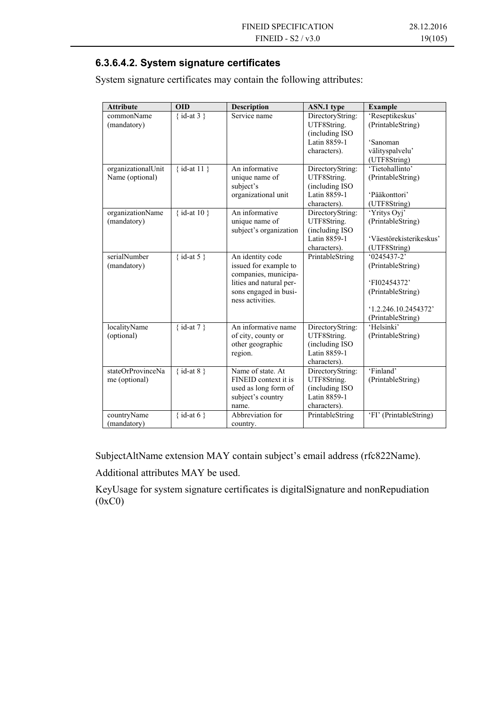#### **6.3.6.4.2. System signature certificates**

System signature certificates may contain the following attributes:

| <b>Attribute</b>                      | <b>OID</b>          | Description                                                              | ASN.1 type                                                                         | <b>Example</b>                       |
|---------------------------------------|---------------------|--------------------------------------------------------------------------|------------------------------------------------------------------------------------|--------------------------------------|
| commonName<br>(mandatory)             | $\{ id$ -at 3 $\}$  | Service name                                                             | DirectoryString:<br>UTF8String.                                                    | 'Reseptikeskus'<br>(PrintableString) |
|                                       |                     |                                                                          | (including ISO)<br>Latin 8859-1                                                    | 'Sanoman                             |
|                                       |                     |                                                                          | characters).                                                                       | välityspalvelu'                      |
|                                       |                     |                                                                          |                                                                                    | (UTF8String)                         |
| organizationalUnit<br>Name (optional) | $\{ id-at 11 \}$    | An informative<br>unique name of<br>subject's                            | DirectoryString:<br>UTF8String.<br>(including ISO)                                 | 'Tietohallinto'<br>(PrintableString) |
|                                       |                     | organizational unit                                                      | Latin 8859-1                                                                       | 'Pääkonttori'                        |
|                                       |                     |                                                                          | characters).                                                                       | (UTF8String)                         |
| organizationName<br>(mandatory)       | $\{ id$ -at 10 $\}$ | An informative<br>unique name of<br>subject's organization               | DirectoryString:<br>UTF8String.<br>(including ISO                                  | 'Yritys Oyj'<br>(PrintableString)    |
|                                       |                     |                                                                          | Latin 8859-1                                                                       | 'Väestörekisterikeskus'              |
|                                       |                     |                                                                          | characters).                                                                       | (UTF8String)                         |
| serialNumber<br>(mandatory)           | {id-at 5}           | An identity code<br>issued for example to<br>companies, municipa-        | PrintableString                                                                    | $'0245437-2'$<br>(PrintableString)   |
|                                       |                     | lities and natural per-                                                  |                                                                                    | 'FI02454372'                         |
|                                       |                     | sons engaged in busi-<br>ness activities.                                |                                                                                    | (PrintableString)                    |
|                                       |                     |                                                                          |                                                                                    | 1.2.246.10.2454372                   |
|                                       |                     |                                                                          |                                                                                    | (PrintableString)                    |
| localityName<br>(optional)            | {id-at $7$ }        | An informative name<br>of city, county or<br>other geographic<br>region. | DirectoryString:<br>UTF8String.<br>(including ISO)<br>Latin 8859-1<br>characters). | 'Helsinki'<br>(PrintableString)      |
| stateOrProvinceNa                     | $\{ id$ -at 8 $\}$  | Name of state. At                                                        | DirectoryString:                                                                   | 'Finland'                            |
| me (optional)                         |                     | FINEID context it is                                                     | UTF8String.                                                                        | (PrintableString)                    |
|                                       |                     | used as long form of                                                     | (including ISO)                                                                    |                                      |
|                                       |                     | subject's country                                                        | Latin 8859-1                                                                       |                                      |
|                                       | {id-at 6}           | name.<br>Abbreviation for                                                | characters).                                                                       | 'FI' (PrintableString)               |
| countryName<br>(mandatory)            |                     |                                                                          | PrintableString                                                                    |                                      |
|                                       |                     | country.                                                                 |                                                                                    |                                      |

SubjectAltName extension MAY contain subject's email address (rfc822Name).

Additional attributes MAY be used.

KeyUsage for system signature certificates is digitalSignature and nonRepudiation (0xC0)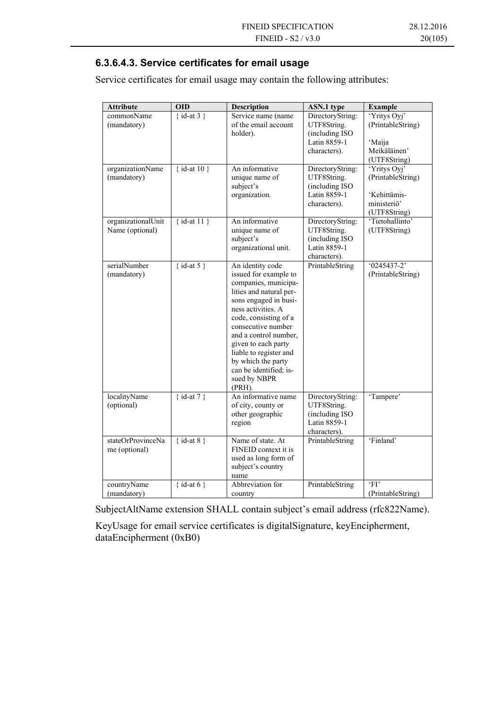#### **6.3.6.4.3. Service certificates for email usage**

Service certificates for email usage may contain the following attributes:

| <b>Attribute</b>                      | <b>OID</b>    | <b>Description</b>                                                                                                                                                                                                                                                                                                                                | ASN.1 type                                                                         | <b>Example</b>                                                                   |
|---------------------------------------|---------------|---------------------------------------------------------------------------------------------------------------------------------------------------------------------------------------------------------------------------------------------------------------------------------------------------------------------------------------------------|------------------------------------------------------------------------------------|----------------------------------------------------------------------------------|
| commonName<br>(mandatory)             | { $id-at 3$ } | Service name (name<br>of the email account<br>holder).                                                                                                                                                                                                                                                                                            | DirectoryString:<br>UTF8String.<br>(including ISO)<br>Latin 8859-1<br>characters). | 'Yritys Oyj'<br>(PrintableString)<br>'Maija<br>Meikäläinen'<br>(UTF8String)      |
| organizationName<br>(mandatory)       | {id-at $10$ } | An informative<br>unique name of<br>subject's<br>organization.                                                                                                                                                                                                                                                                                    | DirectoryString:<br>UTF8String.<br>(including ISO<br>Latin 8859-1<br>characters).  | 'Yritys Oyj'<br>(PrintableString)<br>'Kehittämis-<br>ministeriö'<br>(UTF8String) |
| organizationalUnit<br>Name (optional) | {id-at $11$ } | An informative<br>unique name of<br>subject's<br>organizational unit.                                                                                                                                                                                                                                                                             | DirectoryString:<br>UTF8String.<br>(including ISO)<br>Latin 8859-1<br>characters). | 'Tietohallinto'<br>(UTF8String)                                                  |
| serialNumber<br>(mandatory)           | {id-at 5}     | An identity code<br>issued for example to<br>companies, municipa-<br>lities and natural per-<br>sons engaged in busi-<br>ness activities. A<br>code, consisting of a<br>consecutive number<br>and a control number,<br>given to each party<br>liable to register and<br>by which the party<br>can be identified; is-<br>sued by NBPR<br>$(PRH)$ . | PrintableString                                                                    | $(0245437 - 2)$<br>(PrintableString)                                             |
| localityName<br>(optional)            | {id-at $7$ }  | An informative name<br>of city, county or<br>other geographic<br>region                                                                                                                                                                                                                                                                           | DirectoryString:<br>UTF8String.<br>(including ISO)<br>Latin 8859-1<br>characters). | 'Tampere'                                                                        |
| stateOrProvinceNa<br>me (optional)    | {id-at 8}     | Name of state. At<br>FINEID context it is<br>used as long form of<br>subject's country<br>name                                                                                                                                                                                                                                                    | PrintableString                                                                    | 'Finland'                                                                        |
| countryName<br>(mandatory)            | { id-at $6$ } | Abbreviation for<br>country                                                                                                                                                                                                                                                                                                                       | PrintableString                                                                    | FI<br>(PrintableString)                                                          |

SubjectAltName extension SHALL contain subject's email address (rfc822Name).

KeyUsage for email service certificates is digitalSignature, keyEncipherment, dataEncipherment (0xB0)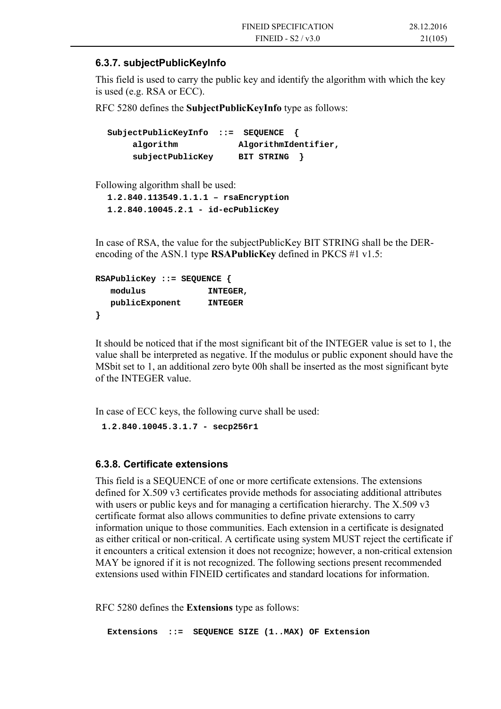#### **6.3.7. subjectPublicKeyInfo**

This field is used to carry the public key and identify the algorithm with which the key is used (e.g. RSA or ECC).

RFC 5280 defines the **SubjectPublicKeyInfo** type as follows:

**SubjectPublicKeyInfo ::= SEQUENCE { algorithm AlgorithmIdentifier, subjectPublicKey BIT STRING }** 

Following algorithm shall be used:

**1.2.840.113549.1.1.1 – rsaEncryption 1.2.840.10045.2.1 - id-ecPublicKey** 

In case of RSA, the value for the subjectPublicKey BIT STRING shall be the DERencoding of the ASN.1 type **RSAPublicKey** defined in PKCS #1 v1.5:

```
RSAPublicKey ::= SEQUENCE { 
   modulus INTEGER, 
   publicExponent INTEGER 
}
```
It should be noticed that if the most significant bit of the INTEGER value is set to 1, the value shall be interpreted as negative. If the modulus or public exponent should have the MSbit set to 1, an additional zero byte 00h shall be inserted as the most significant byte of the INTEGER value.

In case of ECC keys, the following curve shall be used:

**1.2.840.10045.3.1.7 - secp256r1** 

#### **6.3.8. Certificate extensions**

This field is a SEQUENCE of one or more certificate extensions. The extensions defined for X.509 v3 certificates provide methods for associating additional attributes with users or public keys and for managing a certification hierarchy. The X.509 v3 certificate format also allows communities to define private extensions to carry information unique to those communities. Each extension in a certificate is designated as either critical or non-critical. A certificate using system MUST reject the certificate if it encounters a critical extension it does not recognize; however, a non-critical extension MAY be ignored if it is not recognized. The following sections present recommended extensions used within FINEID certificates and standard locations for information.

RFC 5280 defines the **Extensions** type as follows:

**Extensions ::= SEQUENCE SIZE (1..MAX) OF Extension**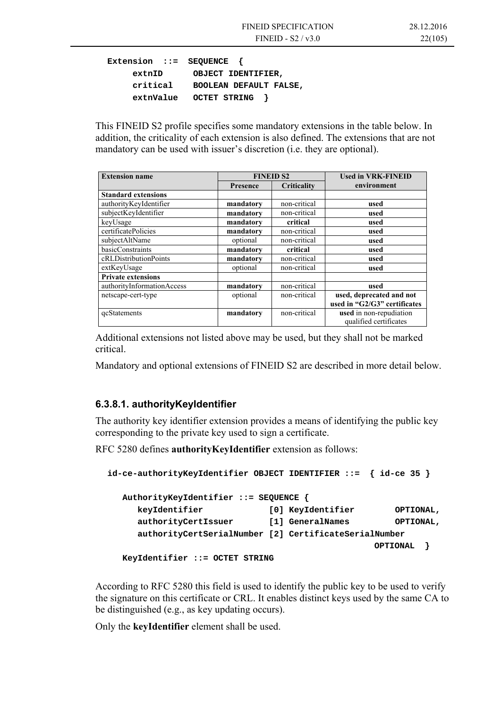```
Extension ::= SEQUENCE { 
     extnID OBJECT IDENTIFIER, 
     critical BOOLEAN DEFAULT FALSE, 
     extnValue OCTET STRING }
```
This FINEID S2 profile specifies some mandatory extensions in the table below. In addition, the criticality of each extension is also defined. The extensions that are not mandatory can be used with issuer's discretion (i.e. they are optional).

| <b>Extension name</b>      | <b>FINEID S2</b> |              | <b>Used in VRK-FINEID</b>    |
|----------------------------|------------------|--------------|------------------------------|
|                            | <b>Presence</b>  | Criticality  | environment                  |
| <b>Standard extensions</b> |                  |              |                              |
| authorityKeyIdentifier     | mandatory        | non-critical | used                         |
| subjectKeyIdentifier       | mandatory        | non-critical | used                         |
| keyUsage                   | mandatory        | critical     | used                         |
| certificatePolicies        | mandatory        | non-critical | used                         |
| subjectAltName             | optional         | non-critical | used                         |
| <b>basicConstraints</b>    | mandatory        | critical     | used                         |
| cRLDistributionPoints      | mandatory        | non-critical | used                         |
| extKeyUsage                | optional         | non-critical | used                         |
| <b>Private extensions</b>  |                  |              |                              |
| authorityInformationAccess | mandatory        | non-critical | used                         |
| netscape-cert-type         | optional         | non-critical | used, deprecated and not     |
|                            |                  |              | used in "G2/G3" certificates |
| <i>c</i> Statements        | mandatory        | non-critical | used in non-repudiation      |
|                            |                  |              | qualified certificates       |

Additional extensions not listed above may be used, but they shall not be marked critical.

Mandatory and optional extensions of FINEID S2 are described in more detail below.

#### **6.3.8.1. authorityKeyIdentifier**

The authority key identifier extension provides a means of identifying the public key corresponding to the private key used to sign a certificate.

RFC 5280 defines **authorityKeyIdentifier** extension as follows:

```
id-ce-authorityKeyIdentifier OBJECT IDENTIFIER ::= { id-ce 35 } 
   AuthorityKeyIdentifier ::= SEQUENCE { 
      keyIdentifier [0] KeyIdentifier OPTIONAL, 
      authorityCertIssuer [1] GeneralNames OPTIONAL, 
      authorityCertSerialNumber [2] CertificateSerialNumber 
                                                  OPTIONAL } 
   KeyIdentifier ::= OCTET STRING
```
According to RFC 5280 this field is used to identify the public key to be used to verify the signature on this certificate or CRL. It enables distinct keys used by the same CA to be distinguished (e.g., as key updating occurs).

Only the **keyIdentifier** element shall be used.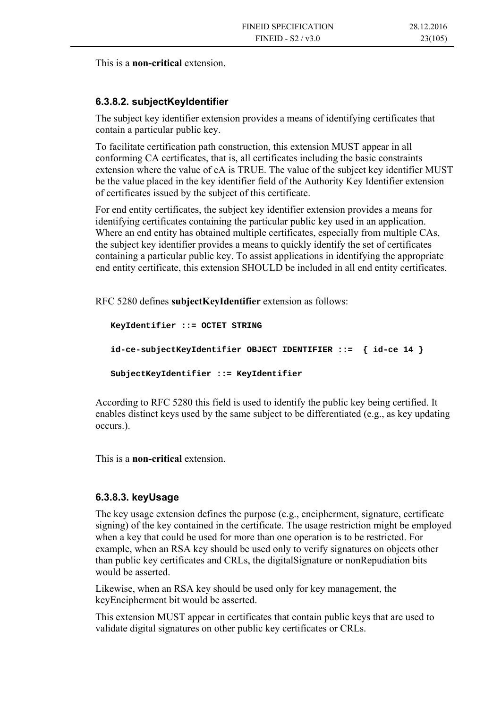This is a **non-critical** extension.

#### **6.3.8.2. subjectKeyIdentifier**

The subject key identifier extension provides a means of identifying certificates that contain a particular public key.

To facilitate certification path construction, this extension MUST appear in all conforming CA certificates, that is, all certificates including the basic constraints extension where the value of cA is TRUE. The value of the subject key identifier MUST be the value placed in the key identifier field of the Authority Key Identifier extension of certificates issued by the subject of this certificate.

For end entity certificates, the subject key identifier extension provides a means for identifying certificates containing the particular public key used in an application. Where an end entity has obtained multiple certificates, especially from multiple CAs, the subject key identifier provides a means to quickly identify the set of certificates containing a particular public key. To assist applications in identifying the appropriate end entity certificate, this extension SHOULD be included in all end entity certificates.

RFC 5280 defines **subjectKeyIdentifier** extension as follows:

```
 KeyIdentifier ::= OCTET STRING 
 id-ce-subjectKeyIdentifier OBJECT IDENTIFIER ::= { id-ce 14 } 
 SubjectKeyIdentifier ::= KeyIdentifier
```
According to RFC 5280 this field is used to identify the public key being certified. It enables distinct keys used by the same subject to be differentiated (e.g., as key updating occurs.).

This is a **non-critical** extension.

#### **6.3.8.3. keyUsage**

The key usage extension defines the purpose (e.g., encipherment, signature, certificate signing) of the key contained in the certificate. The usage restriction might be employed when a key that could be used for more than one operation is to be restricted. For example, when an RSA key should be used only to verify signatures on objects other than public key certificates and CRLs, the digitalSignature or nonRepudiation bits would be asserted.

Likewise, when an RSA key should be used only for key management, the keyEncipherment bit would be asserted.

This extension MUST appear in certificates that contain public keys that are used to validate digital signatures on other public key certificates or CRLs.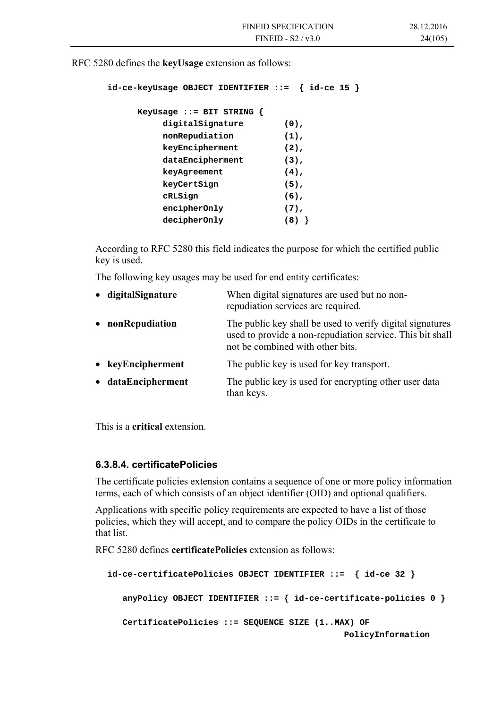RFC 5280 defines the **keyUsage** extension as follows:

```
id-ce-keyUsage OBJECT IDENTIFIER ::= { id-ce 15 }
```

| KeyUsage ::= BIT STRING $\{$ |         |
|------------------------------|---------|
| digitalSignature             | $(0)$ , |
| nonRepudiation               | $(1)$ , |
| keyEncipherment              | $(2)$ , |
| dataEncipherment             | $(3)$ , |
| keyAgreement                 | $(4)$ , |
| keyCertSign                  | $(5)$ , |
| cRLSign                      | $(6)$ , |
| encipherOnly                 | $(7)$ , |
| decipherOnly                 | (8)     |

According to RFC 5280 this field indicates the purpose for which the certified public key is used.

The following key usages may be used for end entity certificates:

| When digital signatures are used but no non-<br>repudiation services are required.                                                                         |
|------------------------------------------------------------------------------------------------------------------------------------------------------------|
| The public key shall be used to verify digital signatures<br>used to provide a non-repudiation service. This bit shall<br>not be combined with other bits. |
| The public key is used for key transport.                                                                                                                  |
| The public key is used for encrypting other user data<br>than keys.                                                                                        |
|                                                                                                                                                            |

This is a **critical** extension.

#### **6.3.8.4. certificatePolicies**

The certificate policies extension contains a sequence of one or more policy information terms, each of which consists of an object identifier (OID) and optional qualifiers.

Applications with specific policy requirements are expected to have a list of those policies, which they will accept, and to compare the policy OIDs in the certificate to that list.

RFC 5280 defines **certificatePolicies** extension as follows:

```
id-ce-certificatePolicies OBJECT IDENTIFIER ::= { id-ce 32 } 
    anyPolicy OBJECT IDENTIFIER ::= { id-ce-certificate-policies 0 } 
   CertificatePolicies ::= SEQUENCE SIZE (1..MAX) OF 
                                                PolicyInformation
```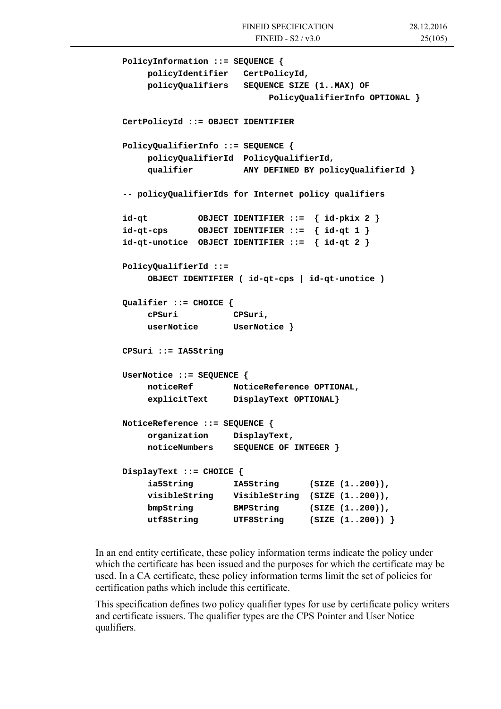```
 PolicyInformation ::= SEQUENCE { 
    policyIdentifier CertPolicyId, 
    policyQualifiers SEQUENCE SIZE (1..MAX) OF 
                           PolicyQualifierInfo OPTIONAL } 
 CertPolicyId ::= OBJECT IDENTIFIER 
 PolicyQualifierInfo ::= SEQUENCE { 
    policyQualifierId PolicyQualifierId, 
    qualifier ANY DEFINED BY policyQualifierId } 
 -- policyQualifierIds for Internet policy qualifiers 
 id-qt OBJECT IDENTIFIER ::= { id-pkix 2 } 
 id-qt-cps OBJECT IDENTIFIER ::= { id-qt 1 } 
 id-qt-unotice OBJECT IDENTIFIER ::= { id-qt 2 } 
 PolicyQualifierId ::= 
    OBJECT IDENTIFIER ( id-qt-cps | id-qt-unotice ) 
 Qualifier ::= CHOICE { 
    cPSuri CPSuri, 
    userNotice UserNotice } 
 CPSuri ::= IA5String 
 UserNotice ::= SEQUENCE { 
    noticeRef NoticeReference OPTIONAL, 
    explicitText DisplayText OPTIONAL} 
 NoticeReference ::= SEQUENCE { 
    organization DisplayText, 
    noticeNumbers SEQUENCE OF INTEGER } 
 DisplayText ::= CHOICE { 
    ia5String IA5String (SIZE (1..200)), 
    visibleString VisibleString (SIZE (1..200)), 
    bmpString BMPString (SIZE (1..200)), 
    utf8String UTF8String (SIZE (1..200)) }
```
In an end entity certificate, these policy information terms indicate the policy under which the certificate has been issued and the purposes for which the certificate may be used. In a CA certificate, these policy information terms limit the set of policies for certification paths which include this certificate.

This specification defines two policy qualifier types for use by certificate policy writers and certificate issuers. The qualifier types are the CPS Pointer and User Notice qualifiers.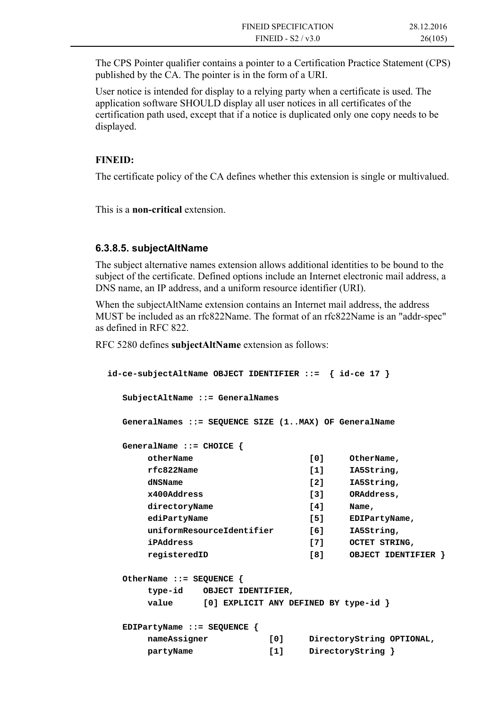The CPS Pointer qualifier contains a pointer to a Certification Practice Statement (CPS) published by the CA. The pointer is in the form of a URI.

User notice is intended for display to a relying party when a certificate is used. The application software SHOULD display all user notices in all certificates of the certification path used, except that if a notice is duplicated only one copy needs to be displayed.

#### **FINEID:**

The certificate policy of the CA defines whether this extension is single or multivalued.

This is a **non-critical** extension.

#### **6.3.8.5. subjectAltName**

The subject alternative names extension allows additional identities to be bound to the subject of the certificate. Defined options include an Internet electronic mail address, a DNS name, an IP address, and a uniform resource identifier (URI).

When the subjectAltName extension contains an Internet mail address, the address MUST be included as an rfc822Name. The format of an rfc822Name is an "addr-spec" as defined in RFC 822.

RFC 5280 defines **subjectAltName** extension as follows:

```
id-ce-subjectAltName OBJECT IDENTIFIER ::= { id-ce 17 } 
   SubjectAltName ::= GeneralNames 
   GeneralNames ::= SEQUENCE SIZE (1..MAX) OF GeneralName 
   GeneralName ::= CHOICE { 
       otherName [0] OtherName, 
       rfc822Name [1] IA5String, 
      dNSName [2] IA5String,
       x400Address [3] ORAddress, 
      directoryName [4] Name,
       ediPartyName [5] EDIPartyName, 
       uniformResourceIdentifier [6] IA5String, 
       iPAddress [7] OCTET STRING, 
       registeredID [8] OBJECT IDENTIFIER } 
   OtherName ::= SEQUENCE { 
       type-id OBJECT IDENTIFIER, 
       value [0] EXPLICIT ANY DEFINED BY type-id } 
   EDIPartyName ::= SEQUENCE { 
       nameAssigner [0] DirectoryString OPTIONAL, 
       partyName [1] DirectoryString }
```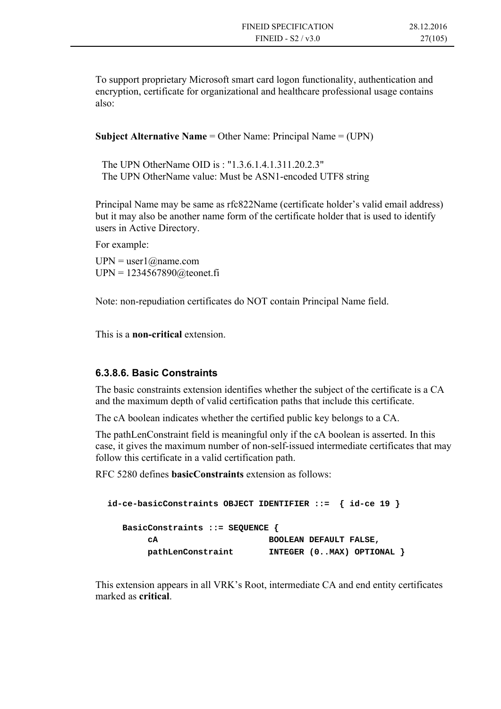To support proprietary Microsoft smart card logon functionality, authentication and encryption, certificate for organizational and healthcare professional usage contains also:

**Subject Alternative Name** = Other Name: Principal Name = (UPN)

The UPN OtherName OID is : "1.3.6.1.4.1.311.20.2.3" The UPN OtherName value: Must be ASN1-encoded UTF8 string

Principal Name may be same as rfc822Name (certificate holder's valid email address) but it may also be another name form of the certificate holder that is used to identify users in Active Directory.

For example:

 $UPN = user1$  (*a*) name.com UPN = 1234567890@teonet.fi

Note: non-repudiation certificates do NOT contain Principal Name field.

This is a **non-critical** extension.

#### **6.3.8.6. Basic Constraints**

The basic constraints extension identifies whether the subject of the certificate is a CA and the maximum depth of valid certification paths that include this certificate.

The cA boolean indicates whether the certified public key belongs to a CA.

The pathLenConstraint field is meaningful only if the cA boolean is asserted. In this case, it gives the maximum number of non-self-issued intermediate certificates that may follow this certificate in a valid certification path.

RFC 5280 defines **basicConstraints** extension as follows:

| $id-ce-basicConstraints$ OBJECT IDENTIFIER ::= $\{id-ce 19\}$ |                                |
|---------------------------------------------------------------|--------------------------------|
| BasicConstraints ::= SEQUENCE $\{$                            |                                |
| CA                                                            | <b>BOOLEAN DEFAULT FALSE,</b>  |
| pathLenConstraint                                             | INTEGER $(0MAX)$ OPTIONAL $\}$ |

This extension appears in all VRK's Root, intermediate CA and end entity certificates marked as **critical**.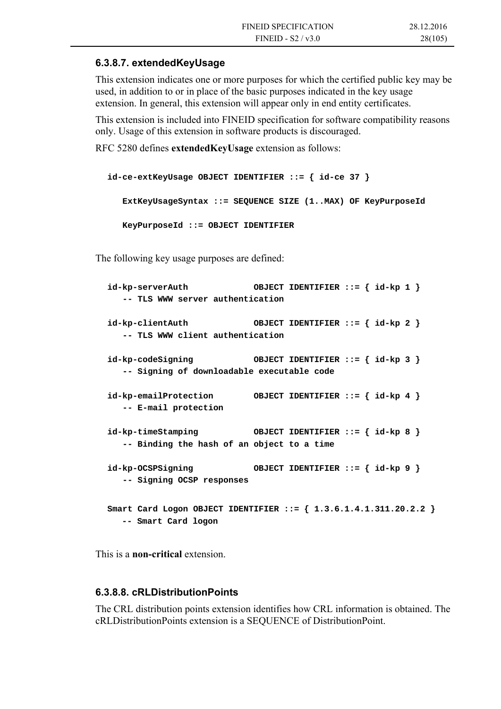#### **6.3.8.7. extendedKeyUsage**

This extension indicates one or more purposes for which the certified public key may be used, in addition to or in place of the basic purposes indicated in the key usage extension. In general, this extension will appear only in end entity certificates.

This extension is included into FINEID specification for software compatibility reasons only. Usage of this extension in software products is discouraged.

RFC 5280 defines **extendedKeyUsage** extension as follows:

```
id-ce-extKeyUsage OBJECT IDENTIFIER ::= { id-ce 37 } 
    ExtKeyUsageSyntax ::= SEQUENCE SIZE (1..MAX) OF KeyPurposeId 
    KeyPurposeId ::= OBJECT IDENTIFIER
```
The following key usage purposes are defined:

```
id-kp-serverAuth OBJECT IDENTIFIER ::= { id-kp 1 } 
   -- TLS WWW server authentication 
id-kp-clientAuth OBJECT IDENTIFIER ::= { id-kp 2 } 
   -- TLS WWW client authentication 
id-kp-codeSigning OBJECT IDENTIFIER ::= { id-kp 3 } 
   -- Signing of downloadable executable code 
id-kp-emailProtection OBJECT IDENTIFIER ::= { id-kp 4 } 
   -- E-mail protection 
id-kp-timeStamping OBJECT IDENTIFIER ::= { id-kp 8 } 
   -- Binding the hash of an object to a time 
id-kp-OCSPSigning OBJECT IDENTIFIER ::= { id-kp 9 } 
   -- Signing OCSP responses 
Smart Card Logon OBJECT IDENTIFIER ::= { 1.3.6.1.4.1.311.20.2.2 } 
   -- Smart Card logon
```
This is a **non-critical** extension.

#### **6.3.8.8. cRLDistributionPoints**

The CRL distribution points extension identifies how CRL information is obtained. The cRLDistributionPoints extension is a SEQUENCE of DistributionPoint.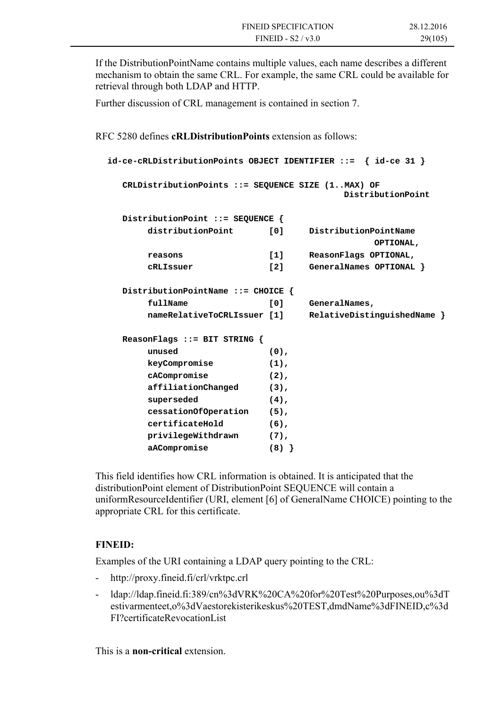If the DistributionPointName contains multiple values, each name describes a different mechanism to obtain the same CRL. For example, the same CRL could be available for retrieval through both LDAP and HTTP.

Further discussion of CRL management is contained in section 7.

RFC 5280 defines **cRLDistributionPoints** extension as follows:

```
id-ce-cRLDistributionPoints OBJECT IDENTIFIER ::= { id-ce 31 } 
   CRLDistributionPoints ::= SEQUENCE SIZE (1..MAX) OF 
                                         DistributionPoint 
   DistributionPoint ::= SEQUENCE { 
       distributionPoint [0] DistributionPointName 
                                              OPTIONAL, 
       reasons [1] ReasonFlags OPTIONAL, 
       cRLIssuer [2] GeneralNames OPTIONAL } 
   DistributionPointName ::= CHOICE { 
      fullName [0] GeneralNames,
       nameRelativeToCRLIssuer [1] RelativeDistinguishedName } 
   ReasonFlags ::= BIT STRING { 
       unused (0), 
       keyCompromise (1), 
       cACompromise (2), 
       affiliationChanged (3), 
       superseded (4), 
       cessationOfOperation (5), 
       certificateHold (6), 
       privilegeWithdrawn (7), 
       aACompromise (8) }
```
This field identifies how CRL information is obtained. It is anticipated that the distributionPoint element of DistributionPoint SEQUENCE will contain a uniformResourceIdentifier (URI, element [6] of GeneralName CHOICE) pointing to the appropriate CRL for this certificate.

#### **FINEID:**

Examples of the URI containing a LDAP query pointing to the CRL:

- http://proxy.fineid.fi/crl/vrktpc.crl
- ldap://ldap.fineid.fi:389/cn%3dVRK%20CA%20for%20Test%20Purposes,ou%3dT estivarmenteet,o%3dVaestorekisterikeskus%20TEST,dmdName%3dFINEID,c%3d FI?certificateRevocationList

This is a **non-critical** extension.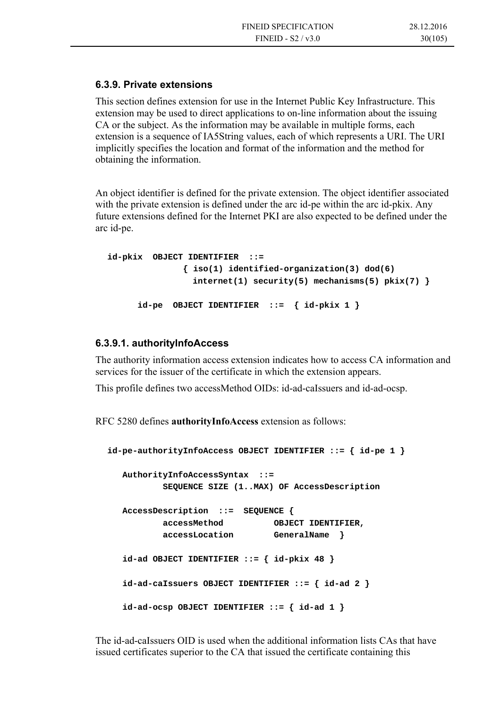#### **6.3.9. Private extensions**

This section defines extension for use in the Internet Public Key Infrastructure. This extension may be used to direct applications to on-line information about the issuing CA or the subject. As the information may be available in multiple forms, each extension is a sequence of IA5String values, each of which represents a URI. The URI implicitly specifies the location and format of the information and the method for obtaining the information.

An object identifier is defined for the private extension. The object identifier associated with the private extension is defined under the arc id-pe within the arc id-pkix. Any future extensions defined for the Internet PKI are also expected to be defined under the arc id-pe.

```
id-pkix OBJECT IDENTIFIER ::= 
                { iso(1) identified-organization(3) dod(6) 
                  internet(1) security(5) mechanisms(5) pkix(7) } 
       id-pe OBJECT IDENTIFIER ::= { id-pkix 1 }
```
#### **6.3.9.1. authorityInfoAccess**

The authority information access extension indicates how to access CA information and services for the issuer of the certificate in which the extension appears.

This profile defines two accessMethod OIDs: id-ad-caIssuers and id-ad-ocsp.

RFC 5280 defines **authorityInfoAccess** extension as follows:

```
id-pe-authorityInfoAccess OBJECT IDENTIFIER ::= { id-pe 1 } 
   AuthorityInfoAccessSyntax ::= 
            SEQUENCE SIZE (1..MAX) OF AccessDescription 
   AccessDescription ::= SEQUENCE { 
           accessMethod OBJECT IDENTIFIER, 
           accessLocation GeneralName } 
   id-ad OBJECT IDENTIFIER ::= { id-pkix 48 } 
   id-ad-caIssuers OBJECT IDENTIFIER ::= { id-ad 2 } 
   id-ad-ocsp OBJECT IDENTIFIER ::= { id-ad 1 }
```
The id-ad-caIssuers OID is used when the additional information lists CAs that have issued certificates superior to the CA that issued the certificate containing this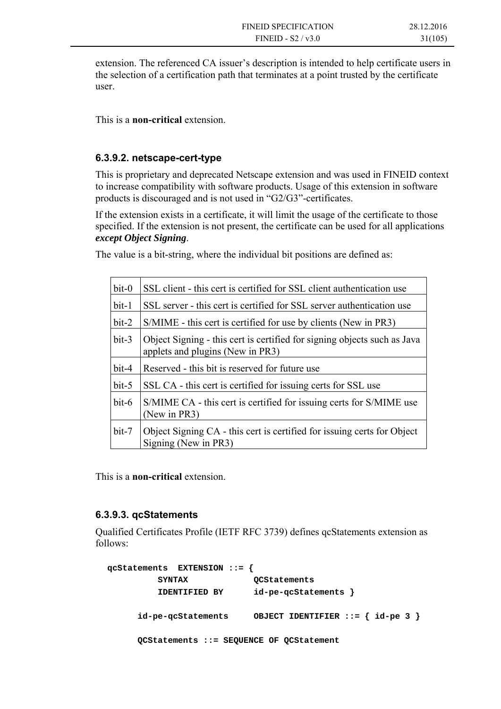extension. The referenced CA issuer's description is intended to help certificate users in the selection of a certification path that terminates at a point trusted by the certificate user.

This is a **non-critical** extension.

### **6.3.9.2. netscape-cert-type**

This is proprietary and deprecated Netscape extension and was used in FINEID context to increase compatibility with software products. Usage of this extension in software products is discouraged and is not used in "G2/G3"-certificates.

If the extension exists in a certificate, it will limit the usage of the certificate to those specified. If the extension is not present, the certificate can be used for all applications *except Object Signing*.

The value is a bit-string, where the individual bit positions are defined as:

| $bit-0$ | SSL client - this cert is certified for SSL client authentication use                                        |
|---------|--------------------------------------------------------------------------------------------------------------|
| $bit-1$ | SSL server - this cert is certified for SSL server authentication use                                        |
| $bit-2$ | S/MIME - this cert is certified for use by clients (New in PR3)                                              |
| $bit-3$ | Object Signing - this cert is certified for signing objects such as Java<br>applets and plugins (New in PR3) |
| $bit-4$ | Reserved - this bit is reserved for future use                                                               |
| $bit-5$ | SSL CA - this cert is certified for issuing certs for SSL use                                                |
| $bit-6$ | S/MIME CA - this cert is certified for issuing certs for S/MIME use<br>(New in PR3)                          |
| $bit-7$ | Object Signing CA - this cert is certified for issuing certs for Object<br>Signing (New in PR3)              |

This is a **non-critical** extension.

### **6.3.9.3. qcStatements**

Qualified Certificates Profile (IETF RFC 3739) defines qcStatements extension as follows:

```
qcStatements EXTENSION ::= { 
          SYNTAX QCStatements 
          IDENTIFIED BY id-pe-qcStatements } 
      id-pe-qcStatements OBJECT IDENTIFIER ::= { id-pe 3 } 
      QCStatements ::= SEQUENCE OF QCStatement
```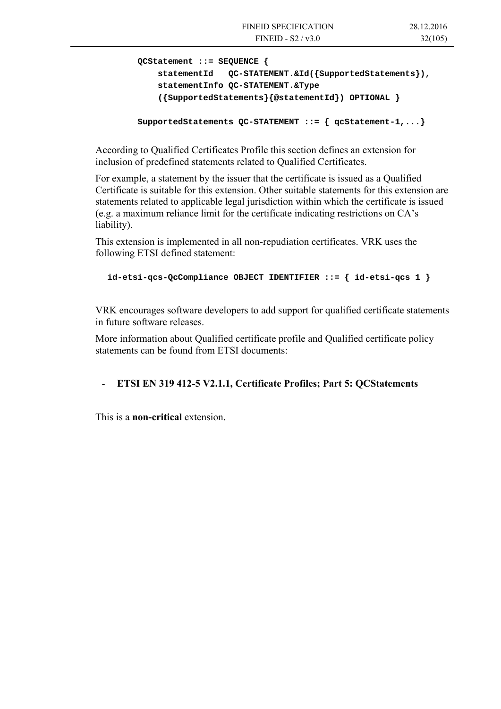```
 QCStatement ::= SEQUENCE { 
     statementId QC-STATEMENT.&Id({SupportedStatements}), 
     statementInfo QC-STATEMENT.&Type 
     ({SupportedStatements}{@statementId}) OPTIONAL }
```

```
 SupportedStatements QC-STATEMENT ::= { qcStatement-1,...}
```
According to Qualified Certificates Profile this section defines an extension for inclusion of predefined statements related to Qualified Certificates.

For example, a statement by the issuer that the certificate is issued as a Qualified Certificate is suitable for this extension. Other suitable statements for this extension are statements related to applicable legal jurisdiction within which the certificate is issued (e.g. a maximum reliance limit for the certificate indicating restrictions on CA's liability).

This extension is implemented in all non-repudiation certificates. VRK uses the following ETSI defined statement:

```
id-etsi-qcs-QcCompliance OBJECT IDENTIFIER ::= { id-etsi-qcs 1 }
```
VRK encourages software developers to add support for qualified certificate statements in future software releases.

More information about Qualified certificate profile and Qualified certificate policy statements can be found from ETSI documents:

### - **ETSI EN 319 412-5 V2.1.1, Certificate Profiles; Part 5: QCStatements**

This is a **non-critical** extension.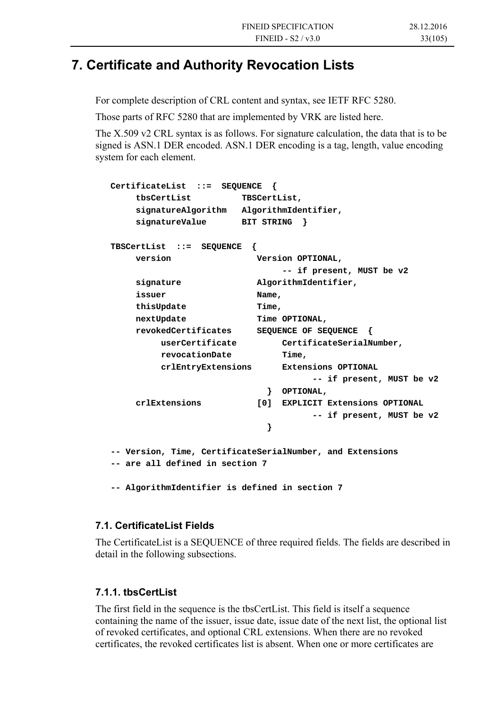## **7. Certificate and Authority Revocation Lists**

For complete description of CRL content and syntax, see IETF RFC 5280.

Those parts of RFC 5280 that are implemented by VRK are listed here.

The X.509 v2 CRL syntax is as follows. For signature calculation, the data that is to be signed is ASN.1 DER encoded. ASN.1 DER encoding is a tag, length, value encoding system for each element.

```
 CertificateList ::= SEQUENCE { 
       tbsCertList TBSCertList, 
       signatureAlgorithm AlgorithmIdentifier, 
       signatureValue BIT STRING } 
   TBSCertList ::= SEQUENCE { 
       version Version OPTIONAL, 
                                -- if present, MUST be v2 
       signature AlgorithmIdentifier, 
       issuer Name, 
      thisUpdate Time,
      nextUpdate Time OPTIONAL,
       revokedCertificates SEQUENCE OF SEQUENCE { 
            userCertificate CertificateSerialNumber, 
          revocationDate Time,
            crlEntryExtensions Extensions OPTIONAL 
                                      -- if present, MUST be v2 
                              } OPTIONAL, 
       crlExtensions [0] EXPLICIT Extensions OPTIONAL 
                                      -- if present, MUST be v2 
 } 
   -- Version, Time, CertificateSerialNumber, and Extensions 
   -- are all defined in section 7 
   -- AlgorithmIdentifier is defined in section 7
```
### **7.1. CertificateList Fields**

The CertificateList is a SEQUENCE of three required fields. The fields are described in detail in the following subsections.

### **7.1.1. tbsCertList**

The first field in the sequence is the tbsCertList. This field is itself a sequence containing the name of the issuer, issue date, issue date of the next list, the optional list of revoked certificates, and optional CRL extensions. When there are no revoked certificates, the revoked certificates list is absent. When one or more certificates are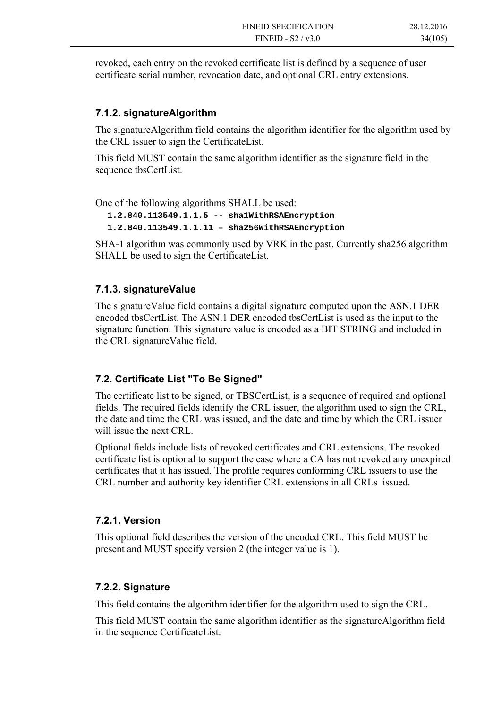revoked, each entry on the revoked certificate list is defined by a sequence of user certificate serial number, revocation date, and optional CRL entry extensions.

### **7.1.2. signatureAlgorithm**

The signatureAlgorithm field contains the algorithm identifier for the algorithm used by the CRL issuer to sign the CertificateList.

This field MUST contain the same algorithm identifier as the signature field in the sequence tbsCertList.

One of the following algorithms SHALL be used:

**1.2.840.113549.1.1.5 -- sha1WithRSAEncryption 1.2.840.113549.1.1.11 – sha256WithRSAEncryption** 

SHA-1 algorithm was commonly used by VRK in the past. Currently sha256 algorithm SHALL be used to sign the CertificateList.

### **7.1.3. signatureValue**

The signatureValue field contains a digital signature computed upon the ASN.1 DER encoded tbsCertList. The ASN.1 DER encoded tbsCertList is used as the input to the signature function. This signature value is encoded as a BIT STRING and included in the CRL signatureValue field.

### **7.2. Certificate List "To Be Signed"**

The certificate list to be signed, or TBSCertList, is a sequence of required and optional fields. The required fields identify the CRL issuer, the algorithm used to sign the CRL, the date and time the CRL was issued, and the date and time by which the CRL issuer will issue the next CRL.

Optional fields include lists of revoked certificates and CRL extensions. The revoked certificate list is optional to support the case where a CA has not revoked any unexpired certificates that it has issued. The profile requires conforming CRL issuers to use the CRL number and authority key identifier CRL extensions in all CRLs issued.

### **7.2.1. Version**

This optional field describes the version of the encoded CRL. This field MUST be present and MUST specify version 2 (the integer value is 1).

### **7.2.2. Signature**

This field contains the algorithm identifier for the algorithm used to sign the CRL.

This field MUST contain the same algorithm identifier as the signatureAlgorithm field in the sequence CertificateList.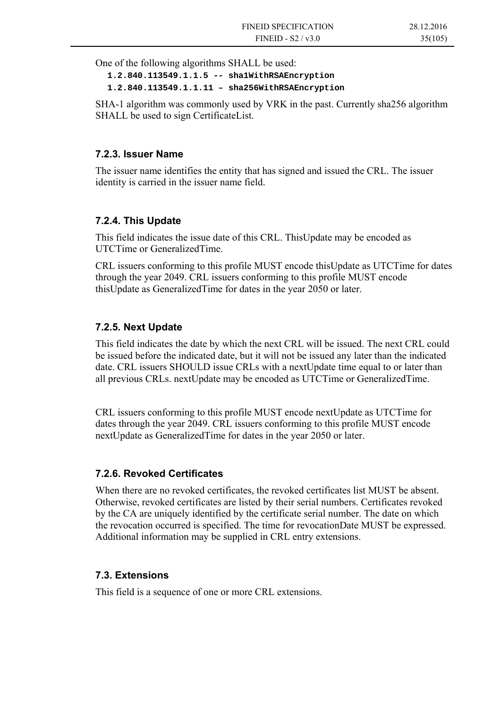One of the following algorithms SHALL be used:

**1.2.840.113549.1.1.5 -- sha1WithRSAEncryption 1.2.840.113549.1.1.11 – sha256WithRSAEncryption** 

SHA-1 algorithm was commonly used by VRK in the past. Currently sha256 algorithm SHALL be used to sign CertificateList.

### **7.2.3. Issuer Name**

The issuer name identifies the entity that has signed and issued the CRL. The issuer identity is carried in the issuer name field.

### **7.2.4. This Update**

This field indicates the issue date of this CRL. ThisUpdate may be encoded as UTCTime or GeneralizedTime.

CRL issuers conforming to this profile MUST encode thisUpdate as UTCTime for dates through the year 2049. CRL issuers conforming to this profile MUST encode thisUpdate as GeneralizedTime for dates in the year 2050 or later.

### **7.2.5. Next Update**

This field indicates the date by which the next CRL will be issued. The next CRL could be issued before the indicated date, but it will not be issued any later than the indicated date. CRL issuers SHOULD issue CRLs with a nextUpdate time equal to or later than all previous CRLs. nextUpdate may be encoded as UTCTime or GeneralizedTime.

CRL issuers conforming to this profile MUST encode nextUpdate as UTCTime for dates through the year 2049. CRL issuers conforming to this profile MUST encode nextUpdate as GeneralizedTime for dates in the year 2050 or later.

### **7.2.6. Revoked Certificates**

When there are no revoked certificates, the revoked certificates list MUST be absent. Otherwise, revoked certificates are listed by their serial numbers. Certificates revoked by the CA are uniquely identified by the certificate serial number. The date on which the revocation occurred is specified. The time for revocationDate MUST be expressed. Additional information may be supplied in CRL entry extensions.

### **7.3. Extensions**

This field is a sequence of one or more CRL extensions.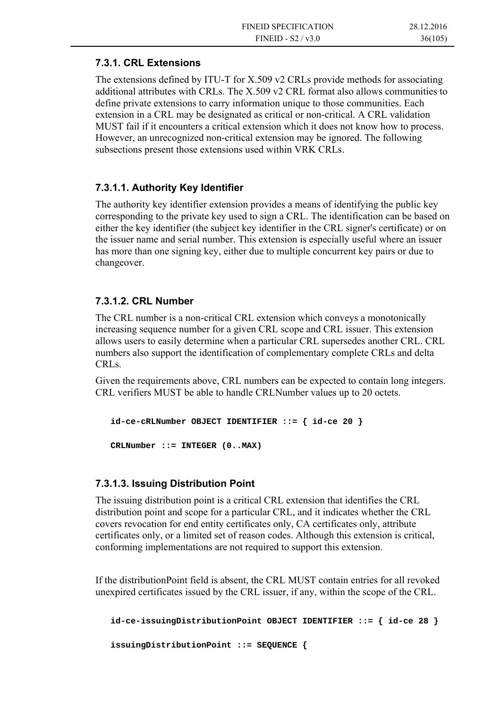### **7.3.1. CRL Extensions**

The extensions defined by ITU-T for X.509 v2 CRLs provide methods for associating additional attributes with CRLs. The X.509 v2 CRL format also allows communities to define private extensions to carry information unique to those communities. Each extension in a CRL may be designated as critical or non-critical. A CRL validation MUST fail if it encounters a critical extension which it does not know how to process. However, an unrecognized non-critical extension may be ignored. The following subsections present those extensions used within VRK CRLs.

### **7.3.1.1. Authority Key Identifier**

The authority key identifier extension provides a means of identifying the public key corresponding to the private key used to sign a CRL. The identification can be based on either the key identifier (the subject key identifier in the CRL signer's certificate) or on the issuer name and serial number. This extension is especially useful where an issuer has more than one signing key, either due to multiple concurrent key pairs or due to changeover.

### **7.3.1.2. CRL Number**

The CRL number is a non-critical CRL extension which conveys a monotonically increasing sequence number for a given CRL scope and CRL issuer. This extension allows users to easily determine when a particular CRL supersedes another CRL. CRL numbers also support the identification of complementary complete CRLs and delta CRLs.

Given the requirements above, CRL numbers can be expected to contain long integers. CRL verifiers MUST be able to handle CRLNumber values up to 20 octets.

```
 id-ce-cRLNumber OBJECT IDENTIFIER ::= { id-ce 20 } 
 CRLNumber ::= INTEGER (0..MAX)
```
### **7.3.1.3. Issuing Distribution Point**

The issuing distribution point is a critical CRL extension that identifies the CRL distribution point and scope for a particular CRL, and it indicates whether the CRL covers revocation for end entity certificates only, CA certificates only, attribute certificates only, or a limited set of reason codes. Although this extension is critical, conforming implementations are not required to support this extension.

If the distributionPoint field is absent, the CRL MUST contain entries for all revoked unexpired certificates issued by the CRL issuer, if any, within the scope of the CRL.

```
 id-ce-issuingDistributionPoint OBJECT IDENTIFIER ::= { id-ce 28 } 
 issuingDistributionPoint ::= SEQUENCE {
```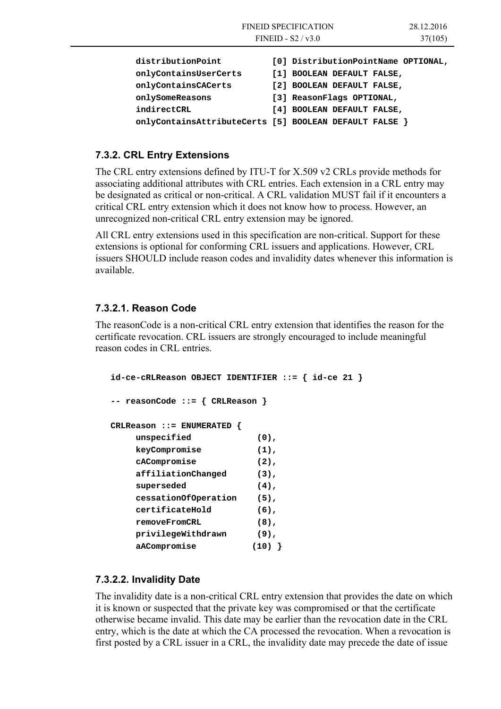|                       | <b>FINEID SPECIFICATION</b><br>28.12.2016<br>FINEID - $S2/v3.0$<br>37(105) |
|-----------------------|----------------------------------------------------------------------------|
| distributionPoint     | [0] DistributionPointName OPTIONAL,                                        |
| onlyContainsUserCerts | [1] BOOLEAN DEFAULT FALSE,                                                 |
| onlyContainsCACerts   | [2] BOOLEAN DEFAULT FALSE,                                                 |
| onlySomeReasons       | [3] ReasonFlags OPTIONAL,                                                  |
| indirectCRL           | [4] BOOLEAN DEFAULT FALSE,                                                 |
|                       | onlyContainsAttributeCerts [5] BOOLEAN DEFAULT FALSE                       |

### **7.3.2. CRL Entry Extensions**

The CRL entry extensions defined by ITU-T for X.509 v2 CRLs provide methods for associating additional attributes with CRL entries. Each extension in a CRL entry may be designated as critical or non-critical. A CRL validation MUST fail if it encounters a critical CRL entry extension which it does not know how to process. However, an unrecognized non-critical CRL entry extension may be ignored.

All CRL entry extensions used in this specification are non-critical. Support for these extensions is optional for conforming CRL issuers and applications. However, CRL issuers SHOULD include reason codes and invalidity dates whenever this information is available.

### **7.3.2.1. Reason Code**

The reasonCode is a non-critical CRL entry extension that identifies the reason for the certificate revocation. CRL issuers are strongly encouraged to include meaningful reason codes in CRL entries.

```
 id-ce-cRLReason OBJECT IDENTIFIER ::= { id-ce 21 } 
 -- reasonCode ::= { CRLReason } 
 CRLReason ::= ENUMERATED { 
     unspecified (0), 
     keyCompromise (1), 
     cACompromise (2), 
     affiliationChanged (3), 
     superseded (4), 
     cessationOfOperation (5), 
     certificateHold (6), 
     removeFromCRL (8), 
     privilegeWithdrawn (9), 
     aACompromise (10) }
```
### **7.3.2.2. Invalidity Date**

The invalidity date is a non-critical CRL entry extension that provides the date on which it is known or suspected that the private key was compromised or that the certificate otherwise became invalid. This date may be earlier than the revocation date in the CRL entry, which is the date at which the CA processed the revocation. When a revocation is first posted by a CRL issuer in a CRL, the invalidity date may precede the date of issue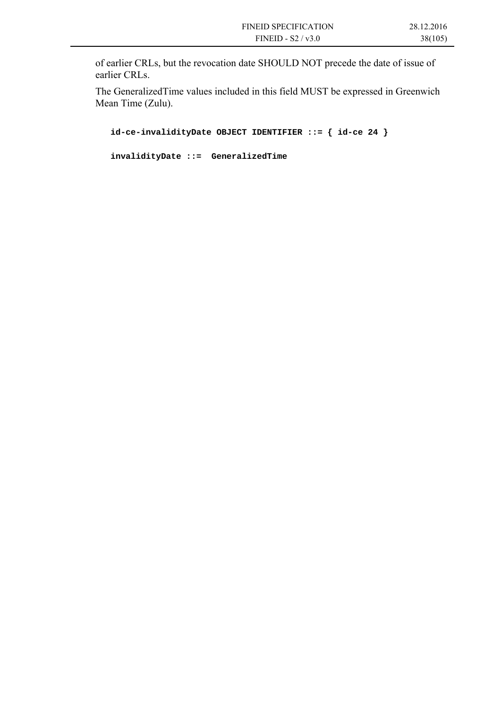of earlier CRLs, but the revocation date SHOULD NOT precede the date of issue of earlier CRLs.

The GeneralizedTime values included in this field MUST be expressed in Greenwich Mean Time (Zulu).

```
 id-ce-invalidityDate OBJECT IDENTIFIER ::= { id-ce 24 } 
 invalidityDate ::= GeneralizedTime
```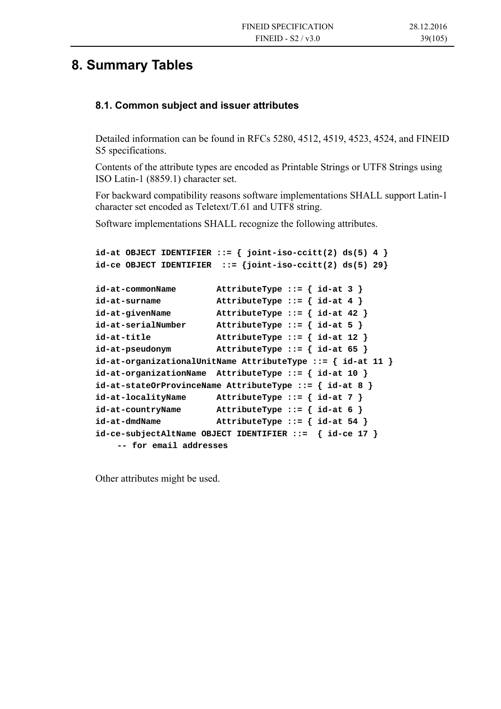## **8. Summary Tables**

### **8.1. Common subject and issuer attributes**

Detailed information can be found in RFCs 5280, 4512, 4519, 4523, 4524, and FINEID S5 specifications.

Contents of the attribute types are encoded as Printable Strings or UTF8 Strings using ISO Latin-1 (8859.1) character set.

For backward compatibility reasons software implementations SHALL support Latin-1 character set encoded as Teletext/T.61 and UTF8 string.

Software implementations SHALL recognize the following attributes.

```
id-at OBJECT IDENTIFIER ::= { joint-iso-ccitt(2) ds(5) 4 } 
id-ce OBJECT IDENTIFIER ::= {joint-iso-ccitt(2) ds(5) 29} 
id-at-commonName AttributeType ::= { id-at 3 } 
id-at-surname AttributeType ::= { id-at 4 } 
id-at-givenName AttributeType ::= { id-at 42 } 
id-at-serialNumber AttributeType ::= { id-at 5 } 
id-at-title AttributeType ::= { id-at 12 } 
id-at-pseudonym AttributeType ::= { id-at 65 } 
id-at-organizationalUnitName AttributeType ::= { id-at 11 } 
id-at-organizationName AttributeType ::= { id-at 10 } 
id-at-stateOrProvinceName AttributeType ::= { id-at 8 } 
id-at-localityName AttributeType ::= { id-at 7 } 
id-at-countryName AttributeType ::= { id-at 6 } 
id-at-dmdName AttributeType ::= { id-at 54 } 
id-ce-subjectAltName OBJECT IDENTIFIER ::= { id-ce 17 } 
    -- for email addresses
```
Other attributes might be used.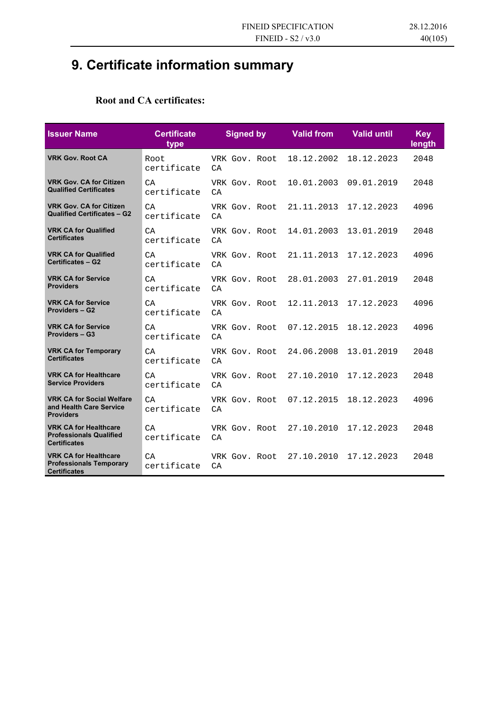# **9. Certificate information summary**

### **Root and CA certificates:**

| <b>Issuer Name</b>                                                                    | <b>Certificate</b><br>type | <b>Signed by</b>     | <b>Valid from</b> | <b>Valid until</b> | <b>Key</b><br>length |
|---------------------------------------------------------------------------------------|----------------------------|----------------------|-------------------|--------------------|----------------------|
| <b>VRK Gov. Root CA</b>                                                               | Root<br>certificate        | VRK Gov. Root<br>CA  | 18.12.2002        | 18.12.2023         | 2048                 |
| <b>VRK Gov. CA for Citizen</b><br><b>Qualified Certificates</b>                       | CA<br>certificate          | VRK Gov. Root<br>CA  | 10.01.2003        | 09.01.2019         | 2048                 |
| <b>VRK Gov. CA for Citizen</b><br>Qualified Certificates - G2                         | CA<br>certificate          | VRK Gov. Root<br>CA  | 21.11.2013        | 17.12.2023         | 4096                 |
| <b>VRK CA for Qualified</b><br><b>Certificates</b>                                    | CA<br>certificate          | VRK Gov. Root<br>CA  | 14.01.2003        | 13.01.2019         | 2048                 |
| <b>VRK CA for Qualified</b><br><b>Certificates - G2</b>                               | CA<br>certificate          | VRK Gov. Root<br>CA  | 21.11.2013        | 17.12.2023         | 4096                 |
| <b>VRK CA for Service</b><br><b>Providers</b>                                         | CA<br>certificate          | VRK Gov, Root<br>C A | 28.01.2003        | 27.01.2019         | 2048                 |
| <b>VRK CA for Service</b><br><b>Providers - G2</b>                                    | CA<br>certificate          | VRK Gov. Root<br>C A | 12.11.2013        | 17.12.2023         | 4096                 |
| <b>VRK CA for Service</b><br><b>Providers - G3</b>                                    | C A<br>certificate         | VRK Gov. Root<br>CA  | 07.12.2015        | 18.12.2023         | 4096                 |
| <b>VRK CA for Temporary</b><br><b>Certificates</b>                                    | CA<br>certificate          | VRK Gov, Root<br>CA  | 24.06.2008        | 13.01.2019         | 2048                 |
| <b>VRK CA for Healthcare</b><br><b>Service Providers</b>                              | CA<br>certificate          | VRK Gov. Root<br>C A | 27.10.2010        | 17.12.2023         | 2048                 |
| <b>VRK CA for Social Welfare</b><br>and Health Care Service<br><b>Providers</b>       | CA<br>certificate          | VRK Gov. Root<br>CA  | 07.12.2015        | 18.12.2023         | 4096                 |
| <b>VRK CA for Healthcare</b><br><b>Professionals Qualified</b><br><b>Certificates</b> | CA<br>certificate          | VRK Gov. Root<br>CA  | 27.10.2010        | 17.12.2023         | 2048                 |
| <b>VRK CA for Healthcare</b><br><b>Professionals Temporary</b><br><b>Certificates</b> | CA<br>certificate          | VRK Gov. Root<br>C A | 27.10.2010        | 17.12.2023         | 2048                 |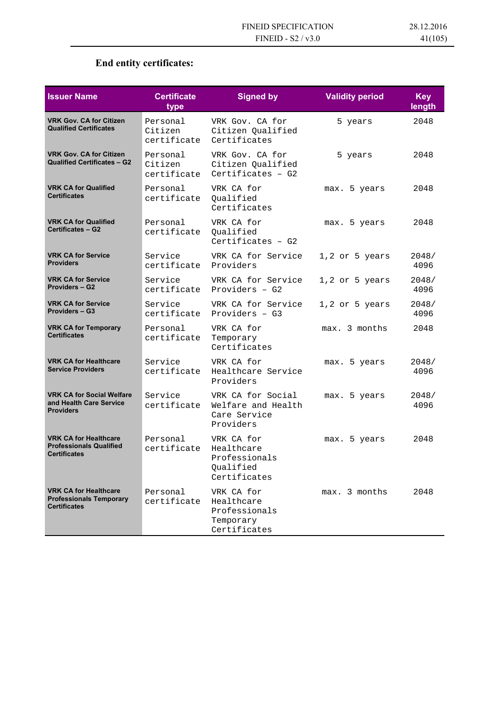## **End entity certificates:**

| <b>Issuer Name</b>                                                                    | <b>Certificate</b><br>type         | <b>Signed by</b>                                                       | <b>Validity period</b> | <b>Key</b><br>length |
|---------------------------------------------------------------------------------------|------------------------------------|------------------------------------------------------------------------|------------------------|----------------------|
| <b>VRK Gov. CA for Citizen</b><br><b>Qualified Certificates</b>                       | Personal<br>Citizen<br>certificate | VRK Gov. CA for<br>Citizen Qualified<br>Certificates                   | 5 years                | 2048                 |
| <b>VRK Gov. CA for Citizen</b><br>Qualified Certificates - G2                         | Personal<br>Citizen<br>certificate | VRK Gov. CA for<br>Citizen Qualified<br>Certificates - $G2$            | 5 years                | 2048                 |
| <b>VRK CA for Qualified</b><br><b>Certificates</b>                                    | Personal<br>certificate            | VRK CA for<br>Oualified<br>Certificates                                | max. 5 years           | 2048                 |
| <b>VRK CA for Qualified</b><br><b>Certificates - G2</b>                               | Personal<br>certificate            | VRK CA for<br>Qualified<br>Certificates $-$ G2                         | max. 5 years           | 2048                 |
| <b>VRK CA for Service</b><br><b>Providers</b>                                         | Service<br>certificate             | VRK CA for Service<br>Providers                                        | $1,2$ or 5 years       | 2048/<br>4096        |
| <b>VRK CA for Service</b><br><b>Providers - G2</b>                                    | Service<br>certificate             | VRK CA for Service<br>Providers - G2                                   | $1,2$ or 5 years       | 2048/<br>4096        |
| <b>VRK CA for Service</b><br><b>Providers - G3</b>                                    | Service<br>certificate             | VRK CA for Service<br>Providers $-$ G3                                 | $1,2$ or 5 years       | 2048/<br>4096        |
| <b>VRK CA for Temporary</b><br><b>Certificates</b>                                    | Personal<br>certificate            | VRK CA for<br>Temporary<br>Certificates                                | max. 3 months          | 2048                 |
| <b>VRK CA for Healthcare</b><br><b>Service Providers</b>                              | Service<br>certificate             | VRK CA for<br>Healthcare Service<br>Providers                          | max. 5 years           | 2048/<br>4096        |
| <b>VRK CA for Social Welfare</b><br>and Health Care Service<br><b>Providers</b>       | Service<br>certificate             | VRK CA for Social<br>Welfare and Health<br>Care Service<br>Providers   | max. 5 years           | 2048/<br>4096        |
| <b>VRK CA for Healthcare</b><br><b>Professionals Qualified</b><br><b>Certificates</b> | Personal<br>certificate            | VRK CA for<br>Healthcare<br>Professionals<br>Qualified<br>Certificates | 5 years<br>max.        | 2048                 |
| <b>VRK CA for Healthcare</b><br><b>Professionals Temporary</b><br><b>Certificates</b> | Personal<br>certificate            | VRK CA for<br>Healthcare<br>Professionals<br>Temporary<br>Certificates | max. 3 months          | 2048                 |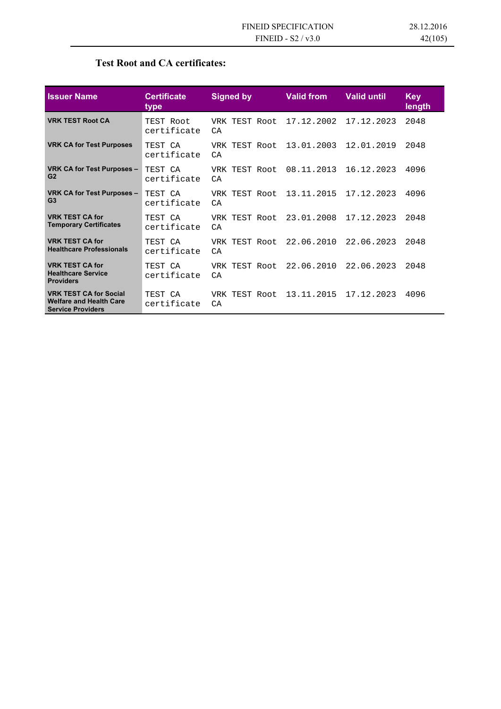### **Test Root and CA certificates:**

| <b>Issuer Name</b>                                                                          | <b>Certificate</b><br><b>type</b> | <b>Signed by</b>     | <b>Valid from</b> | <b>Valid until</b> | <b>Key</b><br>length |
|---------------------------------------------------------------------------------------------|-----------------------------------|----------------------|-------------------|--------------------|----------------------|
| <b>VRK TEST Root CA</b>                                                                     | TEST Root<br>certificate          | VRK TEST Root<br>C A | 17.12.2002        | 17.12.2023         | 2048                 |
| <b>VRK CA for Test Purposes</b>                                                             | TEST CA<br>certificate            | VRK TEST Root<br>C A | 13.01.2003        | 12.01.2019         | 2048                 |
| VRK CA for Test Purposes -<br>G <sub>2</sub>                                                | TEST CA<br>certificate            | VRK TEST Root<br>C A | 08.11.2013        | 16.12.2023         | 4096                 |
| VRK CA for Test Purposes -<br>G <sub>3</sub>                                                | TEST CA<br>certificate            | VRK TEST Root<br>CA  | 13.11.2015        | 17.12.2023         | 4096                 |
| <b>VRK TEST CA for</b><br><b>Temporary Certificates</b>                                     | TEST CA<br>certificate            | VRK TEST Root<br>C A | 23.01.2008        | 17.12.2023         | 2048                 |
| <b>VRK TEST CA for</b><br><b>Healthcare Professionals</b>                                   | TEST CA<br>certificate            | VRK TEST Root<br>CA  | 22.06.2010        | 22.06.2023         | 2048                 |
| <b>VRK TEST CA for</b><br><b>Healthcare Service</b><br><b>Providers</b>                     | TEST CA<br>certificate            | VRK TEST Root<br>CA  | 22.06.2010        | 22.06.2023         | 2048                 |
| <b>VRK TEST CA for Social</b><br><b>Welfare and Health Care</b><br><b>Service Providers</b> | TEST CA<br>certificate            | VRK TEST Root<br>CA  | 13.11.2015        | 17.12.2023         | 4096                 |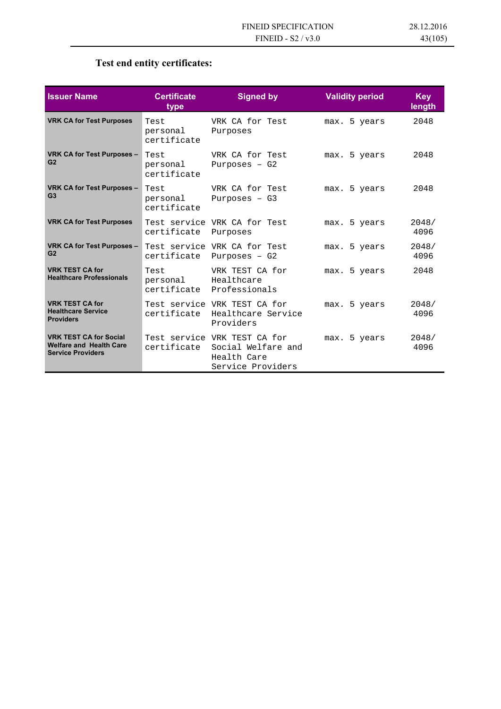## **Test end entity certificates:**

| <b>Issuer Name</b>                                                                          | <b>Certificate</b><br>type      | <b>Signed by</b>                                                                                   | <b>Validity period</b> | <b>Key</b><br>length |
|---------------------------------------------------------------------------------------------|---------------------------------|----------------------------------------------------------------------------------------------------|------------------------|----------------------|
| <b>VRK CA for Test Purposes</b>                                                             | Test<br>personal<br>certificate | VRK CA for Test<br>Purposes                                                                        | max. 5 years           | 2048                 |
| VRK CA for Test Purposes -<br>G <sub>2</sub>                                                | Test<br>personal<br>certificate | VRK CA for Test<br>Purposes $-$ G2                                                                 | max. 5 years           | 2048                 |
| VRK CA for Test Purposes -<br>G <sub>3</sub>                                                | Test<br>personal<br>certificate | VRK CA for Test<br>Purposes $- G3$                                                                 | max. 5 years           | 2048                 |
| <b>VRK CA for Test Purposes</b>                                                             | certificate                     | Test service VRK CA for Test<br>Purposes                                                           | max. 5 years           | 2048/<br>4096        |
| <b>VRK CA for Test Purposes -</b><br>G <sub>2</sub>                                         |                                 | Test service VRK CA for Test<br>certificate Purposes - G2                                          | max. 5 years           | 2048/<br>4096        |
| <b>VRK TEST CA for</b><br><b>Healthcare Professionals</b>                                   | Test<br>personal Healthcare     | VRK TEST CA for<br>certificate Professionals                                                       | max. 5 years           | 2048                 |
| <b>VRK TEST CA for</b><br><b>Healthcare Service</b><br><b>Providers</b>                     |                                 | Test service VRK TEST CA for<br>certificate Healthcare Service<br>Providers                        | max. 5 years           | 2048/<br>4096        |
| <b>VRK TEST CA for Social</b><br><b>Welfare and Health Care</b><br><b>Service Providers</b> |                                 | Test service VRK TEST CA for<br>certificate Social Welfare and<br>Health Care<br>Service Providers | max. 5 years           | 2048/<br>4096        |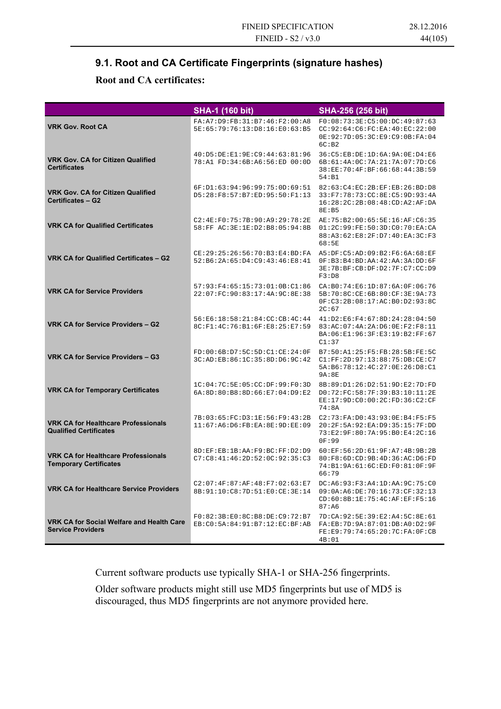### **9.1. Root and CA Certificate Fingerprints (signature hashes)**

### **Root and CA certificates:**

|                                                                             | <b>SHA-1 (160 bit)</b>                                                             | SHA-256 (256 bit)                                                                                                  |
|-----------------------------------------------------------------------------|------------------------------------------------------------------------------------|--------------------------------------------------------------------------------------------------------------------|
| <b>VRK Gov. Root CA</b>                                                     | FA: A7: D9: FB: 31: B7: 46: F2: 00: A8<br>5E:65:79:76:13:D8:16:E0:63:B5            | F0:08:73:3E:C5:00:DC:49:87:63<br>CC:92:64:C6:FC:EA:40:EC:22:00<br>0E: 92: 7D: 05: 3C: E9: C9: 0B: FA: 04<br>6C:B2  |
| <b>VRK Gov. CA for Citizen Qualified</b><br><b>Certificates</b>             | 40:D5:DE:E1:9E:C9:44:63:81:96<br>78:A1 FD:34:6B:A6:56:ED 00:0D                     | 36: C5: EB: DE: 1D: 6A: 9A: 0E: D4: E6<br>6B:61:4A:0C:7A:21:7A:07:7D:C6<br>38:EE:70:4F:BF:66:68:44:3B:59<br>54: B1 |
| <b>VRK Gov. CA for Citizen Qualified</b><br><b>Certificates - G2</b>        | 6F: D1: 63: 94: 96: 99: 75: 0D: 69: 51<br>D5:28:F8:57:B7:ED:95:50:F1:13            | 82:63:C4:EC:2B:EF:EB:26:BD:DB<br>33:F7:78:73:CC:8E:C5:9D:93:4A<br>16:28:2C:2B:08:48:CD:A2:AF:DA<br>8E:B5           |
| <b>VRK CA for Qualified Certificates</b>                                    | C2:4E:F0:75:7B:90:A9:29:78:2E<br>58: FF AC: 3E: 1E: D2: B8: 05: 94: 8B             | AE: 75: B2: 00: 65: 5E: 16: AF: C6: 35<br>01:2C:99:FE:50:3D:CO:70:EA:CA<br>88:A3:62:E8:2F:D7:40:EA:3C:F3<br>68:5E  |
| VRK CA for Qualified Certificates - G2                                      | $CE: 29: 25: 26: 56: 70: B3: E4: BD: FA$<br>52:B6:2A:65:D4:C9:43:46:E8:41          | A5:DF:C5:AD:09:B2:F6:6A:68:EF<br>0F:B3:B4:BD:AA:42:AA:3A:DD:6F<br>3E:7B:BF:CB:DF:D2:7F:C7:CC:D9<br>F3:DB           |
| <b>VRK CA for Service Providers</b>                                         | 57:93:F4:65:15:73:01:0B:C1:86<br>22:07:FC:90:83:17:4A:9C:8E:38                     | CA:BO:74:EG:1D:87:6A:OF:06:76<br>5B:70:8C:CE:6B:80:CF:3E:9A:73<br>0F:C3:2B:08:17:AC:B0:D2:93:8C<br>2C:67           |
| <b>VRK CA for Service Providers - G2</b>                                    | 56:E6:18:58:21:84:CC:CB:4C:44<br>8C:F1:4C:76:B1:6F:E8:25:E7:59                     | 41:D2:E6:F4:67:8D:24:28:04:50<br>83:AC:07:4A:2A:D6:0E:F2:F8:11<br>BA: 06: E1: 96: 3F: E3: 19: B2: FF: 67<br>C1:37  |
| VRK CA for Service Providers - G3                                           | FD:00:6B:D7:5C:5D:C1:CE:24:0F<br>3C:AD:EB:86:1C:35:8D:D6:9C:42                     | B7:50:A1:25:F5:FB:28:5B:FE:5C<br>C1: FF: 2D:97:13:88:75:DB:CE:CI<br>5A:B6:78:12:4C:27:0E:26:D8:C1<br>9A:8E         |
| <b>VRK CA for Temporary Certificates</b>                                    | 1C:04:7C:5E:05:CC:DF:99:F0:3D<br>6A: 8D: 80: B8: 8D: 66: E7: 04: D9: E2            | 8B:89:D1:26:D2:51:9D:E2:7D:FD<br>D0:72:FC:58:7F:39:B3:10:11:2E<br>EE:17:9D:C0:00:2C:FD:36:C2:CF<br>74:8A           |
| <b>VRK CA for Healthcare Professionals</b><br><b>Qualified Certificates</b> | 7B:03:65:FC:D3:1E:56:F9:43:2B<br>11:67:A6:D6:FB:EA:8E:9D:EE:09                     | C2:73:FA:D0:43:93:0E:B4:F5:F5<br>20:2F:5A:92:EA:D9:35:15:7F:DD<br>73:E2:9F:80:7A:95:B0:E4:2C:16<br>0F:99           |
| <b>VRK CA for Healthcare Professionals</b><br><b>Temporary Certificates</b> | 8D: EF: EB: 1B: AA: F9: BC: FF: D2: D9<br>$C7: C8: 41: 46: 2D: 52: 0C: 92: 35: C3$ | 60:EF:56:2D:61:9F:A7:4B:9B:2B<br>80:F8:6D:CD:9B:4D:36:AC:D6:FD<br>74: B1: 9A: 61: 6C: ED: F0: 81: 0F: 9F<br>66:79  |
| <b>VRK CA for Healthcare Service Providers</b>                              | C2:07:4F:87:AF:48:F7:02:63:E7<br>8B: 91:10: C8: 7D: 51: E0: CE: 3E: 14             | DC:A6:93:F3:A4:1D:AA:9C:75:C0<br>09:0A:A6:DE:70:16:73:CF:32:13<br>CD:60:8B:1E:75:4C:AF:EF:F5:16<br>87:AG           |
| VRK CA for Social Welfare and Health Care<br><b>Service Providers</b>       | F0:82:3B:E0:8C:B8:DE:C9:72:B7<br>EB: C0: 5A: 84: 91: B7: 12: EC: BF: AB            | 7D: CA: 92: 5E: 39: E2: A4: 5C: 8E: 61<br>FA:EB:7D:9A:87:01:DB:A0:D2:9F<br>FE:E9:79:74:65:20:7C:FA:0F:CB<br>4B:01  |

Current software products use typically SHA-1 or SHA-256 fingerprints.

Older software products might still use MD5 fingerprints but use of MD5 is discouraged, thus MD5 fingerprints are not anymore provided here.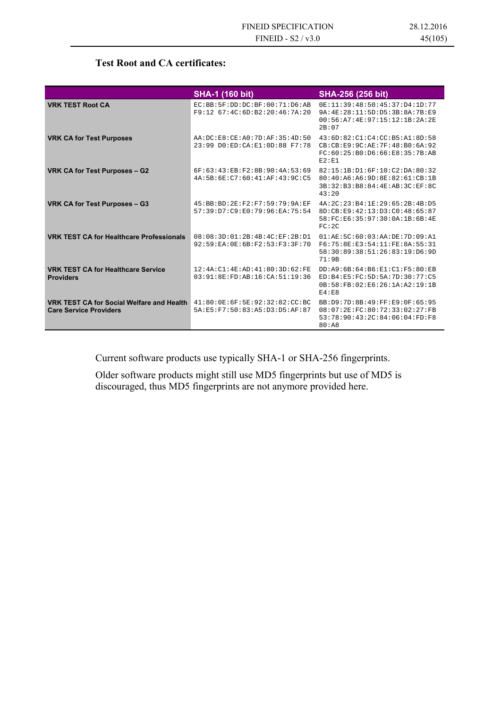### **Test Root and CA certificates:**

|                                                                                   | <b>SHA-1 (160 bit)</b>                                                  | <b>SHA-256 (256 bit)</b>                                                                                                   |
|-----------------------------------------------------------------------------------|-------------------------------------------------------------------------|----------------------------------------------------------------------------------------------------------------------------|
| <b>VRK TEST Root CA</b>                                                           | EC: BB: 5F: DD: DC: BF: 00:71: D6: AB<br>F9:12 67:4C:6D:B2:20:46:7A:20  | 0E:11:39:48:50:45:37:D4:1D:77<br>9A: 4E: 28: 11: 5D: D5: 3B: 8A: 7B: E9<br>00:56:A7:4E:97:15:12:1B:2A:2E<br>2B:07          |
| <b>VRK CA for Test Purposes</b>                                                   | AA:DC:EB:CE:AO:7D:AF:35:4D:50<br>23:99 DO:ED:CA:E1:0D:88 F7:78          | 43:6D:82:Cl:C4:CC:B5:A1:8D:58<br>CB:CB:EQ:9C:AE:7F:48:B0:6A:92<br>FC:60:25:B0:D6:66:E8:35:7B:AB<br>E2:E1                   |
| VRK CA for Test Purposes - G2                                                     | 6F:63:43:EB:F2:8B:90:4A:53:69<br>4A: 5B: 6E: C7: 60: 41: AF: 43: 9C: C5 | 82:15:1B:D1:6F:10:C2:DA:80:32<br>80:40:A6:A6:9D:8E:82:61:CB:1B<br>3B: 32: B3: B8: 84: 4E: AB: 3C: EF: 8C<br>43:20          |
| VRK CA for Test Purposes - G3                                                     | 45: BB: BD: 2E: F2: F7: 59: 79: 9A: EF<br>57:39:D7:C9:E0:79:96:EA:75:54 | 4A: 2C: 23: B4: 1E: 29: 65: 2B: 4B: D5<br>8D:CB:E9:42:13:D3:C0:48:65:87<br>58: FC: E6: 35: 97: 30: 0A: 1B: 6B: 4E<br>FC:2C |
| <b>VRK TEST CA for Healthcare Professionals</b>                                   | 08:08:3D:01:2B:4B:4C:EF:2B:D1<br>92:59:EA:0E:6B:F2:53:F3:3F:70          | 01:AE:5C:60:03:AA:DE:7D:09:A1<br>F6:75:8E:E3:54:11:FE:8A:55:31<br>58:30:89:38:51:26:83:19:D6:9D<br>71:9B                   |
| <b>VRK TEST CA for Healthcare Service</b><br><b>Providers</b>                     | 12:4A:Cl:4E:AD:41:80:3D:62:FE<br>03:91:8E:FD:AB:16:CA:51:19:36          | DD:A9:6B:64:B6:E1:C1:F5:80:EB<br>ED: B4: E5: FC: 5D: 5A: 7D: 30: 77: C5<br>0B:58:FB:02:E6:26:1A:A2:19:1B<br>E4:E8          |
| <b>VRK TEST CA for Social Welfare and Health</b><br><b>Care Service Providers</b> | 41:80:0E:6F:5E:92:32:82:CC:BC<br>5A:E5:F7:50:83:A5:D3:D5:AF:87          | BB:D9:7D:8B:49:FF:E9:0F:65:95<br>08:07:2E:FC:80:72:33:02:27:FB<br>53:78:90:43:2C:84:06:04:FD:F8<br>80:A8                   |

Current software products use typically SHA-1 or SHA-256 fingerprints.

Older software products might still use MD5 fingerprints but use of MD5 is discouraged, thus MD5 fingerprints are not anymore provided here.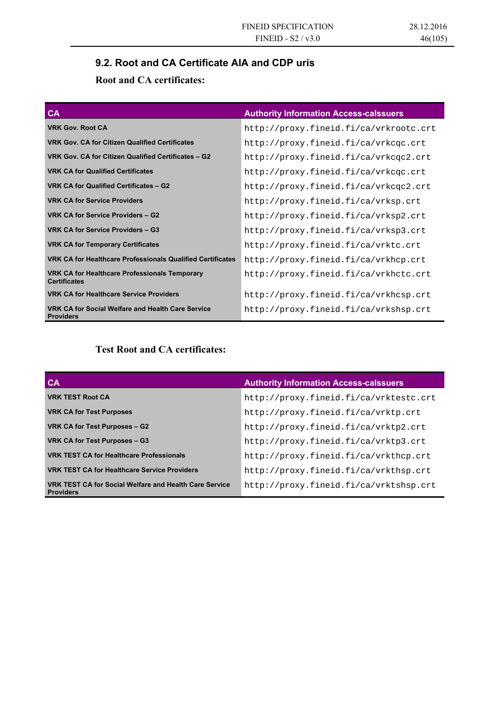## **9.2. Root and CA Certificate AIA and CDP uris**

### **Root and CA certificates:**

| CA                                                                          | <b>Authority Information Access-calssuers</b> |
|-----------------------------------------------------------------------------|-----------------------------------------------|
| <b>VRK Gov. Root CA</b>                                                     | http://proxy.fineid.fi/ca/vrkrootc.crt        |
| <b>VRK Gov. CA for Citizen Qualified Certificates</b>                       | http://proxy.fineid.fi/ca/vrkcqc.crt          |
| VRK Gov. CA for Citizen Qualified Certificates - G2                         | http://proxy.fineid.fi/ca/vrkcqc2.crt         |
| <b>VRK CA for Qualified Certificates</b>                                    | http://proxy.fineid.fi/ca/vrkcqc.crt          |
| VRK CA for Qualified Certificates - G2                                      | http://proxy.fineid.fi/ca/vrkcqc2.crt         |
| <b>VRK CA for Service Providers</b>                                         | http://proxy.fineid.fi/ca/vrksp.crt           |
| VRK CA for Service Providers - G2                                           | http://proxy.fineid.fi/ca/vrksp2.crt          |
| VRK CA for Service Providers - G3                                           | http://proxy.fineid.fi/ca/vrksp3.crt          |
| <b>VRK CA for Temporary Certificates</b>                                    | http://proxy.fineid.fi/ca/vrktc.crt           |
| <b>VRK CA for Healthcare Professionals Qualified Certificates</b>           | http://proxy.fineid.fi/ca/vrkhcp.crt          |
| <b>VRK CA for Healthcare Professionals Temporary</b><br><b>Certificates</b> | http://proxy.fineid.fi/ca/vrkhctc.crt         |
| <b>VRK CA for Healthcare Service Providers</b>                              | http://proxy.fineid.fi/ca/vrkhcsp.crt         |
| VRK CA for Social Welfare and Health Care Service<br><b>Providers</b>       | http://proxy.fineid.fi/ca/vrkshsp.crt         |

### **Test Root and CA certificates:**

| $C_{\mathsf{A}}$                                                           | <b>Authority Information Access-calssuers</b> |
|----------------------------------------------------------------------------|-----------------------------------------------|
| <b>VRK TEST Root CA</b>                                                    | http://proxy.fineid.fi/ca/vrktestc.crt        |
| <b>VRK CA for Test Purposes</b>                                            | http://proxy.fineid.fi/ca/vrktp.crt           |
| VRK CA for Test Purposes - G2                                              | http://proxy.fineid.fi/ca/vrktp2.crt          |
| VRK CA for Test Purposes - G3                                              | http://proxy.fineid.fi/ca/vrktp3.crt          |
| <b>VRK TEST CA for Healthcare Professionals</b>                            | http://proxy.fineid.fi/ca/vrkthcp.crt         |
| <b>VRK TEST CA for Healthcare Service Providers</b>                        | http://proxy.fineid.fi/ca/vrkthsp.crt         |
| VRK TEST CA for Social Welfare and Health Care Service<br><b>Providers</b> | http://proxy.fineid.fi/ca/vrktshsp.crt        |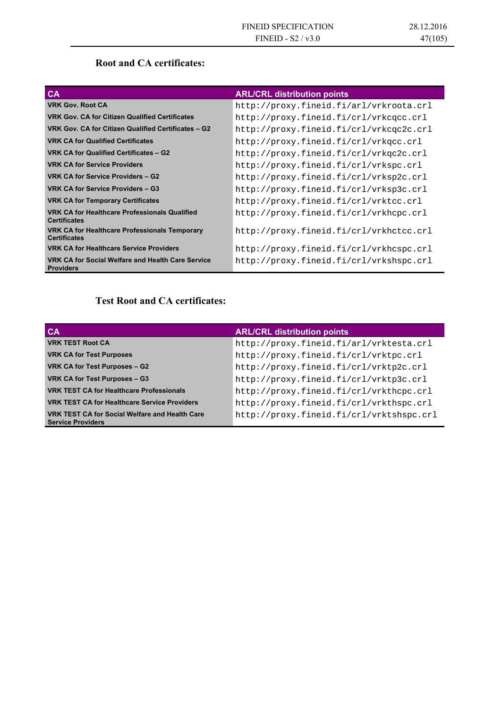### **Root and CA certificates:**

| <b>CA</b>                                                                   | <b>ARL/CRL distribution points</b>      |
|-----------------------------------------------------------------------------|-----------------------------------------|
| <b>VRK Gov. Root CA</b>                                                     | http://proxy.fineid.fi/arl/vrkroota.crl |
| <b>VRK Gov. CA for Citizen Qualified Certificates</b>                       | http://proxy.fineid.fi/crl/vrkcqcc.crl  |
| VRK Gov. CA for Citizen Qualified Certificates - G2                         | http://proxy.fineid.fi/crl/vrkcqc2c.crl |
| <b>VRK CA for Qualified Certificates</b>                                    | http://proxy.fineid.fi/crl/vrkqcc.crl   |
| VRK CA for Qualified Certificates - G2                                      | http://proxy.fineid.fi/crl/vrkgc2c.crl  |
| <b>VRK CA for Service Providers</b>                                         | http://proxy.fineid.fi/crl/vrkspc.crl   |
| VRK CA for Service Providers - G2                                           | http://proxy.fineid.fi/crl/vrksp2c.crl  |
| VRK CA for Service Providers - G3                                           | http://proxy.fineid.fi/crl/vrksp3c.crl  |
| <b>VRK CA for Temporary Certificates</b>                                    | http://proxy.fineid.fi/crl/vrktcc.crl   |
| <b>VRK CA for Healthcare Professionals Qualified</b><br><b>Certificates</b> | http://proxy.fineid.fi/crl/vrkhcpc.crl  |
| VRK CA for Healthcare Professionals Temporary<br><b>Certificates</b>        | http://proxy.fineid.fi/crl/vrkhctcc.crl |
| <b>VRK CA for Healthcare Service Providers</b>                              | http://proxy.fineid.fi/crl/vrkhcspc.crl |
| VRK CA for Social Welfare and Health Care Service<br><b>Providers</b>       | http://proxy.fineid.fi/crl/vrkshspc.crl |

## **Test Root and CA certificates:**

| <b>CA</b>                                                                         | <b>ARL/CRL distribution points</b>       |
|-----------------------------------------------------------------------------------|------------------------------------------|
| <b>VRK TEST Root CA</b>                                                           | http://proxy.fineid.fi/arl/vrktesta.crl  |
| <b>VRK CA for Test Purposes</b>                                                   | http://proxy.fineid.fi/crl/vrktpc.crl    |
| VRK CA for Test Purposes - G2                                                     | http://proxy.fineid.fi/crl/vrktp2c.crl   |
| VRK CA for Test Purposes - G3                                                     | http://proxy.fineid.fi/crl/vrktp3c.crl   |
| <b>VRK TEST CA for Healthcare Professionals</b>                                   | http://proxy.fineid.fi/crl/vrkthcpc.crl  |
| <b>VRK TEST CA for Healthcare Service Providers</b>                               | http://proxy.fineid.fi/crl/vrkthspc.crl  |
| <b>VRK TEST CA for Social Welfare and Health Care</b><br><b>Service Providers</b> | http://proxy.fineid.fi/crl/vrktshspc.crl |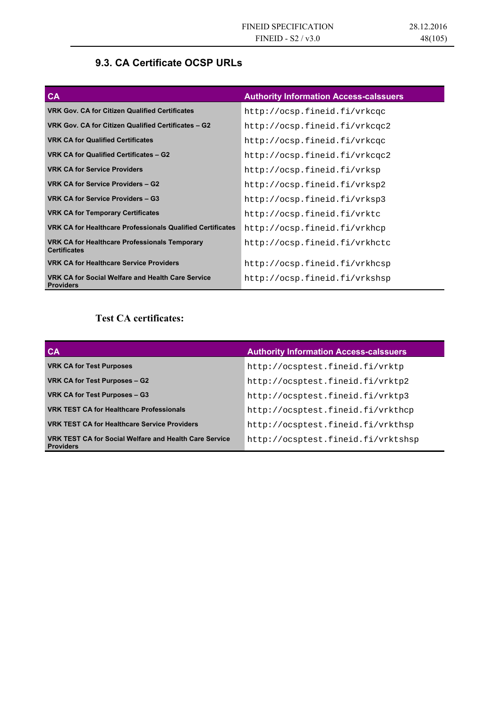### **9.3. CA Certificate OCSP URLs**

| <b>CA</b>                                                             | <b>Authority Information Access-calssuers</b> |
|-----------------------------------------------------------------------|-----------------------------------------------|
| <b>VRK Gov. CA for Citizen Qualified Certificates</b>                 | http://ocsp.fineid.fi/vrkcgc                  |
| VRK Gov. CA for Citizen Qualified Certificates - G2                   | http://ocsp.fineid.fi/vrkcqc2                 |
| <b>VRK CA for Qualified Certificates</b>                              | http://ocsp.fineid.fi/vrkcqc                  |
| VRK CA for Qualified Certificates - G2                                | http://ocsp.fineid.fi/vrkcqc2                 |
| <b>VRK CA for Service Providers</b>                                   | http://ocsp.fineid.fi/vrksp                   |
| VRK CA for Service Providers - G2                                     | http://ocsp.fineid.fi/vrksp2                  |
| VRK CA for Service Providers - G3                                     | http://ocsp.fineid.fi/vrksp3                  |
| <b>VRK CA for Temporary Certificates</b>                              | http://ocsp.fineid.fi/vrktc                   |
| <b>VRK CA for Healthcare Professionals Qualified Certificates</b>     | http://ocsp.fineid.fi/vrkhcp                  |
| VRK CA for Healthcare Professionals Temporary<br><b>Certificates</b>  | http://ocsp.fineid.fi/vrkhctc                 |
| <b>VRK CA for Healthcare Service Providers</b>                        | http://ocsp.fineid.fi/vrkhcsp                 |
| VRK CA for Social Welfare and Health Care Service<br><b>Providers</b> | http://ocsp.fineid.fi/vrkshsp                 |

### **Test CA certificates:**

| $C_{\mathsf{A}}$                                                           | <b>Authority Information Access-calssuers</b> |
|----------------------------------------------------------------------------|-----------------------------------------------|
| <b>VRK CA for Test Purposes</b>                                            | http://ocsptest.fineid.fi/vrktp               |
| VRK CA for Test Purposes - G2                                              | http://ocsptest.fineid.fi/vrktp2              |
| VRK CA for Test Purposes - G3                                              | http://ocsptest.fineid.fi/vrktp3              |
| <b>VRK TEST CA for Healthcare Professionals</b>                            | http://ocsptest.fineid.fi/vrkthcp             |
| <b>VRK TEST CA for Healthcare Service Providers</b>                        | http://ocsptest.fineid.fi/vrkthsp             |
| VRK TEST CA for Social Welfare and Health Care Service<br><b>Providers</b> | http://ocsptest.fineid.fi/vrktshsp            |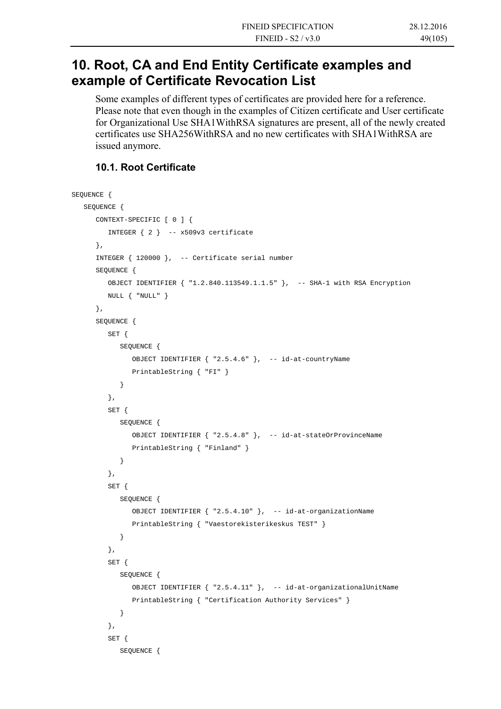## **10. Root, CA and End Entity Certificate examples and example of Certificate Revocation List**

Some examples of different types of certificates are provided here for a reference. Please note that even though in the examples of Citizen certificate and User certificate for Organizational Use SHA1WithRSA signatures are present, all of the newly created certificates use SHA256WithRSA and no new certificates with SHA1WithRSA are issued anymore.

### **10.1. Root Certificate**

```
SEQUENCE { 
    SEQUENCE { 
       CONTEXT-SPECIFIC [ 0 ] { 
          INTEGER { 2 } -- x509v3 certificate 
       }, 
       INTEGER { 120000 }, -- Certificate serial number 
       SEQUENCE { 
          OBJECT IDENTIFIER { "1.2.840.113549.1.1.5" }, -- SHA-1 with RSA Encryption 
          NULL { "NULL" } 
       }, 
       SEQUENCE { 
          SET { 
             SEQUENCE { 
                OBJECT IDENTIFIER { "2.5.4.6" }, -- id-at-countryName 
                PrintableString { "FI" } 
 } 
          }, 
          SET { 
             SEQUENCE { 
                OBJECT IDENTIFIER { "2.5.4.8" }, -- id-at-stateOrProvinceName 
                PrintableString { "Finland" } 
 } 
          }, 
          SET { 
             SEQUENCE { 
                OBJECT IDENTIFIER { "2.5.4.10" }, -- id-at-organizationName 
                PrintableString { "Vaestorekisterikeskus TEST" } 
 } 
          }, 
          SET { 
             SEQUENCE { 
                OBJECT IDENTIFIER { "2.5.4.11" }, -- id-at-organizationalUnitName 
                PrintableString { "Certification Authority Services" } 
 } 
          }, 
          SET { 
             SEQUENCE {
```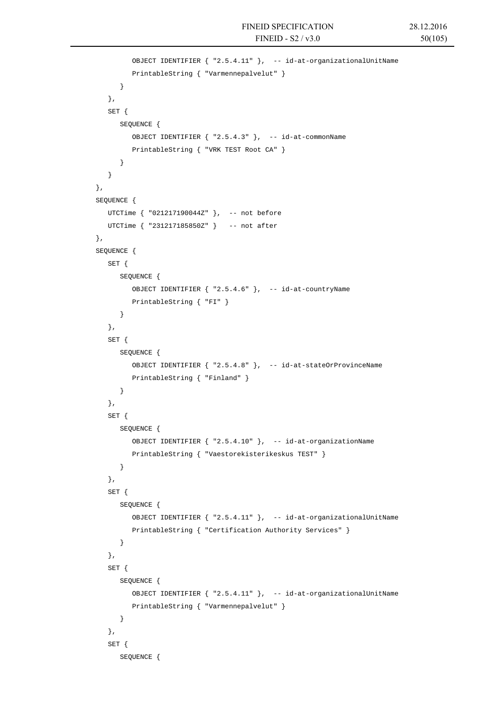```
 OBJECT IDENTIFIER { "2.5.4.11" }, -- id-at-organizationalUnitName 
                PrintableString { "Varmennepalvelut" } 
             } 
          }, 
          SET { 
             SEQUENCE { 
                OBJECT IDENTIFIER { "2.5.4.3" }, -- id-at-commonName 
                PrintableString { "VRK TEST Root CA" } 
             } 
 } 
       }, 
       SEQUENCE { 
         UTCTime { "021217190044Z" }, -- not before
         UTCTime { "231217185850Z" } -- not after 
      }, 
       SEQUENCE { 
          SET { 
             SEQUENCE { 
                OBJECT IDENTIFIER { "2.5.4.6" }, -- id-at-countryName 
                PrintableString { "FI" } 
             } 
          }, 
          SET { 
             SEQUENCE { 
                OBJECT IDENTIFIER { "2.5.4.8" }, -- id-at-stateOrProvinceName 
                PrintableString { "Finland" } 
             } 
          }, 
          SET { 
             SEQUENCE { 
                OBJECT IDENTIFIER { "2.5.4.10" }, -- id-at-organizationName 
                PrintableString { "Vaestorekisterikeskus TEST" } 
             } 
          }, 
          SET { 
             SEQUENCE { 
                OBJECT IDENTIFIER { "2.5.4.11" }, -- id-at-organizationalUnitName 
                PrintableString { "Certification Authority Services" } 
 } 
          }, 
          SET { 
             SEQUENCE { 
                OBJECT IDENTIFIER { "2.5.4.11" }, -- id-at-organizationalUnitName 
                PrintableString { "Varmennepalvelut" } 
 } 
          }, 
          SET { 
             SEQUENCE {
```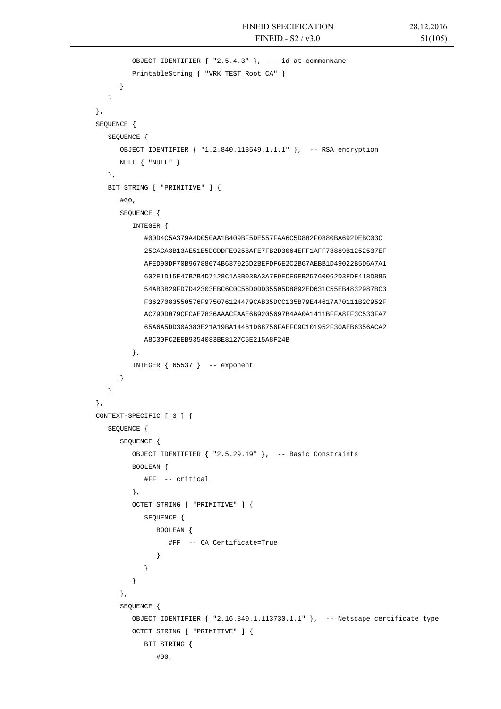```
 OBJECT IDENTIFIER { "2.5.4.3" }, -- id-at-commonName 
                PrintableString { "VRK TEST Root CA" } 
            } 
 } 
      }, 
      SEQUENCE { 
         SEQUENCE { 
            OBJECT IDENTIFIER { "1.2.840.113549.1.1.1" }, -- RSA encryption 
            NULL { "NULL" } 
         }, 
         BIT STRING [ "PRIMITIVE" ] { 
            #00, 
            SEQUENCE { 
                INTEGER { 
                   #00D4C5A379A4D050AA1B409BF5DE557FAA6C5D882F0880BA692DEBC03C 
                   25CACA3B13AE51E5DCDDFE9258AFE7FB2D3064EFF1AFF73889B1252537EF 
                   AFED90DF70B96788074B637026D2BEFDF6E2C2B67AEBB1D49022B5D6A7A1 
                   602E1D15E47B2B4D7128C1A8B03BA3A7F9ECE9EB25760062D3FDF418D885 
                   54AB3B29FD7D42303EBC6C0C56D0DD35505D8892ED631C55EB4832987BC3 
                   F3627083550576F975076124479CAB35DCC135B79E44617A70111B2C952F 
                   AC790D079CFCAE7836AAACFAAE6B9205697B4AA0A1411BFFA8FF3C533FA7 
                   65A6A5DD30A383E21A19BA14461D68756FAEFC9C101952F30AEB6356ACA2 
                   A8C30FC2EEB9354083BE8127C5E215A8F24B 
                }, 
               INTEGER \{65537\} -- exponent
 } 
         } 
      }, 
      CONTEXT-SPECIFIC [ 3 ] { 
         SEQUENCE { 
            SEQUENCE { 
                OBJECT IDENTIFIER { "2.5.29.19" }, -- Basic Constraints 
                BOOLEAN { 
                   #FF -- critical 
                }, 
                OCTET STRING [ "PRIMITIVE" ] { 
                   SEQUENCE { 
                     BOOLEAN { 
                         #FF -- CA Certificate=True 
 } 
 } 
 } 
             }, 
            SEQUENCE { 
                OBJECT IDENTIFIER { "2.16.840.1.113730.1.1" }, -- Netscape certificate type 
               OCTET STRING [ "PRIMITIVE" ] { 
                  BIT STRING { 
                      #00,
```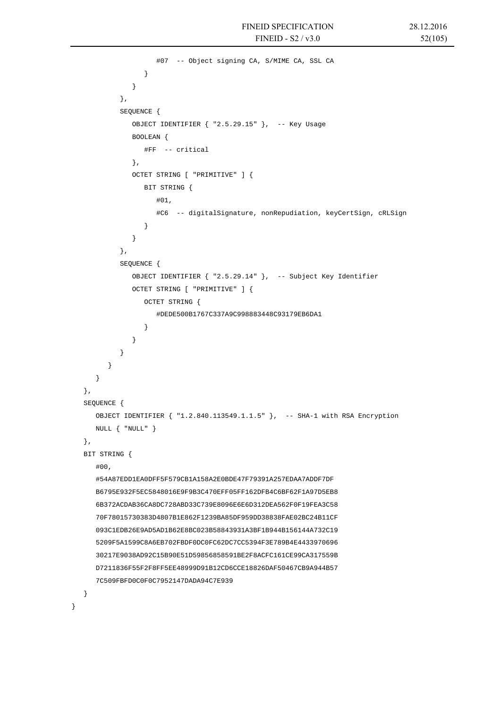```
 #07 -- Object signing CA, S/MIME CA, SSL CA 
 } 
 } 
            }, 
            SEQUENCE { 
               OBJECT IDENTIFIER { "2.5.29.15" }, -- Key Usage 
               BOOLEAN { 
                  #FF -- critical 
               }, 
               OCTET STRING [ "PRIMITIVE" ] { 
                  BIT STRING { 
                     #01, 
                     #C6 -- digitalSignature, nonRepudiation, keyCertSign, cRLSign 
 } 
 } 
            }, 
            SEQUENCE { 
               OBJECT IDENTIFIER { "2.5.29.14" }, -- Subject Key Identifier 
               OCTET STRING [ "PRIMITIVE" ] { 
                  OCTET STRING { 
                     #DEDE500B1767C337A9C998883448C93179EB6DA1 
 } 
 } 
 } 
 } 
      } 
   }, 
   SEQUENCE { 
      OBJECT IDENTIFIER { "1.2.840.113549.1.1.5" }, -- SHA-1 with RSA Encryption 
      NULL { "NULL" } 
   }, 
   BIT STRING { 
      #00, 
      #54A87EDD1EA0DFF5F579CB1A158A2E0BDE47F79391A257EDAA7ADDF7DF 
      B6795E932F5EC5848016E9F9B3C470EFF05FF162DFB4C6BF62F1A97D5EB8 
      6B372ACDAB36CA8DC728ABD33C739E8096E6E6D312DEA562F0F19FEA3C58 
      70F78015730383D4807B1E862F1239BA85DF959DD38838FAE02BC24B11CF 
      093C1EDB26E9AD5AD1B62E8BC023B58843931A3BF1B944B156144A732C19 
      5209F5A1599C8A6EB702FBDF0DC0FC62DC7CC5394F3E789B4E4433970696 
      30217E9038AD92C15B90E51D59856858591BE2F8ACFC161CE99CA317559B 
      D7211836F55F2F8FF5EE48999D91B12CD6CCE18826DAF50467CB9A944B57 
      7C509FBFD0C0F0C7952147DADA94C7E939 
   }
```
}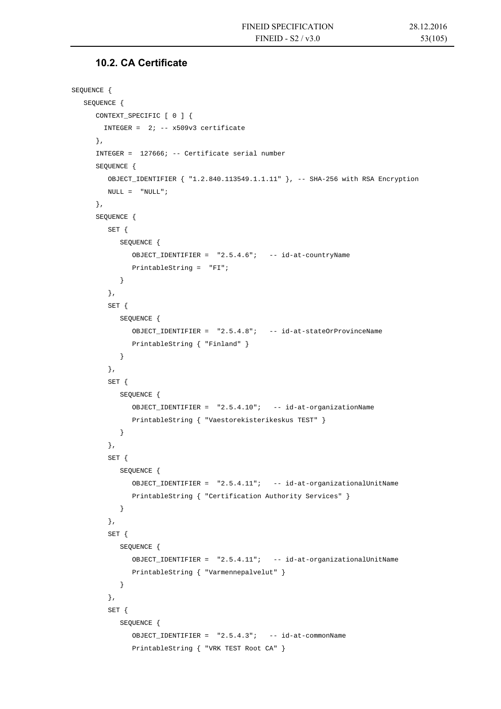### **10.2. CA Certificate**

```
SEQUENCE { 
   SEQUENCE { 
       CONTEXT_SPECIFIC [ 0 ] { 
        INTEGER = 2i -- x509v3 certificate
       }, 
       INTEGER = 127666; -- Certificate serial number 
       SEQUENCE { 
          OBJECT_IDENTIFIER { "1.2.840.113549.1.1.11" }, -- SHA-256 with RSA Encryption 
        NULL = "NULL"; }, 
       SEQUENCE { 
          SET { 
             SEQUENCE { 
                OBJECT_IDENTIFIER = "2.5.4.6"; -- id-at-countryName 
                PrintableString = "FI"; 
             } 
          }, 
          SET { 
             SEQUENCE { 
                OBJECT_IDENTIFIER = "2.5.4.8"; -- id-at-stateOrProvinceName 
                PrintableString { "Finland" } 
 } 
          }, 
          SET { 
             SEQUENCE { 
                OBJECT_IDENTIFIER = "2.5.4.10"; -- id-at-organizationName 
                PrintableString { "Vaestorekisterikeskus TEST" } 
 } 
          }, 
          SET { 
             SEQUENCE { 
                OBJECT_IDENTIFIER = "2.5.4.11"; -- id-at-organizationalUnitName 
                PrintableString { "Certification Authority Services" } 
 } 
          }, 
          SET { 
             SEQUENCE { 
                OBJECT_IDENTIFIER = "2.5.4.11"; -- id-at-organizationalUnitName 
                PrintableString { "Varmennepalvelut" } 
             } 
          }, 
          SET { 
             SEQUENCE { 
                OBJECT_IDENTIFIER = "2.5.4.3"; -- id-at-commonName 
                PrintableString { "VRK TEST Root CA" }
```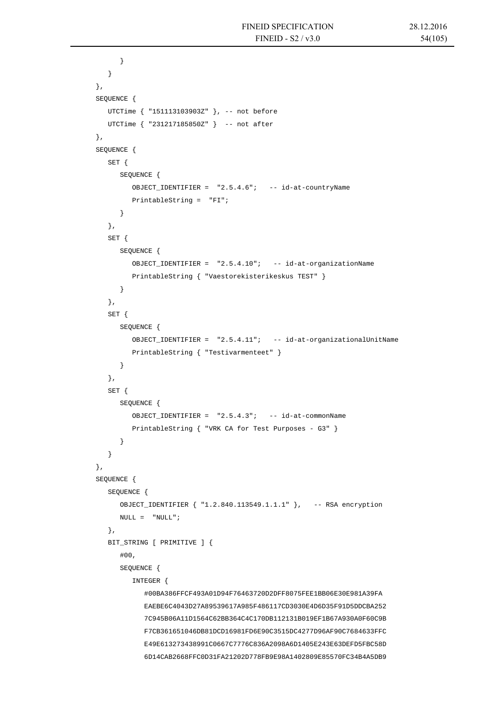```
 } 
          } 
      }, 
       SEQUENCE { 
          UTCTime { "151113103903Z" }, -- not before 
          UTCTime { "231217185850Z" } -- not after 
       }, 
       SEQUENCE { 
          SET { 
             SEQUENCE { 
                OBJECT_IDENTIFIER = "2.5.4.6"; -- id-at-countryName 
                PrintableString = "FI"; 
 } 
          }, 
          SET { 
             SEQUENCE { 
                OBJECT_IDENTIFIER = "2.5.4.10"; -- id-at-organizationName 
                PrintableString { "Vaestorekisterikeskus TEST" } 
 } 
          }, 
          SET { 
             SEQUENCE { 
                OBJECT_IDENTIFIER = "2.5.4.11"; -- id-at-organizationalUnitName 
                PrintableString { "Testivarmenteet" } 
 } 
          }, 
          SET { 
             SEQUENCE { 
                OBJECT_IDENTIFIER = "2.5.4.3"; -- id-at-commonName 
                PrintableString { "VRK CA for Test Purposes - G3" } 
 } 
          } 
       }, 
       SEQUENCE { 
          SEQUENCE { 
             OBJECT_IDENTIFIER { "1.2.840.113549.1.1.1" }, -- RSA encryption 
            \begin{array}{ccc} \text{NULL} & = & \text{"NULL"} \; ; \end{array} }, 
          BIT_STRING [ PRIMITIVE ] { 
             #00, 
             SEQUENCE { 
                INTEGER { 
                    #00BA386FFCF493A01D94F76463720D2DFF8075FEE1BB06E30E981A39FA 
                   EAEBE6C4043D27A89539617A985F486117CD3030E4D6D35F91D5DDCBA252 
                   7C945B06A11D1564C62BB364C4C170DB112131B019EF1B67A930A0F60C9B 
                   F7CB361651046DB81DCD16981FD6E90C3515DC4277D96AF90C7684633FFC 
                   E49E613273438991C0667C7776C836A2098A6D1405E243E63DEFD5FBC58D 
                    6D14CAB2668FFC0D31FA21202D778FB9E98A1402809E85570FC34B4A5DB9
```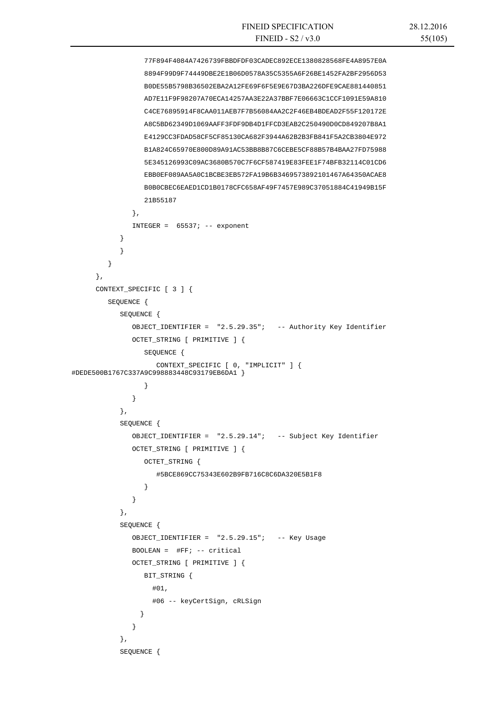```
 77F894F4084A7426739FBBDFDF03CADEC892ECE1380828568FE4A8957E0A 
                  8894F99D9F74449DBE2E1B06D0578A35C5355A6F26BE1452FA2BF2956D53 
                  B0DE55B5798B36502EBA2A12FE69F6F5E9E67D3BA226DFE9CAE881440851 
                  AD7E11F9F98207A70ECA14257AA3E22A37BBF7E06663C1CCF1091E59A810 
                  C4CE76895914F8CAA011AEB7F7B56084AA2C2F46EB4BDEAD2F55F120172E 
                  A8C5BD62349D1069AAFF3FDF9DB4D1FFCD3EAB2C250490D0CD849207B8A1 
                  E4129CC3FDAD58CF5CF85130CA682F3944A62B2B3FB841F5A2CB3804E972 
                  B1A824C65970E800D89A91AC53BB8B87C6CEBE5CF88B57B4BAA27FD75988 
                  5E345126993C09AC3680B570C7F6CF587419E83FEE1F74BFB32114C01CD6 
                  EBB0EF089AA5A0C1BCBE3EB572FA19B6B3469573892101467A64350ACAE8 
                  B0B0CBEC6EAED1CD1B0178CFC658AF49F7457E989C37051884C41949B15F 
                  21B55187 
               }, 
              INTEGER = 65537; -- exponent
 } 
 } 
 } 
      }, 
      CONTEXT_SPECIFIC [ 3 ] { 
         SEQUENCE { 
            SEQUENCE { 
               OBJECT_IDENTIFIER = "2.5.29.35"; -- Authority Key Identifier 
               OCTET_STRING [ PRIMITIVE ] { 
                  SEQUENCE { 
                     CONTEXT_SPECIFIC [ 0, "IMPLICIT" ] { 
#DEDE500B1767C337A9C998883448C93179EB6DA1 } 
 } 
 } 
            }, 
            SEQUENCE { 
               OBJECT_IDENTIFIER = "2.5.29.14"; -- Subject Key Identifier 
               OCTET_STRING [ PRIMITIVE ] { 
                  OCTET_STRING { 
                     #5BCE869CC75343E602B9FB716C8C6DA320E5B1F8 
 } 
 } 
            }, 
            SEQUENCE { 
               OBJECT_IDENTIFIER = "2.5.29.15"; -- Key Usage 
               BOOLEAN = #FF; -- critical 
              OCTET STRING [ PRIMITIVE ] {
                  BIT_STRING { 
                    #01, 
                    #06 -- keyCertSign, cRLSign 
 } 
 } 
            }, 
            SEQUENCE {
```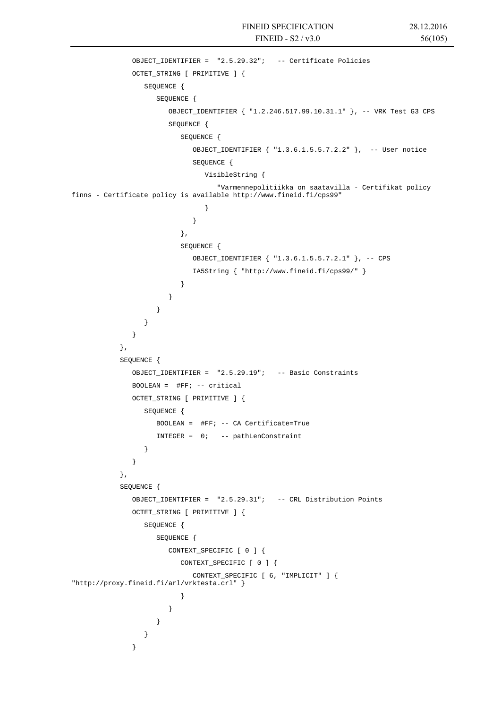```
 OBJECT_IDENTIFIER = "2.5.29.32"; -- Certificate Policies 
            OCTET STRING [ PRIMITIVE ] {
               SEQUENCE { 
                  SEQUENCE { 
                    OBJECT_IDENTIFIER { "1.2.246.517.99.10.31.1" }, -- VRK Test G3 CPS 
                    SEQUENCE { 
                       SEQUENCE { 
                         OBJECT_IDENTIFIER { "1.3.6.1.5.5.7.2.2" }, -- User notice 
                         SEQUENCE { 
                           VisibleString { 
                              "Varmennepolitiikka on saatavilla - Certifikat policy 
finns - Certificate policy is available http://www.fineid.fi/cps99" 
 } 
 } 
 }, 
                       SEQUENCE { 
                         OBJECT_IDENTIFIER { "1.3.6.1.5.5.7.2.1" }, -- CPS 
                         IA5String { "http://www.fineid.fi/cps99/" } 
 } 
 } 
 } 
 } 
 } 
          }, 
          SEQUENCE { 
             OBJECT_IDENTIFIER = "2.5.29.19"; -- Basic Constraints 
             BOOLEAN = #FF; -- critical 
             OCTET_STRING [ PRIMITIVE ] { 
               SEQUENCE { 
                 BOOLEAN = #FF; -- CA Certificate=True 
                 INTEGER = 0; -- pathLenConstraint 
 } 
 } 
          }, 
          SEQUENCE { 
             OBJECT_IDENTIFIER = "2.5.29.31"; -- CRL Distribution Points 
             OCTET_STRING [ PRIMITIVE ] { 
               SEQUENCE { 
                 SEQUENCE { 
                    CONTEXT_SPECIFIC [ 0 ] { 
                       CONTEXT_SPECIFIC [ 0 ] { 
                         CONTEXT_SPECIFIC [ 6, "IMPLICIT" ] { 
"http://proxy.fineid.fi/arl/vrktesta.crl" }
 } 
 } 
 } 
 } 
 }
```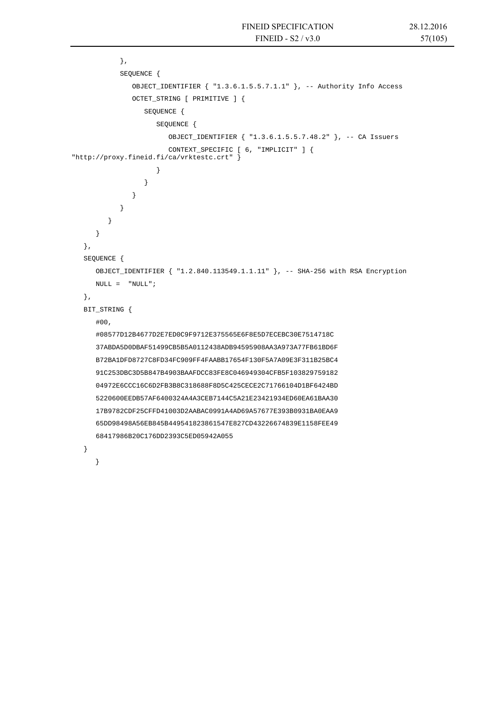```
 }, 
            SEQUENCE { 
               OBJECT_IDENTIFIER { "1.3.6.1.5.5.7.1.1" }, -- Authority Info Access 
               OCTET_STRING [ PRIMITIVE ] { 
                  SEQUENCE { 
                     SEQUENCE { 
                        OBJECT_IDENTIFIER { "1.3.6.1.5.5.7.48.2" }, -- CA Issuers 
                        CONTEXT_SPECIFIC [ 6, "IMPLICIT" ] { 
"http://proxy.fineid.fi/ca/vrktestc.crt" } 
 } 
 } 
 } 
 } 
 } 
      } 
   }, 
   SEQUENCE { 
      OBJECT_IDENTIFIER { "1.2.840.113549.1.1.11" }, -- SHA-256 with RSA Encryption 
     NULL = "NULL"; }, 
   BIT_STRING { 
      #00, 
      #08577D12B4677D2E7ED0C9F9712E375565E6F8E5D7ECEBC30E7514718C 
      37ABDA5D0DBAF51499CB5B5A0112438ADB94595908AA3A973A77FB61BD6F 
      B72BA1DFD8727C8FD34FC909FF4FAABB17654F130F5A7A09E3F311B25BC4 
      91C253DBC3D5B847B4903BAAFDCC83FE8C046949304CFB5F103829759182 
      04972E6CCC16C6D2FB3B8C318688F8D5C425CECE2C71766104D1BF6424BD 
      5220600EEDB57AF6400324A4A3CEB7144C5A21E23421934ED60EA61BAA30 
      17B9782CDF25CFFD41003D2AABAC0991A4AD69A57677E393B0931BA0EAA9 
      65DD98498A56EB845B449541823861547E827CD43226674839E1158FEE49 
      68417986B20C176DD2393C5ED05942A055 
   } 
     }
```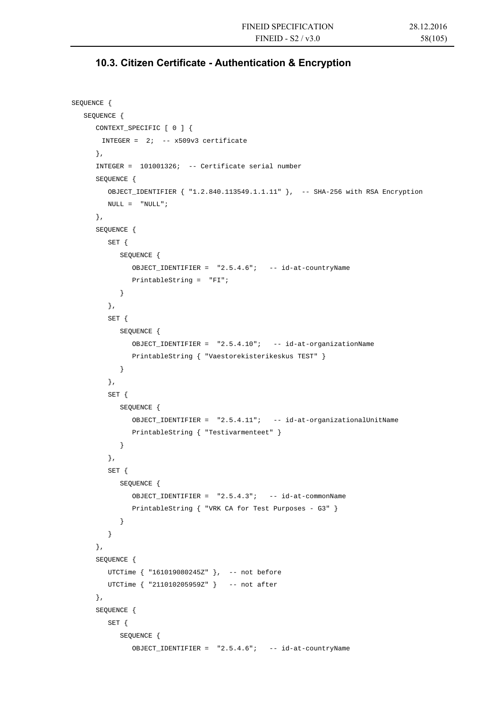### **10.3. Citizen Certificate - Authentication & Encryption**

```
SEQUENCE { 
    SEQUENCE { 
       CONTEXT_SPECIFIC [ 0 ] { 
       INTEGER = 2i -- x509v3 certificate
       }, 
       INTEGER = 101001326; -- Certificate serial number 
       SEQUENCE { 
         OBJECT IDENTIFIER \{  "1.2.840.113549.1.1.11" \}, -- SHA-256 with RSA Encryption
         NULL = "NULL"; }, 
       SEQUENCE { 
          SET { 
             SEQUENCE { 
                OBJECT_IDENTIFIER = "2.5.4.6"; -- id-at-countryName 
                PrintableString = "FI"; 
 } 
          }, 
          SET { 
             SEQUENCE { 
                OBJECT_IDENTIFIER = "2.5.4.10"; -- id-at-organizationName 
                PrintableString { "Vaestorekisterikeskus TEST" } 
 } 
          }, 
          SET { 
             SEQUENCE { 
                OBJECT_IDENTIFIER = "2.5.4.11"; -- id-at-organizationalUnitName 
                PrintableString { "Testivarmenteet" } 
             } 
          }, 
          SET { 
             SEQUENCE { 
                OBJECT_IDENTIFIER = "2.5.4.3"; -- id-at-commonName 
                PrintableString { "VRK CA for Test Purposes - G3" } 
             } 
 } 
       }, 
       SEQUENCE { 
         UTCTime { "161019080245Z" }, -- not before
          UTCTime { "211010205959Z" } -- not after 
       }, 
       SEQUENCE { 
          SET { 
             SEQUENCE { 
                OBJECT_IDENTIFIER = "2.5.4.6"; -- id-at-countryName
```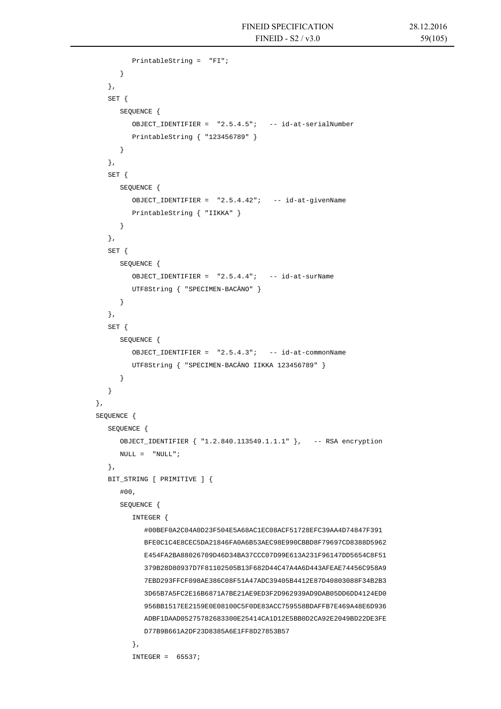```
 PrintableString = "FI"; 
 } 
         }, 
          SET { 
             SEQUENCE { 
                OBJECT_IDENTIFIER = "2.5.4.5"; -- id-at-serialNumber 
                PrintableString { "123456789" } 
 } 
          }, 
          SET { 
             SEQUENCE { 
                OBJECT_IDENTIFIER = "2.5.4.42"; -- id-at-givenName 
                PrintableString { "IIKKA" } 
             } 
         }, 
         SET { 
             SEQUENCE { 
                OBJECT_IDENTIFIER = "2.5.4.4"; -- id-at-surName 
                UTF8String { "SPECIMEN-BACÄNO" } 
 } 
         }, 
         SET { 
             SEQUENCE { 
               OBJECT IDENTIFIER = "2.5.4.3"; -- id-at-commonName
                UTF8String { "SPECIMEN-BACÄNO IIKKA 123456789" } 
 } 
 } 
      }, 
      SEQUENCE { 
         SEQUENCE { 
             OBJECT_IDENTIFIER { "1.2.840.113549.1.1.1" }, -- RSA encryption 
            \texttt{NULL} = \texttt{``NULL''} }, 
          BIT_STRING [ PRIMITIVE ] { 
             #00, 
             SEQUENCE { 
                INTEGER { 
                   #00BEF0A2C04A0D23F504E5A68AC1EC08ACF51728EFC39AA4D74847F391 
                   BFE0C1C4E8CEC5DA21846FA0A6B53AEC98E990CBBD8F79697CD8388D5962 
                   E454FA2BA88026709D46D34BA37CCC07D99E613A231F96147DD5654C8F51 
                   379B28D80937D7F81102505B13F682D44C47A4A6D443AFEAE74456C958A9 
                   7EBD293FFCF098AE386C08F51A47ADC39405B4412E87D40803088F34B2B3 
                   3D65B7A5FC2E16B6871A7BE21AE9ED3F2D962939AD9DAB05DD6DD4124ED0 
                   956BB1517EE2159E0E08100C5F0DE83ACC759558BDAFFB7E469A48E6D936 
                   ADBF1DAAD05275782683300E25414CA1D12E5BB0D2CA92E2049BD22DE3FE 
                   D77B9B661A2DF23D8385A6E1FF8D27853B57 
                }, 
               INTEGER = 65537;
```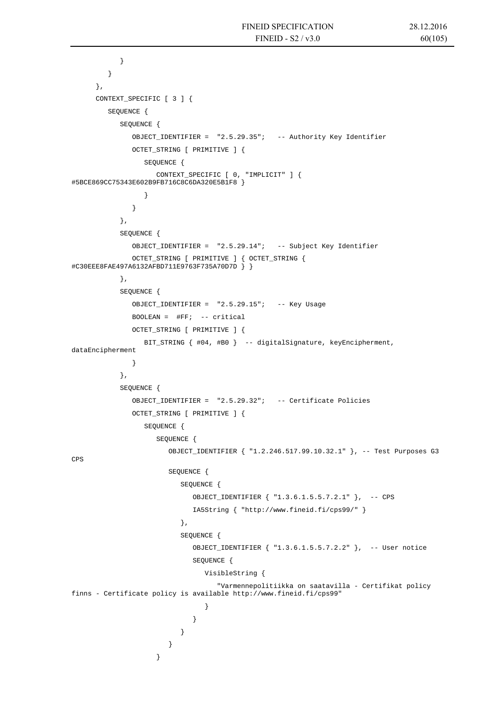```
 } 
         } 
      }, 
      CONTEXT_SPECIFIC [ 3 ] { 
         SEQUENCE { 
           SEQUENCE { 
              OBJECT_IDENTIFIER = "2.5.29.35"; -- Authority Key Identifier 
              OCTET_STRING [ PRIMITIVE ] { 
                 SEQUENCE { 
                   CONTEXT_SPECIFIC [ 0, "IMPLICIT" ] { 
#5BCE869CC75343E602B9FB716C8C6DA320E5B1F8 } 
 } 
 } 
           }, 
           SEQUENCE { 
              OBJECT_IDENTIFIER = "2.5.29.14"; -- Subject Key Identifier 
              OCTET_STRING [ PRIMITIVE ] { OCTET_STRING { 
#C30EEE8FAE497A6132AFBD711E9763F735A70D7D } } 
            }, 
           SEQUENCE { 
              OBJECT_IDENTIFIER = "2.5.29.15"; -- Key Usage 
             BOOLEAN = \#FF; -- critical
              OCTET_STRING [ PRIMITIVE ] { 
                 BIT_STRING { #04, #B0 } -- digitalSignature, keyEncipherment, 
dataEncipherment 
 } 
           }, 
           SEQUENCE { 
              OBJECT_IDENTIFIER = "2.5.29.32"; -- Certificate Policies 
              OCTET_STRING [ PRIMITIVE ] { 
                 SEQUENCE { 
                   SEQUENCE { 
                      OBJECT_IDENTIFIER { "1.2.246.517.99.10.32.1" }, -- Test Purposes G3 
CPS 
                      SEQUENCE { 
                         SEQUENCE { 
                            OBJECT_IDENTIFIER { "1.3.6.1.5.5.7.2.1" }, -- CPS 
                            IA5String { "http://www.fineid.fi/cps99/" } 
 }, 
                        SEQUENCE {
                            OBJECT_IDENTIFIER { "1.3.6.1.5.5.7.2.2" }, -- User notice 
                            SEQUENCE { 
                              VisibleString { 
                                 "Varmennepolitiikka on saatavilla - Certifikat policy 
finns - Certificate policy is available http://www.fineid.fi/cps99" 
 } 
 } 
 } 
 } 
 }
```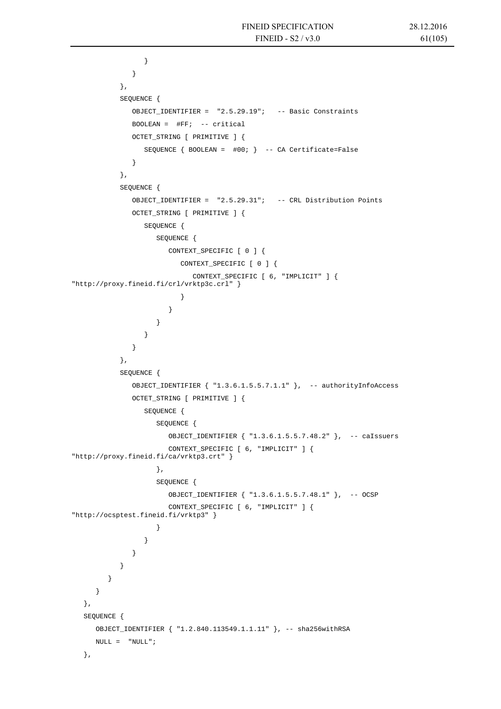```
 } 
 } 
           }, 
           SEQUENCE { 
             OBJECT_IDENTIFIER = "2.5.29.19"; -- Basic Constraints 
            BOOLEAN = \#FF; -- critical
             OCTET_STRING [ PRIMITIVE ] { 
               SEQUENCE \{ BOOLEAN = #00; \} -- CA Certificate=False
 } 
           }, 
           SEQUENCE { 
             OBJECT_IDENTIFIER = "2.5.29.31"; -- CRL Distribution Points 
             OCTET_STRING [ PRIMITIVE ] { 
                SEQUENCE { 
                  SEQUENCE { 
                     CONTEXT_SPECIFIC [ 0 ] { 
                        CONTEXT_SPECIFIC [ 0 ] { 
                          CONTEXT_SPECIFIC [ 6, "IMPLICIT" ] { 
"http://proxy.fineid.fi/crl/vrktp3c.crl" } 
 } 
 } 
 } 
 } 
 } 
           }, 
           SEQUENCE { 
             OBJECT_IDENTIFIER { "1.3.6.1.5.5.7.1.1" }, -- authorityInfoAccess 
             OCTET_STRING [ PRIMITIVE ] { 
                SEQUENCE { 
                  SEQUENCE { 
                     OBJECT_IDENTIFIER { "1.3.6.1.5.5.7.48.2" }, -- caIssuers 
                     CONTEXT_SPECIFIC [ 6, "IMPLICIT" ] { 
"http://proxy.fineid.fi/ca/vrktp3.crt" } 
 }, 
                  SEQUENCE { 
                     OBJECT_IDENTIFIER { "1.3.6.1.5.5.7.48.1" }, -- OCSP 
                     CONTEXT_SPECIFIC [ 6, "IMPLICIT" ] { 
"http://ocsptest.fineid.fi/vrktp3" } 
 } 
 } 
 } 
 } 
 } 
      } 
   }, 
   SEQUENCE { 
     OBJECT_IDENTIFIER { "1.2.840.113549.1.1.11" }, -- sha256withRSA 
    NULL = "NULL"; },
```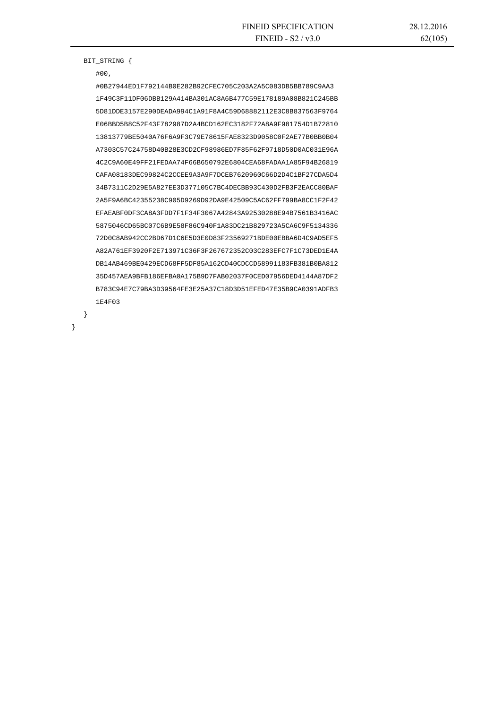#### BIT\_STRING {

#00,

}

}

 #0B27944ED1F792144B0E282B92CFEC705C203A2A5C083DB5BB789C9AA3 1F49C3F11DF06DBB129A414BA301AC8A6B477C59E178189A08B821C245BB 5D81DDE3157E290DEADA994C1A91F8A4C59D68882112E3C8B837563F9764 E06BBD5B8C52F43F782987D2A4BCD162EC3182F72A8A9F981754D1B72810 13813779BE5040A76F6A9F3C79E78615FAE8323D9058C0F2AE77B0BB0B04 A7303C57C24758D40B28E3CD2CF98986ED7F85F62F9718D50D0AC031E96A 4C2C9A60E49FF21FEDAA74F66B650792E6804CEA68FADAA1A85F94B26819 CAFA08183DEC99824C2CCEE9A3A9F7DCEB7620960C66D2D4C1BF27CDA5D4 34B7311C2D29E5A827EE3D377105C7BC4DECBB93C430D2FB3F2EACC80BAF 2A5F9A6BC42355238C905D9269D92DA9E42509C5AC62FF799BA8CC1F2F42 EFAEABF0DF3CA8A3FDD7F1F34F3067A42843A92530288E94B7561B3416AC 5875046CD65BC07C6B9E58F86C940F1A83DC21B829723A5CA6C9F5134336 72D0C8AB942CC2BD67D1C6E5D3E0D83F23569271BDE00EBBA6D4C9AD5EF5 A82A761EF3920F2E713971C36F3F267672352C03C283EFC7F1C73DED1E4A DB14AB469BE0429ECD68FF5DF85A162CD40CDCCD58991183FB381B0BA812 35D457AEA9BFB186EFBA0A175B9D7FAB02037F0CED07956DED4144A87DF2 B783C94E7C79BA3D39564FE3E25A37C18D3D51EFED47E35B9CA0391ADFB3 1E4F03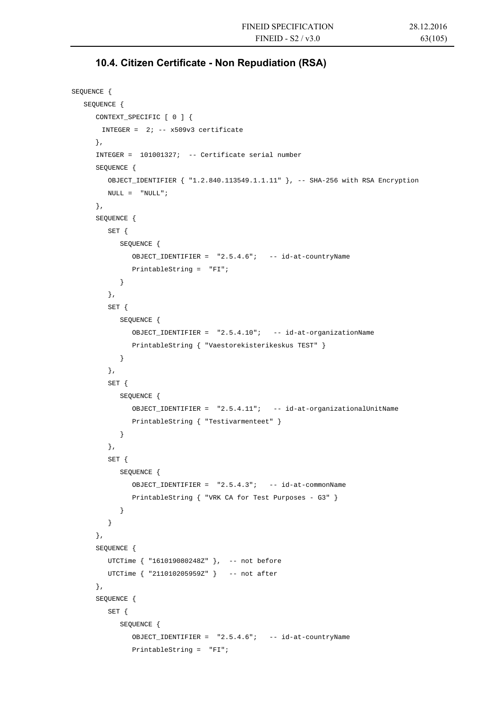### **10.4. Citizen Certificate - Non Repudiation (RSA)**

```
SEQUENCE { 
    SEQUENCE { 
       CONTEXT_SPECIFIC [ 0 ] { 
       INTEGER = 2i -- x509v3 certificate
      }, 
       INTEGER = 101001327; -- Certificate serial number 
       SEQUENCE { 
          OBJECT_IDENTIFIER { "1.2.840.113549.1.1.11" }, -- SHA-256 with RSA Encryption 
         NULL = "NULL"; }, 
       SEQUENCE { 
          SET { 
             SEQUENCE { 
                OBJECT_IDENTIFIER = "2.5.4.6"; -- id-at-countryName 
                PrintableString = "FI"; 
             } 
          }, 
          SET { 
             SEQUENCE { 
                OBJECT_IDENTIFIER = "2.5.4.10"; -- id-at-organizationName 
                PrintableString { "Vaestorekisterikeskus TEST" } 
 } 
          }, 
          SET { 
             SEQUENCE { 
                OBJECT_IDENTIFIER = "2.5.4.11"; -- id-at-organizationalUnitName 
                PrintableString { "Testivarmenteet" } 
             } 
          }, 
          SET { 
             SEQUENCE { 
               OBJECT IDENTIFIER = "2.5.4.3"; -- id-at-commonName
                PrintableString { "VRK CA for Test Purposes - G3" } 
 } 
 } 
       }, 
       SEQUENCE { 
         UTCTime { "161019080248Z" }, -- not before
          UTCTime { "211010205959Z" } -- not after 
       }, 
       SEQUENCE { 
          SET { 
             SEQUENCE { 
                OBJECT_IDENTIFIER = "2.5.4.6"; -- id-at-countryName 
                PrintableString = "FI";
```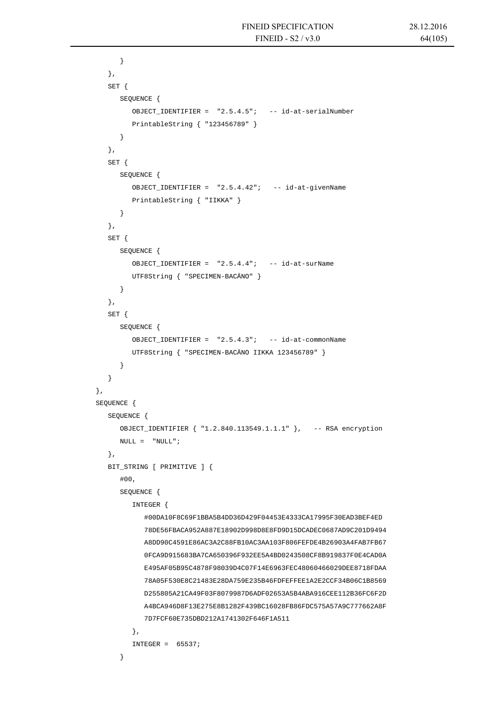```
 } 
          }, 
          SET { 
             SEQUENCE { 
               OBJECT IDENTIFIER = "2.5.4.5"; -- id-at-serialNumber
                PrintableString { "123456789" } 
 } 
          }, 
          SET { 
             SEQUENCE { 
                OBJECT_IDENTIFIER = "2.5.4.42"; -- id-at-givenName 
                PrintableString { "IIKKA" } 
 } 
          }, 
          SET { 
             SEQUENCE { 
               OBJECT IDENTIFIER = "2.5.4.4"; -- id-at-surName
                UTF8String { "SPECIMEN-BACÄNO" } 
 } 
          }, 
          SET { 
             SEQUENCE { 
                OBJECT_IDENTIFIER = "2.5.4.3"; -- id-at-commonName 
                UTF8String { "SPECIMEN-BACÄNO IIKKA 123456789" } 
 } 
          } 
       }, 
       SEQUENCE { 
          SEQUENCE { 
             OBJECT_IDENTIFIER { "1.2.840.113549.1.1.1" }, -- RSA encryption 
            \begin{array}{rcl} \textsc{NULL} & = & \textsc{``NULL''} \; ; \end{array} }, 
          BIT_STRING [ PRIMITIVE ] { 
             #00, 
             SEQUENCE { 
                INTEGER { 
                   #00DA10F8C69F1BBA5B4DD36D429F04453E4333CA17995F30EAD3BEF4ED 
                   78DE56FBACA952A887E18902D998D8E8FD9D15DCADEC0687AD9C201D9494 
                   A8DD90C4591E86AC3A2C88FB10AC3AA103F806FEFDE4B26903A4FAB7FB67 
                   0FCA9D915683BA7CA650396F932EE5A4BD0243508CF8B919837F0E4CAD0A 
                   E495AF05B95C4878F98039D4C07F14E6963FEC48060466029DEE8718FDAA 
                   78A05F530E8C21483E28DA759E235B46FDFEFFEE1A2E2CCF34B06C1B8569 
                   D255805A21CA49F03F8079987D6ADF02653A5B4ABA916CEE112B36FC6F2D 
                   A4BCA946D8F13E275E8B1282F439BC16028FB86FDC575A57A9C777662A8F 
                   7D7FCF60E735DBD212A1741302F646F1A511 
                }, 
               INTEGER = 65537; }
```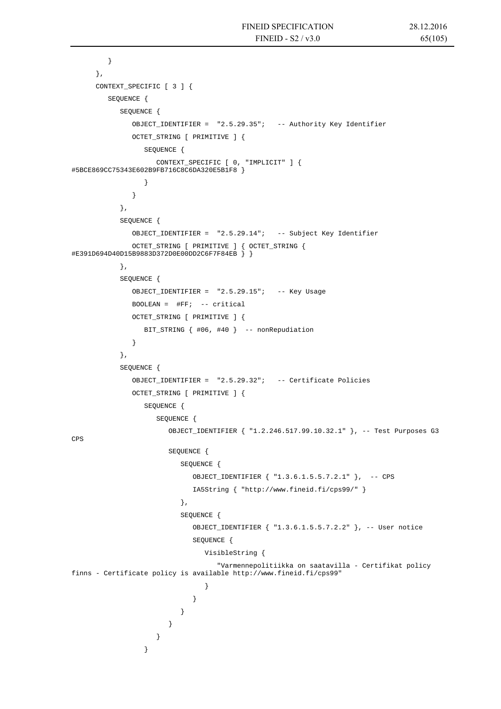```
 } 
      }, 
      CONTEXT_SPECIFIC [ 3 ] { 
         SEQUENCE { 
           SEQUENCE { 
              OBJECT_IDENTIFIER = "2.5.29.35"; -- Authority Key Identifier 
              OCTET_STRING [ PRIMITIVE ] { 
                 SEQUENCE { 
                   CONTEXT_SPECIFIC [ 0, "IMPLICIT" ] { 
#5BCE869CC75343E602B9FB716C8C6DA320E5B1F8 } 
 } 
 } 
           }, 
           SEQUENCE { 
              OBJECT_IDENTIFIER = "2.5.29.14"; -- Subject Key Identifier 
              OCTET_STRING [ PRIMITIVE ] { OCTET_STRING { 
#E391D694D40D15B9883D372D0E00DD2C6F7F84EB } } 
           }, 
           SEQUENCE { 
             OBJECT IDENTIFIER = "2.5.29.15"; -- Key Usage
              BOOLEAN = #FF; -- critical 
              OCTET_STRING [ PRIMITIVE ] { 
                 BIT_STRING { #06, #40 } -- nonRepudiation 
 } 
           }, 
           SEQUENCE { 
              OBJECT_IDENTIFIER = "2.5.29.32"; -- Certificate Policies 
             OCTET STRING [ PRIMITIVE ] {
                 SEQUENCE { 
                   SEQUENCE { 
                      OBJECT_IDENTIFIER { "1.2.246.517.99.10.32.1" }, -- Test Purposes G3 
CPS 
                      SEQUENCE { 
                         SEQUENCE { 
                           OBJECT_IDENTIFIER { "1.3.6.1.5.5.7.2.1" }, -- CPS 
                           IA5String { "http://www.fineid.fi/cps99/" } 
 }, 
                         SEQUENCE { 
                           OBJECT_IDENTIFIER { "1.3.6.1.5.5.7.2.2" }, -- User notice 
                           SEQUENCE { 
                              VisibleString { 
                                 "Varmennepolitiikka on saatavilla - Certifikat policy 
finns - Certificate policy is available http://www.fineid.fi/cps99" 
 } 
 } 
 } 
 } 
 } 
 }
```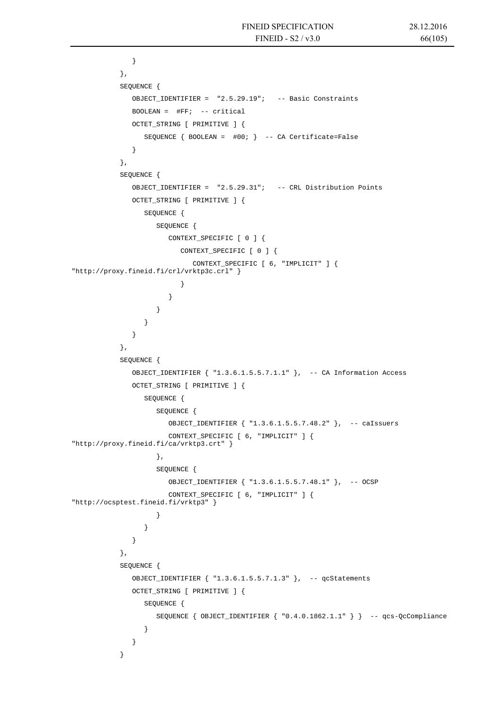```
 } 
           }, 
           SEQUENCE { 
             OBJECT_IDENTIFIER = "2.5.29.19"; -- Basic Constraints 
            BOOLEAN = \#FF; -- critical
             OCTET_STRING [ PRIMITIVE ] { 
               SEQUENCE \{ BOOLEAN = #00; \} -- CA Certificate=False
 } 
           }, 
           SEQUENCE { 
             OBJECT_IDENTIFIER = "2.5.29.31"; -- CRL Distribution Points 
             OCTET_STRING [ PRIMITIVE ] { 
                SEQUENCE { 
                   SEQUENCE { 
                     CONTEXT_SPECIFIC [ 0 ] { 
                        CONTEXT_SPECIFIC [ 0 ] { 
                          CONTEXT_SPECIFIC [ 6, "IMPLICIT" ] { 
"http://proxy.fineid.fi/crl/vrktp3c.crl" } 
 } 
 } 
 } 
 } 
 } 
           }, 
           SEQUENCE { 
             OBJECT_IDENTIFIER { "1.3.6.1.5.5.7.1.1" }, -- CA Information Access 
            OCTET STRING [ PRIMITIVE ] {
                SEQUENCE { 
                   SEQUENCE { 
                     OBJECT_IDENTIFIER { "1.3.6.1.5.5.7.48.2" }, -- caIssuers 
                     CONTEXT_SPECIFIC [ 6, "IMPLICIT" ] { 
"http://proxy.fineid.fi/ca/vrktp3.crt" } 
 }, 
                   SEQUENCE { 
                     OBJECT_IDENTIFIER { "1.3.6.1.5.5.7.48.1" }, -- OCSP 
                     CONTEXT_SPECIFIC [ 6, "IMPLICIT" ] { 
"http://ocsptest.fineid.fi/vrktp3" }
 } 
 } 
 } 
           }, 
           SEQUENCE { 
             OBJECT_IDENTIFIER { "1.3.6.1.5.5.7.1.3" }, -- qcStatements 
             OCTET_STRING [ PRIMITIVE ] { 
                SEQUENCE { 
                   SEQUENCE { OBJECT_IDENTIFIER { "0.4.0.1862.1.1" } } -- qcs-QcCompliance 
 } 
 } 
 }
```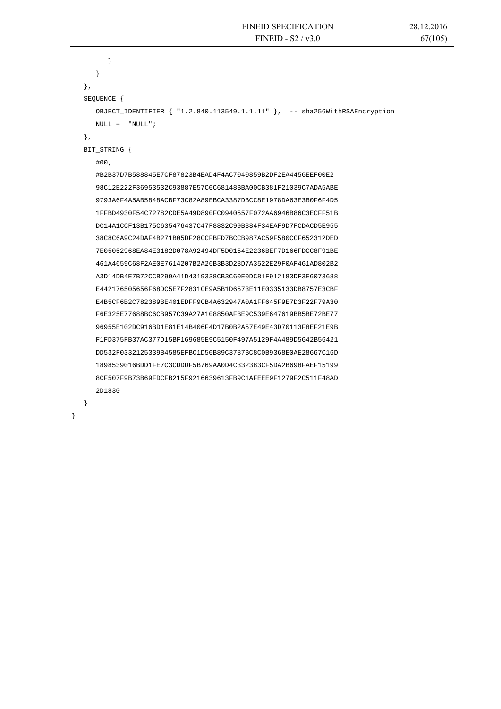```
 } 
       } 
    }, 
    SEQUENCE { 
       OBJECT_IDENTIFIER { "1.2.840.113549.1.1.11" }, -- sha256WithRSAEncryption 
      \begin{array}{rcl} \text{NULL} & = & \text{"NULL"} \end{array} }, 
   BIT_STRING { 
       #00, 
       #B2B37D7B588845E7CF87823B4EAD4F4AC7040859B2DF2EA4456EEF00E2 
       98C12E222F36953532C93887E57C0C68148BBA00CB381F21039C7ADA5ABE 
       9793A6F4A5AB5848ACBF73C82A89EBCA3387DBCC8E1978DA63E3B0F6F4D5 
       1FFBD4930F54C72782CDE5A49D890FC0940557F072AA6946B86C3ECFF51B 
       DC14A1CCF13B175C635476437C47F8832C99B384F34EAF9D7FCDACD5E955 
       38C8C6A9C24DAF4B271B05DF28CCFBFD7BCCB987AC59F580CCF652312DED 
       7E05052968EA84E3182D078A92494DF5D0154E2236BEF7D166FDCC8F91BE 
       461A4659C68F2AE0E7614207B2A26B3B3D28D7A3522E29F0AF461AD802B2 
       A3D14DB4E7B72CCB299A41D4319338CB3C60E0DC81F912183DF3E6073688 
       E442176505656F68DC5E7F2831CE9A5B1D6573E11E0335133DB8757E3CBF 
       E4B5CF6B2C782389BE401EDFF9CB4A632947A0A1FF645F9E7D3F22F79A30 
       F6E325E77688BC6CB957C39A27A108850AFBE9C539E647619BB5BE72BE77 
       96955E102DC916BD1E81E14B406F4D17B0B2A57E49E43D70113F8EF21E9B 
       F1FD375FB37AC377D15BF169685E9C5150F497A5129F4A489D5642B56421 
       DD532F0332125339B4585EFBC1D50B89C3787BC8C0B9368E0AE28667C16D 
       1898539016BDD1FE7C3CDDDF5B769AA0D4C332383CF5DA2B698FAEF15199 
       8CF507F9B73B69FDCFB215F9216639613FB9C1AFEEE9F1279F2C511F48AD 
       2D1830 
    }
```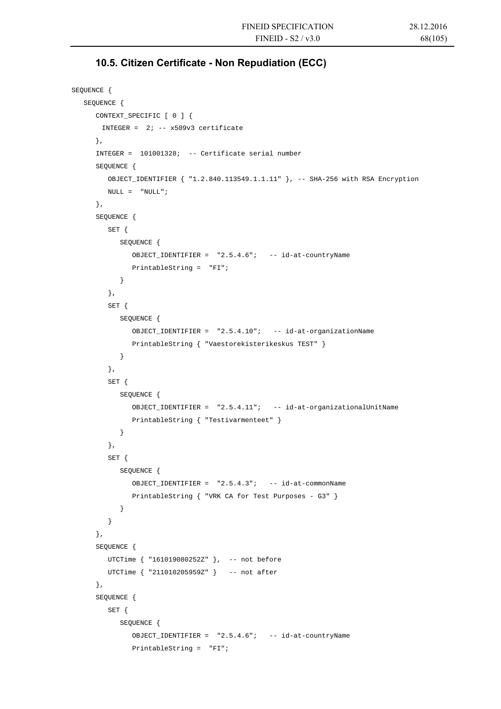# **10.5. Citizen Certificate - Non Repudiation (ECC)**

```
SEQUENCE { 
   SEQUENCE { 
       CONTEXT_SPECIFIC [ 0 ] { 
       INTEGER = 2i -- x509v3 certificate
      }, 
       INTEGER = 101001328; -- Certificate serial number 
       SEQUENCE { 
          OBJECT_IDENTIFIER { "1.2.840.113549.1.1.11" }, -- SHA-256 with RSA Encryption 
        NULL = "NULL"; }, 
       SEQUENCE { 
          SET { 
             SEQUENCE { 
                OBJECT_IDENTIFIER = "2.5.4.6"; -- id-at-countryName 
                PrintableString = "FI"; 
             } 
          }, 
          SET { 
             SEQUENCE { 
                OBJECT_IDENTIFIER = "2.5.4.10"; -- id-at-organizationName 
                PrintableString { "Vaestorekisterikeskus TEST" } 
 } 
          }, 
          SET { 
            SEOUENCE {
                OBJECT_IDENTIFIER = "2.5.4.11"; -- id-at-organizationalUnitName 
                PrintableString { "Testivarmenteet" } 
 } 
          }, 
          SET { 
             SEQUENCE { 
                OBJECT_IDENTIFIER = "2.5.4.3"; -- id-at-commonName 
                PrintableString { "VRK CA for Test Purposes - G3" } 
 } 
          } 
       }, 
       SEQUENCE { 
         UTCTime { "161019080252Z" }, -- not before 
          UTCTime { "211010205959Z" } -- not after 
       }, 
       SEQUENCE { 
          SET { 
             SEQUENCE { 
                OBJECT_IDENTIFIER = "2.5.4.6"; -- id-at-countryName 
                PrintableString = "FI";
```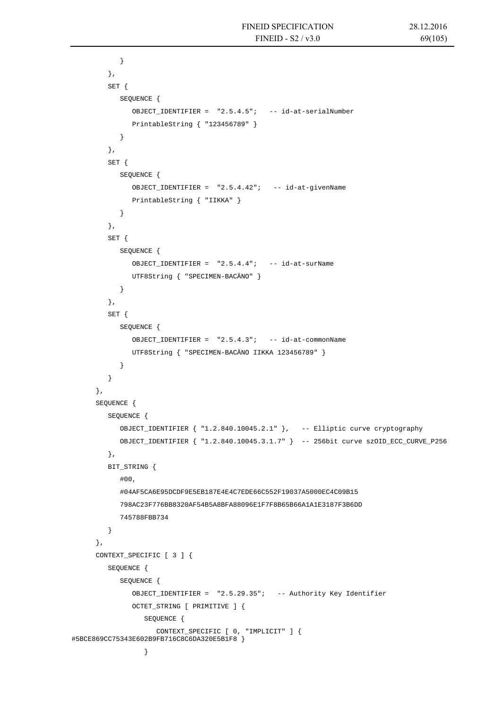```
 } 
          }, 
         SET { 
            SEQUENCE { 
              OBJECT IDENTIFIER = "2.5.4.5"; -- id-at-serialNumber
               PrintableString { "123456789" } 
 } 
          }, 
         SET { 
            SEQUENCE { 
               OBJECT_IDENTIFIER = "2.5.4.42"; -- id-at-givenName 
               PrintableString { "IIKKA" } 
 } 
          }, 
         SET { 
            SEQUENCE { 
              OBJECT IDENTIFIER = "2.5.4.4"; -- id-at-surName
               UTF8String { "SPECIMEN-BACÄNO" } 
 } 
         }, 
         SET { 
            SEQUENCE { 
               OBJECT_IDENTIFIER = "2.5.4.3"; -- id-at-commonName 
               UTF8String { "SPECIMEN-BACÄNO IIKKA 123456789" } 
 } 
          } 
      }, 
       SEQUENCE { 
         SEQUENCE { 
            OBJECT_IDENTIFIER { "1.2.840.10045.2.1" }, -- Elliptic curve cryptography 
            OBJECT_IDENTIFIER { "1.2.840.10045.3.1.7" } -- 256bit curve szOID_ECC_CURVE_P256 
         }, 
         BIT_STRING { 
            #00, 
             #04AF5CA6E95DCDF9E5EB187E4E4C7EDE66C552F19037A5000EC4C09B15 
            798AC23F776BB8320AF54B5A8BFA88096E1F7F8B65B66A1A1E3187F3B6DD 
            745788FBB734 
         } 
       }, 
       CONTEXT_SPECIFIC [ 3 ] { 
         SEQUENCE { 
            SEQUENCE { 
                OBJECT_IDENTIFIER = "2.5.29.35"; -- Authority Key Identifier 
                OCTET_STRING [ PRIMITIVE ] { 
                   SEQUENCE { 
                     CONTEXT_SPECIFIC [ 0, "IMPLICIT" ] { 
#5BCE869CC75343E602B9FB716C8C6DA320E5B1F8 } 
 }
```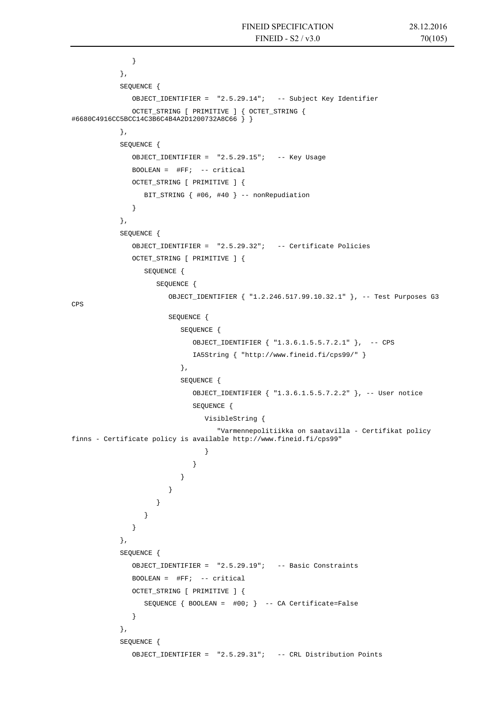```
 } 
           }, 
           SEQUENCE { 
              OBJECT_IDENTIFIER = "2.5.29.14"; -- Subject Key Identifier 
              OCTET_STRING [ PRIMITIVE ] { OCTET_STRING { 
#6680C4916CC5BCC14C3B6C4B4A2D1200732A8C66 } } 
           }, 
          SEQUENCE {
              OBJECT_IDENTIFIER = "2.5.29.15"; -- Key Usage 
             BOOLEAN = \#FF; -- critical
              OCTET_STRING [ PRIMITIVE ] { 
                BIT_STRING { #06, #40 } -- nonRepudiation 
 } 
           }, 
           SEQUENCE { 
              OBJECT_IDENTIFIER = "2.5.29.32"; -- Certificate Policies 
              OCTET_STRING [ PRIMITIVE ] { 
                SEQUENCE { 
                  SEQUENCE {
                      OBJECT_IDENTIFIER { "1.2.246.517.99.10.32.1" }, -- Test Purposes G3 
CPS 
                      SEQUENCE { 
                        SEQUENCE { 
                           OBJECT_IDENTIFIER { "1.3.6.1.5.5.7.2.1" }, -- CPS 
                           IA5String { "http://www.fineid.fi/cps99/" } 
 }, 
                         SEQUENCE { 
                           OBJECT_IDENTIFIER { "1.3.6.1.5.5.7.2.2" }, -- User notice 
                           SEQUENCE { 
                              VisibleString { 
                                 "Varmennepolitiikka on saatavilla - Certifikat policy 
finns - Certificate policy is available http://www.fineid.fi/cps99" 
 } 
 } 
 } 
 } 
 } 
 } 
 } 
           }, 
           SEQUENCE { 
              OBJECT_IDENTIFIER = "2.5.29.19"; -- Basic Constraints 
              BOOLEAN = #FF; -- critical 
              OCTET_STRING [ PRIMITIVE ] { 
                SEQUENCE { BOOLEAN = #00; } -- CA Certificate=False 
 } 
           }, 
           SEQUENCE { 
              OBJECT_IDENTIFIER = "2.5.29.31"; -- CRL Distribution Points
```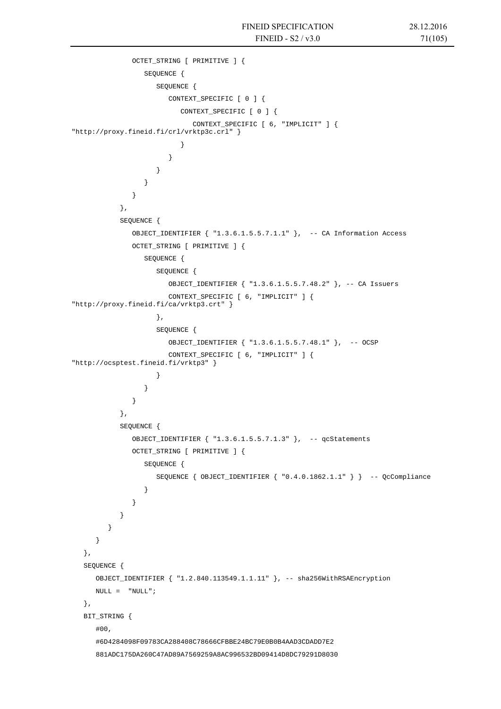```
 OCTET_STRING [ PRIMITIVE ] { 
                 SEQUENCE { 
                    SEQUENCE { 
                      CONTEXT_SPECIFIC [ 0 ] { 
                        CONTEXT SPECIFIC [ 0 ] {
                            CONTEXT_SPECIFIC [ 6, "IMPLICIT" ] { 
"http://proxy.fineid.fi/crl/vrktp3c.crl" } 
 } 
 } 
 } 
 } 
 } 
            }, 
           SEQUENCE { 
              OBJECT_IDENTIFIER { "1.3.6.1.5.5.7.1.1" }, -- CA Information Access 
              OCTET_STRING [ PRIMITIVE ] { 
                 SEQUENCE { 
                    SEQUENCE { 
                      OBJECT_IDENTIFIER { "1.3.6.1.5.5.7.48.2" }, -- CA Issuers 
                      CONTEXT_SPECIFIC [ 6, "IMPLICIT" ] { 
"http://proxy.fineid.fi/ca/vrktp3.crt" } 
\}, \{ SEQUENCE { 
                      OBJECT_IDENTIFIER { "1.3.6.1.5.5.7.48.1" }, -- OCSP 
                      CONTEXT_SPECIFIC [ 6, "IMPLICIT" ] { 
"http://ocsptest.fineid.fi/vrktp3" }
 } 
 } 
 } 
           }, 
           SEQUENCE { 
              OBJECT_IDENTIFIER { "1.3.6.1.5.5.7.1.3" }, -- qcStatements 
              OCTET_STRING [ PRIMITIVE ] { 
                 SEQUENCE { 
                    SEQUENCE { OBJECT_IDENTIFIER { "0.4.0.1862.1.1" } } -- QcCompliance 
 } 
 } 
 } 
         } 
      } 
   }, 
   SEQUENCE { 
      OBJECT_IDENTIFIER { "1.2.840.113549.1.1.11" }, -- sha256WithRSAEncryption 
     \texttt{NULL} = \texttt{``NULL''} \; ; }, 
   BIT_STRING { 
      #00, 
      #6D4284098F09783CA288408C78666CFBBE24BC79E0B0B4AAD3CDADD7E2 
      881ADC175DA260C47AD89A7569259A8AC996532BD09414D8DC79291D8030
```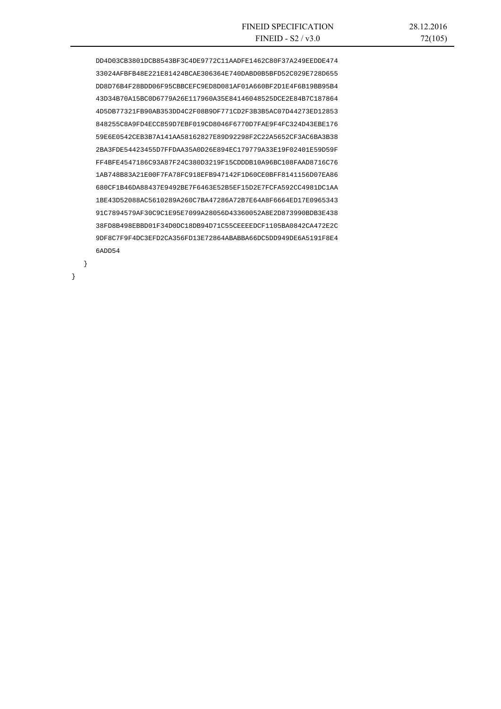DD4D03CB3801DCB8543BF3C4DE9772C11AADFE1462C80F37A249EEDDE474 33024AFBFB48E221E81424BCAE306364E740DABD0B5BFD52C029E728D655 DD8D76B4F28BDD06F95CBBCEFC9ED8D081AF01A660BF2D1E4F6B19BB95B4 43D34B70A15BC0D6779A26E117960A35E84146048525DCE2E84B7C187864 4D5DB77321FB90AB353DD4C2F08B9DF771CD2F3B3B5AC07D44273ED12853 848255C8A9FD4ECC859D7EBF019CD8046F6770D7FAE9F4FC324D43EBE176 59E6E0542CEB3B7A141AA58162827E89D92298F2C22A5652CF3AC6BA3B38 2BA3FDE54423455D7FFDAA35A0D26E894EC179779A33E19F02401E59D59F FF4BFE4547186C93A87F24C380D3219F15CDDDB10A96BC108FAAD8716C76 1AB748B83A21E00F7FA78FC918EFB947142F1D60CE0BFF8141156D07EA86 680CF1B46DA88437E9492BE7F6463E52B5EF15D2E7FCFA592CC4981DC1AA 1BE43D52088AC5610289A260C7BA47286A72B7E64A8F6664ED17E0965343 91C7894579AF30C9C1E95E7099A28056D43360052A8E2D873990BDB3E438 38FD8B498EBBD01F34D0DC18DB94D71C55CEEEEDCF1105BA0842CA472E2C 9DF8C7F9F4DC3EFD2CA356FD13E72864ABABBA66DC5DD949DE6A5191F8E4 6ADD54

}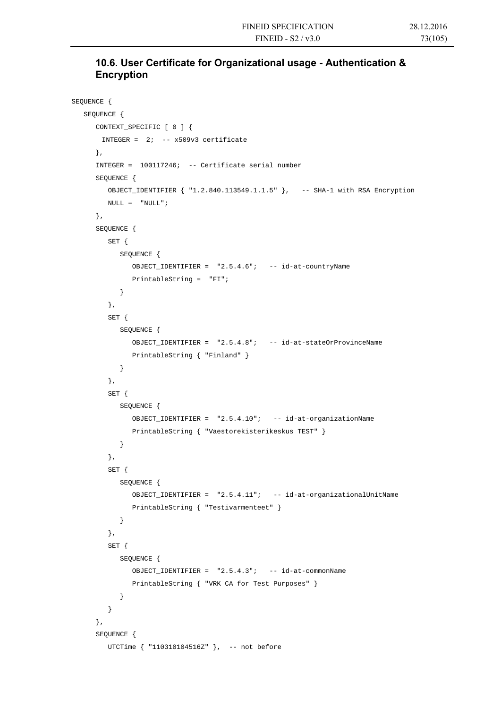# **10.6. User Certificate for Organizational usage - Authentication & Encryption**

```
SEQUENCE { 
   SEQUENCE { 
      CONTEXT_SPECIFIC [ 0 ] { 
      INTEGER = 2i -- x509v3 certificate
      }, 
       INTEGER = 100117246; -- Certificate serial number 
       SEQUENCE { 
          OBJECT_IDENTIFIER { "1.2.840.113549.1.1.5" }, -- SHA-1 with RSA Encryption 
         NULL = "NULL"; }, 
       SEQUENCE { 
          SET { 
             SEQUENCE { 
                OBJECT_IDENTIFIER = "2.5.4.6"; -- id-at-countryName 
                PrintableString = "FI"; 
             } 
          }, 
          SET { 
             SEQUENCE { 
                OBJECT_IDENTIFIER = "2.5.4.8"; -- id-at-stateOrProvinceName 
                PrintableString { "Finland" } 
             } 
          }, 
          SET { 
             SEQUENCE { 
                OBJECT_IDENTIFIER = "2.5.4.10"; -- id-at-organizationName 
                PrintableString { "Vaestorekisterikeskus TEST" } 
 } 
          }, 
          SET { 
             SEQUENCE { 
                OBJECT_IDENTIFIER = "2.5.4.11"; -- id-at-organizationalUnitName 
                PrintableString { "Testivarmenteet" } 
 } 
          }, 
          SET { 
             SEQUENCE { 
                OBJECT_IDENTIFIER = "2.5.4.3"; -- id-at-commonName 
                PrintableString { "VRK CA for Test Purposes" } 
             } 
 } 
       }, 
      SEQUENCE {
          UTCTime { "110310104516Z" }, -- not before
```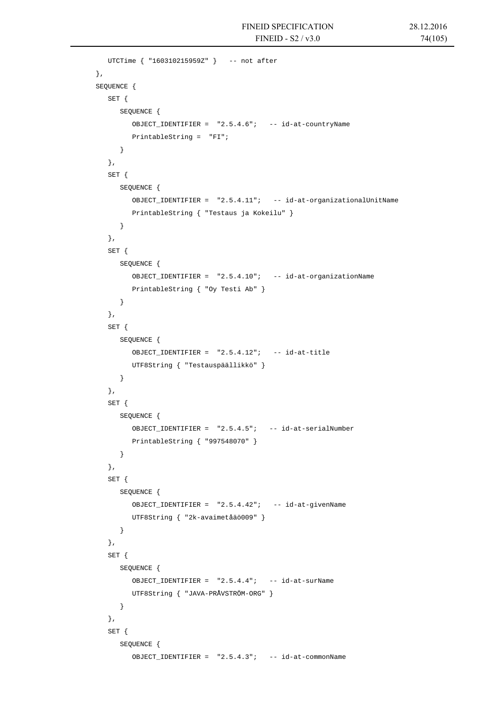```
 UTCTime { "160310215959Z" } -- not after 
       }, 
      SEQUENCE { 
          SET { 
             SEQUENCE { 
                OBJECT_IDENTIFIER = "2.5.4.6"; -- id-at-countryName 
                PrintableString = "FI"; 
             } 
          }, 
          SET { 
            SEQUENCE { 
               OBJECT_IDENTIFIER = "2.5.4.11"; -- id-at-organizationalUnitName 
                PrintableString { "Testaus ja Kokeilu" } 
             } 
          }, 
          SET { 
            SEQUENCE { 
               OBJECT_IDENTIFIER = "2.5.4.10"; -- id-at-organizationName 
                PrintableString { "Oy Testi Ab" } 
            } 
          }, 
          SET { 
             SEQUENCE { 
                OBJECT_IDENTIFIER = "2.5.4.12"; -- id-at-title 
                UTF8String { "Testauspäällikkö" } 
             } 
          }, 
          SET { 
            SEQUENCE { 
               OBJECT_IDENTIFIER = "2.5.4.5"; -- id-at-serialNumber 
                PrintableString { "997548070" } 
 } 
          }, 
          SET { 
            SEQUENCE { 
               OBJECT_IDENTIFIER = "2.5.4.42"; -- id-at-givenName 
                UTF8String { "2k-avaimetåäö009" } 
             } 
          }, 
          SET { 
            SEQUENCE { 
               OBJECT_IDENTIFIER = "2.5.4.4"; -- id-at-surName 
                UTF8String { "JAVA-PRÅVSTRÖM-ORG" } 
             } 
          }, 
          SET { 
             SEQUENCE { 
                OBJECT_IDENTIFIER = "2.5.4.3"; -- id-at-commonName
```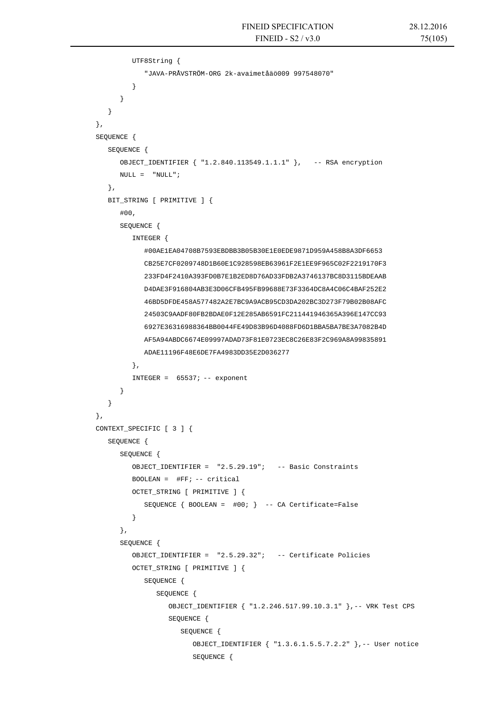```
 UTF8String { 
                   "JAVA-PRÅVSTRÖM-ORG 2k-avaimetåäö009 997548070" 
 } 
 } 
 } 
      }, 
      SEQUENCE { 
         SEQUENCE { 
            OBJECT_IDENTIFIER { "1.2.840.113549.1.1.1" }, -- RSA encryption 
           \texttt{NULL} = \texttt{``NULL''} }, 
         BIT_STRING [ PRIMITIVE ] { 
             #00, 
            SEQUENCE { 
                INTEGER { 
                   #00AE1EA04708B7593EBDBB3B05B30E1E0EDE9871D959A458B8A3DF6653 
                   CB25E7CF0209748D1B60E1C928598EB63961F2E1EE9F965C02F2219170F3 
                   233FD4F2410A393FD0B7E1B2ED8D76AD33FDB2A3746137BC8D3115BDEAAB 
                   D4DAE3F916804AB3E3D06CFB495FB99688E73F3364DC8A4C06C4BAF252E2 
                   46BD5DFDE458A577482A2E7BC9A9ACB95CD3DA202BC3D273F79B02B08AFC 
                   24503C9AADF80FB2BDAE0F12E285AB6591FC211441946365A396E147CC93 
                   6927E36316988364BB0044FE49D83B96D4088FD6D1BBA5BA7BE3A7082B4D 
                   AF5A94ABDC6674E09997ADAD73F81E0723EC8C26E83F2C969A8A99835891 
                   ADAE11196F48E6DE7FA4983DD35E2D036277 
                }, 
               INTEGER = 65537; -- exponent
             } 
 } 
      }, 
      CONTEXT_SPECIFIC [ 3 ] { 
          SEQUENCE { 
            SEQUENCE { 
                OBJECT_IDENTIFIER = "2.5.29.19"; -- Basic Constraints 
               BOOLEAN = \#FF: -- criticalOCTET_STRING [ PRIMITIVE ] { 
                   SEQUENCE { BOOLEAN = #00; } -- CA Certificate=False 
 } 
             }, 
            SEQUENCE { 
                OBJECT_IDENTIFIER = "2.5.29.32"; -- Certificate Policies 
               OCTET STRING [ PRIMITIVE ] {
                   SEQUENCE { 
                      SEQUENCE { 
                         OBJECT_IDENTIFIER { "1.2.246.517.99.10.3.1" },-- VRK Test CPS 
                         SEQUENCE { 
                            SEQUENCE { 
                               OBJECT_IDENTIFIER { "1.3.6.1.5.5.7.2.2" },-- User notice 
                               SEQUENCE {
```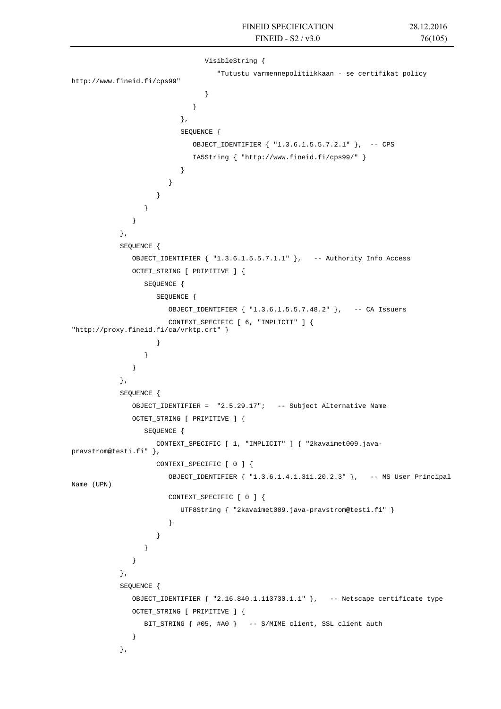```
 VisibleString { 
                              "Tutustu varmennepolitiikkaan - se certifikat policy 
http://www.fineid.fi/cps99" 
 } 
 } 
 }, 
                       SEQUENCE { 
                         OBJECT_IDENTIFIER { "1.3.6.1.5.5.7.2.1" }, -- CPS 
                         IA5String { "http://www.fineid.fi/cps99/" } 
 } 
 } 
 } 
 } 
 } 
           }, 
          SEQUENCE { 
             OBJECT_IDENTIFIER { "1.3.6.1.5.5.7.1.1" }, -- Authority Info Access 
             OCTET_STRING [ PRIMITIVE ] { 
               SEQUENCE { 
                  SEQUENCE { 
                    OBJECT_IDENTIFIER { "1.3.6.1.5.5.7.48.2" }, -- CA Issuers 
                    CONTEXT_SPECIFIC [ 6, "IMPLICIT" ] { 
"http://proxy.fineid.fi/ca/vrktp.crt" } 
 } 
 } 
 } 
          }, 
          SEQUENCE { 
             OBJECT_IDENTIFIER = "2.5.29.17"; -- Subject Alternative Name 
             OCTET_STRING [ PRIMITIVE ] { 
               SEQUENCE { 
                  CONTEXT_SPECIFIC [ 1, "IMPLICIT" ] { "2kavaimet009.java-
pravstrom@testi.fi" }, 
                  CONTEXT_SPECIFIC [ 0 ] { 
                    OBJECT_IDENTIFIER { "1.3.6.1.4.1.311.20.2.3" }, -- MS User Principal 
Name (UPN) 
                    CONTEXT_SPECIFIC [ 0 ] { 
                       UTF8String { "2kavaimet009.java-pravstrom@testi.fi" } 
 } 
 } 
 } 
 } 
           }, 
          SEQUENCE { 
             OBJECT_IDENTIFIER { "2.16.840.1.113730.1.1" }, -- Netscape certificate type 
             OCTET_STRING [ PRIMITIVE ] { 
               BIT_STRING { #05, #A0 } -- S/MIME client, SSL client auth 
 } 
           },
```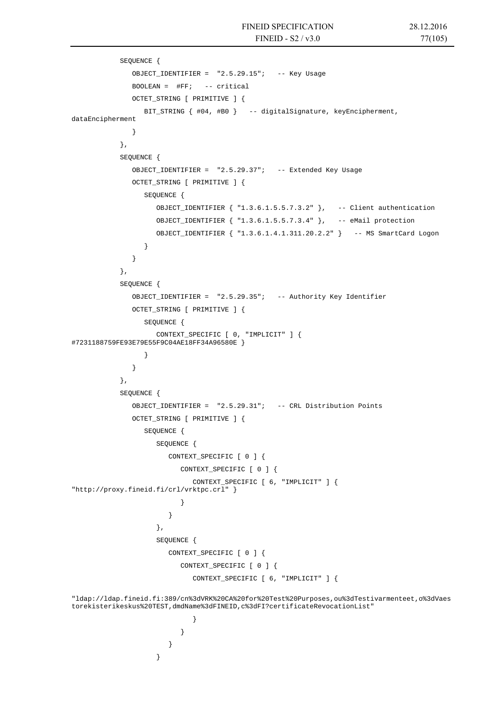```
 SEQUENCE { 
             OBJECT IDENTIFIER = "2.5.29.15"; -- Key Usage
             BOOLEAN = \#FF; -- critical
              OCTET_STRING [ PRIMITIVE ] { 
                 BIT_STRING { #04, #B0 } -- digitalSignature, keyEncipherment, 
dataEncipherment 
 } 
           }, 
           SEQUENCE { 
              OBJECT_IDENTIFIER = "2.5.29.37"; -- Extended Key Usage 
              OCTET_STRING [ PRIMITIVE ] { 
                 SEQUENCE { 
                   OBJECT_IDENTIFIER { "1.3.6.1.5.5.7.3.2" }, -- Client authentication 
                   OBJECT_IDENTIFIER { "1.3.6.1.5.5.7.3.4" }, -- eMail protection 
                   OBJECT_IDENTIFIER { "1.3.6.1.4.1.311.20.2.2" } -- MS SmartCard Logon 
 } 
 } 
           }, 
           SEQUENCE { 
              OBJECT_IDENTIFIER = "2.5.29.35"; -- Authority Key Identifier 
              OCTET_STRING [ PRIMITIVE ] { 
                 SEQUENCE { 
                   CONTEXT_SPECIFIC [ 0, "IMPLICIT" ] { 
#7231188759FE93E79E55F9C04AE18FF34A96580E } 
 } 
 } 
           }, 
           SEQUENCE { 
              OBJECT_IDENTIFIER = "2.5.29.31"; -- CRL Distribution Points 
              OCTET_STRING [ PRIMITIVE ] { 
                 SEQUENCE { 
                   SEQUENCE { 
                      CONTEXT_SPECIFIC [ 0 ] { 
                         CONTEXT_SPECIFIC [ 0 ] { 
                           CONTEXT_SPECIFIC [ 6, "IMPLICIT" ] { 
"http://proxy.fineid.fi/crl/vrktpc.crl" } 
 } 
 } 
                   }, 
                  SEQUENCE {
                      CONTEXT_SPECIFIC [ 0 ] { 
                         CONTEXT_SPECIFIC [ 0 ] { 
                           CONTEXT_SPECIFIC [ 6, "IMPLICIT" ] { 
"ldap://ldap.fineid.fi:389/cn%3dVRK%20CA%20for%20Test%20Purposes,ou%3dTestivarmenteet,o%3dVaes
torekisterikeskus%20TEST,dmdName%3dFINEID,c%3dFI?certificateRevocationList" 
 } 
 } 
 } 
 }
```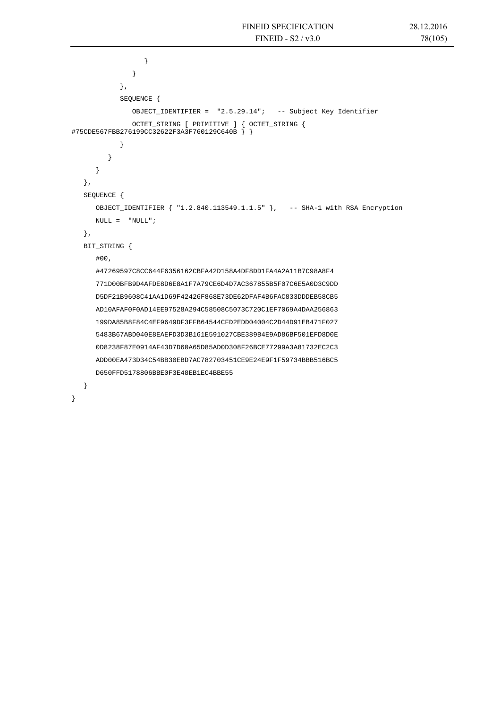```
 } 
 } 
            }, 
            SEQUENCE { 
               OBJECT_IDENTIFIER = "2.5.29.14"; -- Subject Key Identifier 
 OCTET_STRING [ PRIMITIVE ] { OCTET_STRING { 
#75CDE567FBB276199CC32622F3A3F760129C640B } } 
 } 
 } 
      } 
   }, 
   SEQUENCE { 
      OBJECT_IDENTIFIER { "1.2.840.113549.1.1.5" }, -- SHA-1 with RSA Encryption 
     NULL = "NULL"; }, 
   BIT_STRING { 
      #00, 
      #47269597C8CC644F6356162CBFA42D158A4DF8DD1FA4A2A11B7C98A8F4 
      771D00BFB9D4AFDE8D6E8A1F7A79CE6D4D7AC367855B5F07C6E5A0D3C9DD 
      D5DF21B9608C41AA1D69F42426F868E73DE62DFAF4B6FAC833DDDEB58CB5 
      AD10AFAF0F0AD14EE97528A294C58508C5073C720C1EF7069A4DAA256863 
      199DA85B8F84C4EF9649DF3FFB64544CFD2EDD04004C2D44D91EB471F027 
      5483B67ABD040E8EAEFD3D3B161E591027CBE389B4E9AD86BF501EFD8D0E 
      0D8238F87E0914AF43D7D60A65D85AD0D308F26BCE77299A3A81732EC2C3 
      ADD00EA473D34C54BB30EBD7AC782703451CE9E24E9F1F59734BBB516BC5 
      D650FFD5178806BBE0F3E48EB1EC4BBE55 
   }
```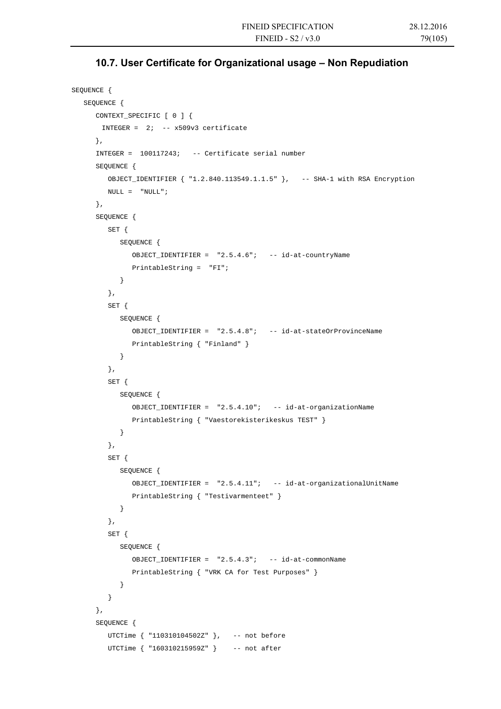# **10.7. User Certificate for Organizational usage – Non Repudiation**

```
SEQUENCE { 
   SEQUENCE { 
      CONTEXT_SPECIFIC [ 0 ] { 
       INTEGER = 2i -- x509v3 certificate
     }, 
       INTEGER = 100117243; -- Certificate serial number 
       SEQUENCE { 
         OBJECT_IDENTIFIER { "1.2.840.113549.1.1.5" }, -- SHA-1 with RSA Encryption 
        NULL = "NULL"; }, 
       SEQUENCE { 
         SET { 
             SEQUENCE { 
               OBJECT_IDENTIFIER = "2.5.4.6"; -- id-at-countryName 
               PrintableString = "FI"; 
             } 
         }, 
         SET { 
             SEQUENCE { 
               OBJECT_IDENTIFIER = "2.5.4.8"; -- id-at-stateOrProvinceName 
               PrintableString { "Finland" } 
 } 
          }, 
         SET { 
             SEQUENCE { 
               OBJECT_IDENTIFIER = "2.5.4.10"; -- id-at-organizationName 
                PrintableString { "Vaestorekisterikeskus TEST" } 
 } 
         }, 
          SET { 
            SEQUENCE { 
               OBJECT_IDENTIFIER = "2.5.4.11"; -- id-at-organizationalUnitName 
                PrintableString { "Testivarmenteet" } 
 } 
         }, 
         SET { 
            SEQUENCE { 
               OBJECT_IDENTIFIER = "2.5.4.3"; -- id-at-commonName 
               PrintableString { "VRK CA for Test Purposes" } 
             } 
 } 
       }, 
       SEQUENCE { 
         UTCTime { "110310104502Z" }, -- not before 
         UTCTime { "160310215959Z" } -- not after
```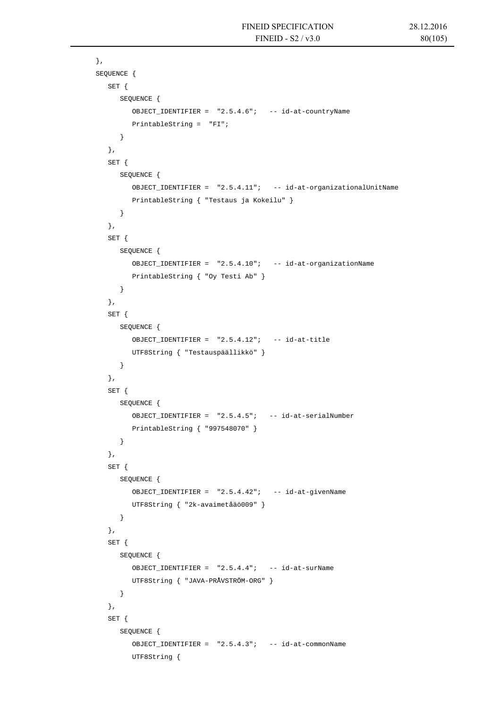```
 }, 
       SEQUENCE { 
          SET { 
             SEQUENCE { 
                OBJECT_IDENTIFIER = "2.5.4.6"; -- id-at-countryName 
                PrintableString = "FI"; 
 } 
          }, 
          SET { 
             SEQUENCE { 
               OBJECT_IDENTIFIER = "2.5.4.11"; -- id-at-organizationalUnitName 
                PrintableString { "Testaus ja Kokeilu" } 
 } 
          }, 
          SET { 
             SEQUENCE { 
               OBJECT_IDENTIFIER = "2.5.4.10"; -- id-at-organizationName 
                PrintableString { "Oy Testi Ab" } 
             } 
          }, 
          SET { 
             SEQUENCE { 
               OBJECT_IDENTIFIER = "2.5.4.12"; -- id-at-title 
                UTF8String { "Testauspäällikkö" } 
             } 
          }, 
          SET { 
             SEQUENCE { 
               OBJECT_IDENTIFIER = "2.5.4.5"; -- id-at-serialNumber 
                PrintableString { "997548070" } 
             } 
          }, 
          SET { 
             SEQUENCE { 
                OBJECT_IDENTIFIER = "2.5.4.42"; -- id-at-givenName 
                UTF8String { "2k-avaimetåäö009" } 
             } 
          }, 
          SET { 
             SEQUENCE { 
                OBJECT_IDENTIFIER = "2.5.4.4"; -- id-at-surName 
                UTF8String { "JAVA-PRÅVSTRÖM-ORG" } 
             } 
          }, 
          SET { 
             SEQUENCE { 
                OBJECT_IDENTIFIER = "2.5.4.3"; -- id-at-commonName 
                UTF8String {
```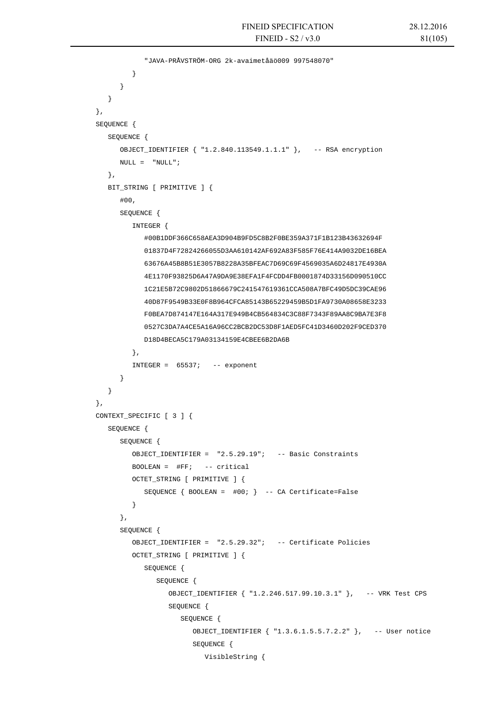```
 "JAVA-PRÅVSTRÖM-ORG 2k-avaimetåäö009 997548070" 
 } 
 } 
 } 
       }, 
       SEQUENCE { 
          SEQUENCE { 
             OBJECT_IDENTIFIER { "1.2.840.113549.1.1.1" }, -- RSA encryption 
            \begin{array}{ccc} \text{NULL} & = & \text{"NULL"} \; ; \end{array} }, 
         BIT_STRING [ PRIMITIVE ] { 
             #00, 
             SEQUENCE { 
                INTEGER { 
                   #00B1DDF366C658AEA3D904B9FD5C8B2F0BE359A371F1B123B43632694F 
                   01837D4F72824266055D3AA610142AF692A83F585F76E414A9032DE16BEA 
                   63676A45B8B51E3057B8228A35BFEAC7D69C69F4569035A6D24817E4930A 
                   4E1170F93825D6A47A9DA9E38EFA1F4FCDD4FB0001874D33156D090510CC 
                   1C21E5B72C9802D51866679C241547619361CCA508A7BFC49D5DC39CAE96 
                   40D87F9549B33E0F8B964CFCA85143B65229459B5D1FA9730A08658E3233 
                   F0BEA7D874147E164A317E949B4CB564834C3C88F7343F89AA8C9BA7E3F8 
                   0527C3DA7A4CE5A16A96CC2BCB2DC53D8F1AED5FC41D3460D202F9CED370 
                   D18D4BECA5C179A03134159E4CBEE6B2DA6B 
                }, 
               INTER = 65537; -- exponential } 
 } 
       }, 
       CONTEXT_SPECIFIC [ 3 ] { 
         SEQUENCE { 
             SEQUENCE { 
                OBJECT_IDENTIFIER = "2.5.29.19"; -- Basic Constraints 
               BOOLEAN = \#FF; -- critical
                OCTET_STRING [ PRIMITIVE ] { 
                   SEQUENCE { BOOLEAN = #00; } -- CA Certificate=False 
 } 
             }, 
             SEQUENCE { 
                OBJECT_IDENTIFIER = "2.5.29.32"; -- Certificate Policies 
                OCTET_STRING [ PRIMITIVE ] { 
                   SEQUENCE { 
                      SEQUENCE { 
                         OBJECT_IDENTIFIER { "1.2.246.517.99.10.3.1" }, -- VRK Test CPS 
                         SEQUENCE { 
                             SEQUENCE { 
                                OBJECT_IDENTIFIER { "1.3.6.1.5.5.7.2.2" }, -- User notice 
                                SEQUENCE { 
                                   VisibleString {
```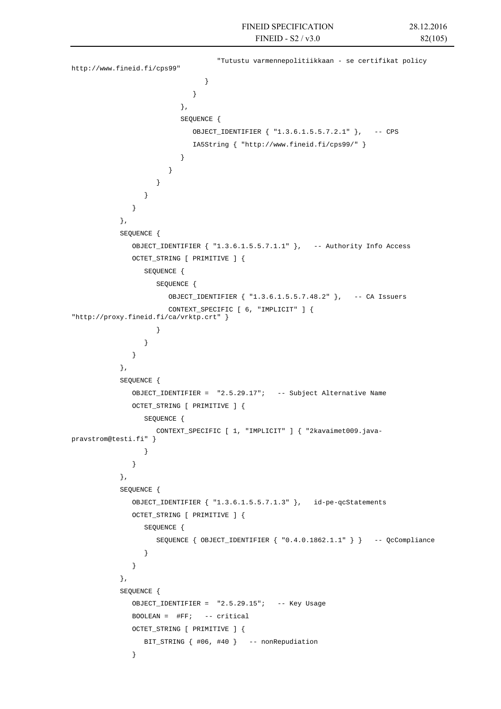```
 "Tutustu varmennepolitiikkaan - se certifikat policy 
http://www.fineid.fi/cps99" 
 } 
 } 
 }, 
                       SEQUENCE { 
                         OBJECT_IDENTIFIER { "1.3.6.1.5.5.7.2.1" }, -- CPS 
                         IA5String { "http://www.fineid.fi/cps99/" } 
 } 
 } 
 } 
 } 
 } 
          }, 
          SEQUENCE { 
             OBJECT_IDENTIFIER { "1.3.6.1.5.5.7.1.1" }, -- Authority Info Access 
             OCTET_STRING [ PRIMITIVE ] { 
               SEQUENCE { 
                 SEQUENCE {
                    OBJECT_IDENTIFIER { "1.3.6.1.5.5.7.48.2" }, -- CA Issuers 
                    CONTEXT_SPECIFIC [ 6, "IMPLICIT" ] { 
"http://proxy.fineid.fi/ca/vrktp.crt" } 
 } 
 } 
 } 
          }, 
          SEQUENCE { 
             OBJECT_IDENTIFIER = "2.5.29.17"; -- Subject Alternative Name 
             OCTET_STRING [ PRIMITIVE ] { 
               SEQUENCE { 
                  CONTEXT_SPECIFIC [ 1, "IMPLICIT" ] { "2kavaimet009.java-
pravstrom@testi.fi" } 
 } 
 } 
           }, 
          SEQUENCE { 
             OBJECT_IDENTIFIER { "1.3.6.1.5.5.7.1.3" }, id-pe-qcStatements 
             OCTET_STRING [ PRIMITIVE ] { 
               SEQUENCE { 
                  SEQUENCE { OBJECT_IDENTIFIER { "0.4.0.1862.1.1" } } -- QcCompliance 
 } 
 } 
          }, 
          SEQUENCE { 
             OBJECT_IDENTIFIER = "2.5.29.15"; -- Key Usage 
            BOOLEAN = \#FF; -- critical
             OCTET_STRING [ PRIMITIVE ] { 
               BIT_STRING { #06, #40 } -- nonRepudiation 
 }
```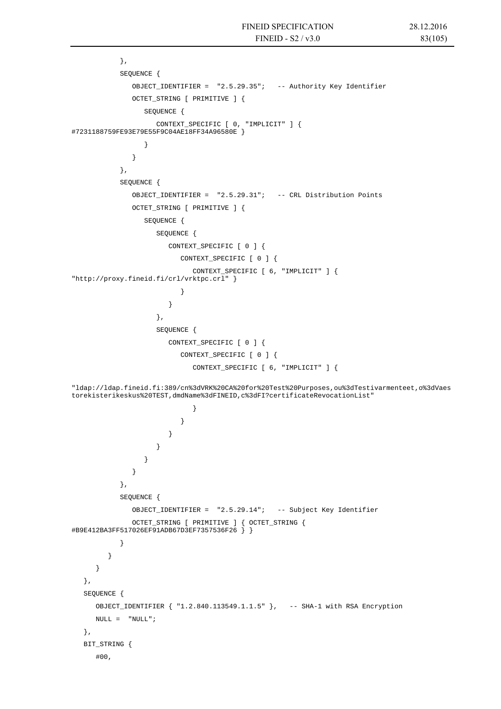```
 }, 
           SEQUENCE { 
              OBJECT_IDENTIFIER = "2.5.29.35"; -- Authority Key Identifier 
              OCTET_STRING [ PRIMITIVE ] { 
                 SEQUENCE { 
                   CONTEXT_SPECIFIC [ 0, "IMPLICIT" ] { 
#7231188759FE93E79E55F9C04AE18FF34A96580E } 
 } 
 } 
           }, 
           SEQUENCE { 
              OBJECT_IDENTIFIER = "2.5.29.31"; -- CRL Distribution Points 
              OCTET_STRING [ PRIMITIVE ] { 
                 SEQUENCE { 
                   SEQUENCE { 
                      CONTEXT_SPECIFIC [ 0 ] { 
                         CONTEXT_SPECIFIC [ 0 ] { 
                            CONTEXT_SPECIFIC [ 6, "IMPLICIT" ] { 
"http://proxy.fineid.fi/crl/vrktpc.crl" } 
 } 
 } 
\}, \{ SEQUENCE { 
                      CONTEXT_SPECIFIC [ 0 ] { 
                         CONTEXT_SPECIFIC [ 0 ] { 
                            CONTEXT_SPECIFIC [ 6, "IMPLICIT" ] { 
"ldap://ldap.fineid.fi:389/cn%3dVRK%20CA%20for%20Test%20Purposes,ou%3dTestivarmenteet,o%3dVaes
torekisterikeskus%20TEST,dmdName%3dFINEID,c%3dFI?certificateRevocationList" 
 } 
 } 
 } 
 } 
 } 
 } 
           }, 
           SEQUENCE { 
              OBJECT_IDENTIFIER = "2.5.29.14"; -- Subject Key Identifier 
             OCTET STRING [ PRIMITIVE ] { OCTET STRING {
#B9E412BA3FF517026EF91ADB67D3EF7357536F26 } } 
 } 
 } 
      } 
   }, 
   SEQUENCE { 
      OBJECT_IDENTIFIER { "1.2.840.113549.1.1.5" }, -- SHA-1 with RSA Encryption 
     \begin{array}{ccc} \text{NULL} & = & \text{"NULL"} \end{array} }, 
   BIT_STRING { 
      #00,
```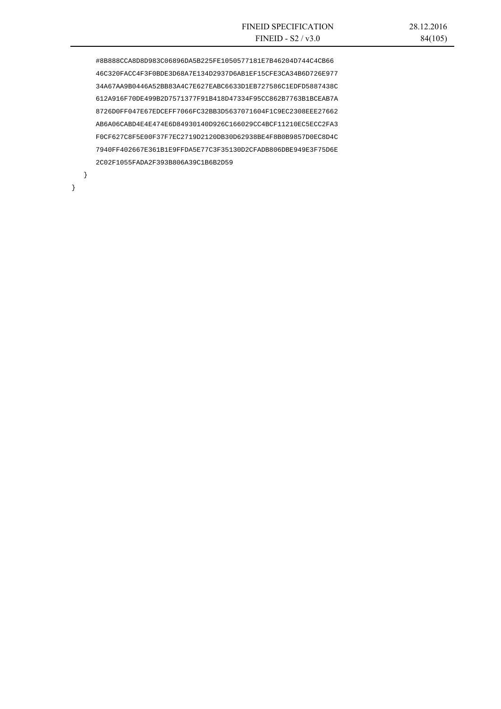#8B888CCA8D8D983C06896DA5B225FE1050577181E7B46204D744C4CB66 46C320FACC4F3F0BDE3D68A7E134D2937D6AB1EF15CFE3CA34B6D726E977 34A67AA9B0446A52BB83A4C7E627EABC6633D1EB727586C1EDFD5887438C 612A916F70DE499B2D7571377F91B418D47334F95CC862B7763B1BCEAB7A 8726D0FF047E67EDCEFF7066FC32BB3D5637071604F1C9EC2308EEE27662 AB6A06CABD4E4E474E6D84930140D926C166029CC4BCF11210EC5ECC2FA3 F0CF627C8F5E00F37F7EC2719D2120DB30D62938BE4F8B0B9857D0EC8D4C 7940FF402667E361B1E9FFDA5E77C3F35130D2CFADB806DBE949E3F75D6E 2C02F1055FADA2F393B806A39C1B6B2D59

}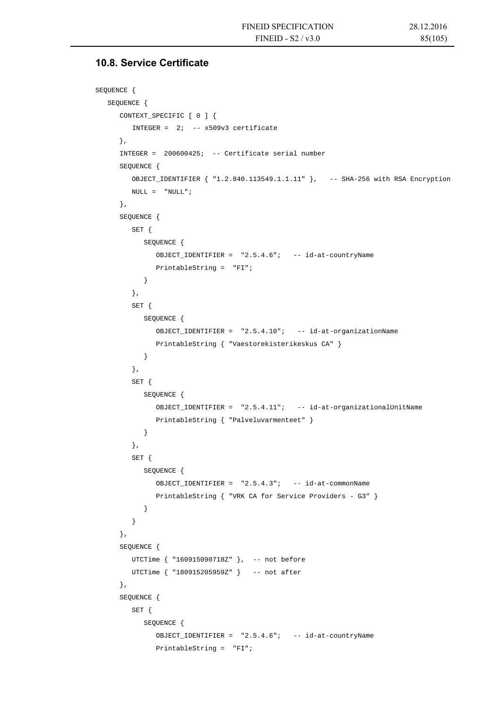#### **10.8. Service Certificate**

```
SEQUENCE { 
   SEQUENCE { 
      CONTEXT_SPECIFIC [ 0 ] { 
         INTEGER = 2i -- x509v3 certificate
     }, 
      INTEGER = 200600425; -- Certificate serial number 
      SEQUENCE { 
         OBJECT_IDENTIFIER { "1.2.840.113549.1.1.11" }, -- SHA-256 with RSA Encryption 
        NULL = "NULL"; }, 
      SEQUENCE { 
         SET { 
             SEQUENCE { 
                OBJECT_IDENTIFIER = "2.5.4.6"; -- id-at-countryName 
               PrintableString = "FI"; 
             } 
          }, 
         SET { 
            SEQUENCE { 
                OBJECT_IDENTIFIER = "2.5.4.10"; -- id-at-organizationName 
                PrintableString { "Vaestorekisterikeskus CA" } 
 } 
          }, 
          SET { 
            SEQUENCE { 
                OBJECT_IDENTIFIER = "2.5.4.11"; -- id-at-organizationalUnitName 
                PrintableString { "Palveluvarmenteet" } 
 } 
          }, 
          SET { 
            SEQUENCE { 
                OBJECT_IDENTIFIER = "2.5.4.3"; -- id-at-commonName 
                PrintableString { "VRK CA for Service Providers - G3" } 
 } 
          } 
       }, 
      SEQUENCE { 
        UTCTime { "160915090718Z" }, -- not before
         UTCTime { "180915205959Z" } -- not after 
       }, 
      SEQUENCE { 
         SET { 
            SEQUENCE { 
                OBJECT_IDENTIFIER = "2.5.4.6"; -- id-at-countryName 
                PrintableString = "FI";
```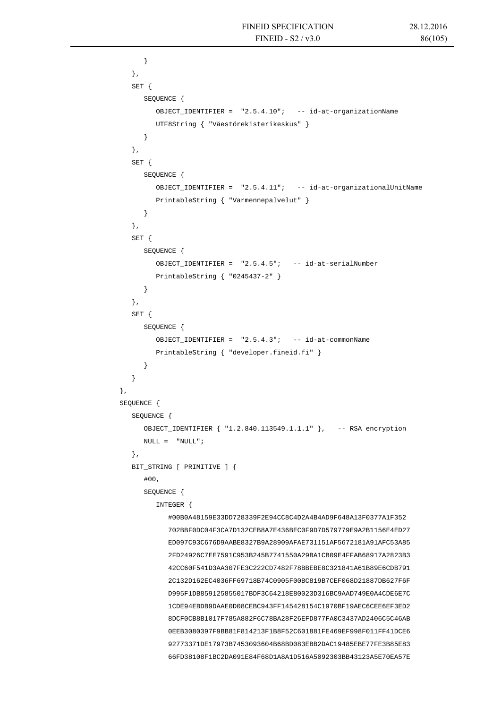```
 } 
          }, 
         SET { 
             SEQUENCE { 
                OBJECT_IDENTIFIER = "2.5.4.10"; -- id-at-organizationName 
                UTF8String { "Väestörekisterikeskus" } 
 } 
          }, 
          SET { 
             SEQUENCE { 
                OBJECT_IDENTIFIER = "2.5.4.11"; -- id-at-organizationalUnitName 
                PrintableString { "Varmennepalvelut" } 
 } 
          }, 
          SET { 
             SEQUENCE { 
                OBJECT_IDENTIFIER = "2.5.4.5"; -- id-at-serialNumber 
                PrintableString { "0245437-2" } 
 } 
          }, 
          SET { 
             SEQUENCE { 
                OBJECT_IDENTIFIER = "2.5.4.3"; -- id-at-commonName 
                PrintableString { "developer.fineid.fi" } 
 } 
 } 
      }, 
      SEQUENCE { 
          SEQUENCE { 
            OBJECT_IDENTIFIER { "1.2.840.113549.1.1.1" }, -- RSA encryption 
            \texttt{NULL} = \texttt{``NULL''} \; ; }, 
         BIT_STRING [ PRIMITIVE ] { 
             #00, 
             SEQUENCE { 
                INTEGER { 
                   #00B0A48159E33DD728339F2E94CC8C4D2A4B4AD9F648A13F0377A1F352 
                   702BBF0DC04F3CA7D132CEB8A7E436BEC0F9D7D579779E9A2B1156E4ED27 
                   ED097C93C676D9AABE8327B9A28909AFAE731151AF5672181A91AFC53A85 
                   2FD24926C7EE7591C953B245B7741550A29BA1CB09E4FFAB68917A2823B3 
                   42CC60F541D3AA307FE3C222CD7482F78BBEBE8C321841A61B89E6CDB791 
                   2C132D162EC4036FF69718B74C0905F00BC819B7CEF068D21887DB627F6F 
                   D995F1DB859125855017BDF3C64218E80023D316BC9AAD749E0A4CDE6E7C 
                   1CDE94EBDB9DAAE0D08CEBC943FF145428154C1970BF19AEC6CEE6EF3ED2 
                   8DCF0CB8B1017F785A882F6C78BA28F26EFD877FA0C3437AD2406C5C46AB 
                   0EEB3080397F9BB81F814213F1B8F52C601881FE469EF998F011FF41DCE6 
                   92773371DE17973B7453093604B68BD083EBB2DAC19485EBE77FE3B85E83 
                   66FD38108F1BC2DA091E84F68D1A8A1D516A5092303BB43123A5E70EA57E
```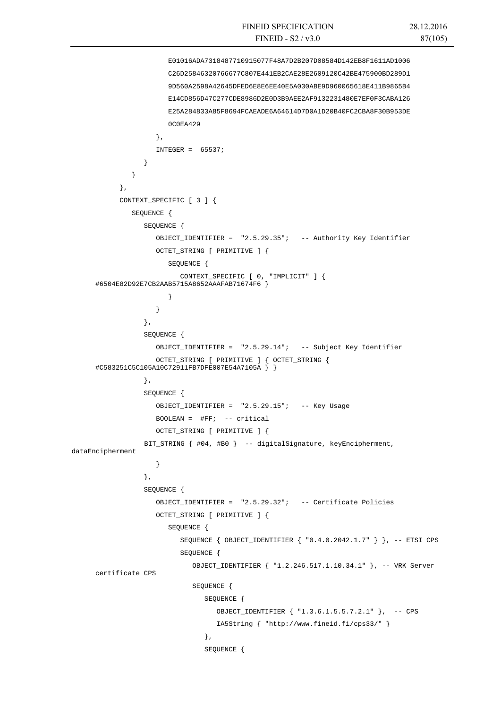```
 E01016ADA7318487710915077F48A7D2B207D08584D142EB8F1611AD1006 
                        C26D25846320766677C807E441EB2CAE28E2609120C42BE475900BD289D1 
                        9D560A2598A42645DFED6E8E6EE40E5A030ABE9D960065618E411B9865B4 
                        E14CD856D47C277CDE8986D2E0D3B9AEE2AF9132231480E7EF0F3CABA126 
                        E25A284833A85F8694FCAEADE6A64614D7D0A1D20B40FC2CBA8F30B953DE 
                        0C0EA429 
                     }, 
                    INTEGER = 65537; } 
       } 
            }, 
            CONTEXT_SPECIFIC [ 3 ] { 
               SEQUENCE { 
                  SEQUENCE { 
                     OBJECT_IDENTIFIER = "2.5.29.35"; -- Authority Key Identifier 
                     OCTET_STRING [ PRIMITIVE ] { 
                        SEQUENCE { 
                           CONTEXT_SPECIFIC [ 0, "IMPLICIT" ] { 
      #6504E82D92E7CB2AAB5715A8652AAAFAB71674F6 } 
       } 
       } 
                  }, 
                  SEQUENCE { 
                     OBJECT_IDENTIFIER = "2.5.29.14"; -- Subject Key Identifier 
                     OCTET_STRING [ PRIMITIVE ] { OCTET_STRING { 
      #C583251C5C105A10C72911FB7DFE007E54A7105A } } 
                  }, 
                  SEQUENCE { 
                     OBJECT_IDENTIFIER = "2.5.29.15"; -- Key Usage 
                     BOOLEAN = #FF; -- critical 
                     OCTET_STRING [ PRIMITIVE ] { 
                  BIT_STRING { #04, #B0 } -- digitalSignature, keyEncipherment, 
dataEncipherment 
       } 
                  }, 
                  SEQUENCE { 
                     OBJECT_IDENTIFIER = "2.5.29.32"; -- Certificate Policies 
                     OCTET_STRING [ PRIMITIVE ] { 
                        SEQUENCE { 
                            SEQUENCE { OBJECT_IDENTIFIER { "0.4.0.2042.1.7" } }, -- ETSI CPS 
                            SEQUENCE { 
                               OBJECT_IDENTIFIER { "1.2.246.517.1.10.34.1" }, -- VRK Server 
      certificate CPS 
                               SEQUENCE { 
                                 SEQUENCE { 
                                    OBJECT_IDENTIFIER { "1.3.6.1.5.5.7.2.1" }, -- CPS 
                                    IA5String { "http://www.fineid.fi/cps33/" } 
       }, 
                                 SEQUENCE {
```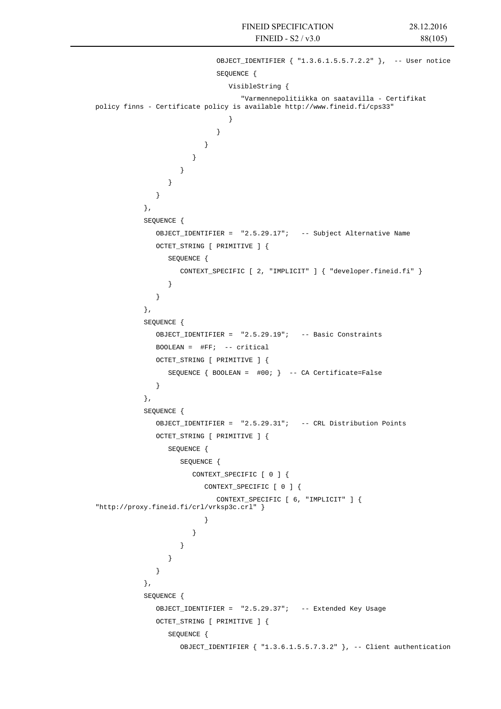```
 OBJECT_IDENTIFIER { "1.3.6.1.5.5.7.2.2" }, -- User notice 
                         SEQUENCE { 
                            VisibleString { 
                               "Varmennepolitiikka on saatavilla - Certifikat 
policy finns - Certificate policy is available http://www.fineid.fi/cps33" 
 } 
 } 
 } 
 } 
 } 
 } 
 } 
           }, 
           SEQUENCE { 
             OBJECT_IDENTIFIER = "2.5.29.17"; -- Subject Alternative Name 
             OCTET_STRING [ PRIMITIVE ] { 
                SEQUENCE { 
                  CONTEXT_SPECIFIC [ 2, "IMPLICIT" ] { "developer.fineid.fi" } 
 } 
 } 
           }, 
           SEQUENCE { 
             OBJECT_IDENTIFIER = "2.5.29.19"; -- Basic Constraints 
            BOOLEAN = \#FF: -- critical OCTET_STRING [ PRIMITIVE ] { 
                SEQUENCE { BOOLEAN = #00; } -- CA Certificate=False 
 } 
           }, 
           SEQUENCE { 
             OBJECT_IDENTIFIER = "2.5.29.31"; -- CRL Distribution Points 
             OCTET_STRING [ PRIMITIVE ] { 
                SEQUENCE { 
                  SEQUENCE { 
                    CONTEXT_SPECIFIC [ 0 ] { 
                       CONTEXT_SPECIFIC [ 0 ] { 
                         CONTEXT_SPECIFIC [ 6, "IMPLICIT" ] { 
"http://proxy.fineid.fi/crl/vrksp3c.crl" } 
 } 
 } 
 } 
 } 
 } 
           }, 
           SEQUENCE { 
             OBJECT_IDENTIFIER = "2.5.29.37"; -- Extended Key Usage 
             OCTET_STRING [ PRIMITIVE ] { 
                SEQUENCE { 
                  OBJECT_IDENTIFIER { "1.3.6.1.5.5.7.3.2" }, -- Client authentication
```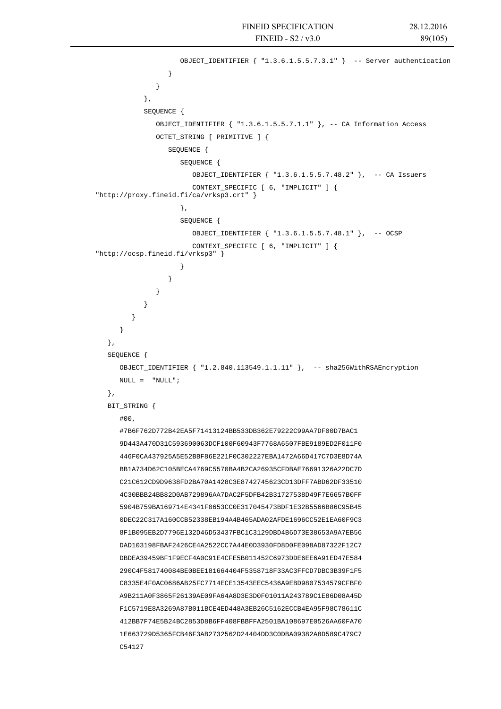```
 OBJECT_IDENTIFIER { "1.3.6.1.5.5.7.3.1" } -- Server authentication 
 } 
 } 
            }, 
            SEQUENCE { 
               OBJECT_IDENTIFIER { "1.3.6.1.5.5.7.1.1" }, -- CA Information Access 
              OCTET STRING [ PRIMITIVE ] {
                  SEQUENCE { 
                     SEQUENCE { 
                        OBJECT_IDENTIFIER { "1.3.6.1.5.5.7.48.2" }, -- CA Issuers 
                        CONTEXT_SPECIFIC [ 6, "IMPLICIT" ] { 
"http://proxy.fineid.fi/ca/vrksp3.crt" } 
 }, 
                     SEQUENCE { 
                        OBJECT_IDENTIFIER { "1.3.6.1.5.5.7.48.1" }, -- OCSP 
                        CONTEXT_SPECIFIC [ 6, "IMPLICIT" ] { 
"http://ocsp.fineid.fi/vrksp3" } 
 } 
 } 
 } 
 } 
 } 
       } 
   }, 
   SEQUENCE { 
      OBJECT_IDENTIFIER { "1.2.840.113549.1.1.11" }, -- sha256WithRSAEncryption 
      NULL = "NULL"; 
   }, 
   BIT_STRING { 
     #00.
      #7B6F762D772B42EA5F71413124BB533DB362E79222C99AA7DF00D7BAC1 
       9D443A470D31C593690063DCF100F60943F7768A6507FBE9189ED2F011F0 
      446F0CA437925A5E52BBF86E221F0C302227EBA1472A66D417C7D3E8D74A 
      BB1A734D62C105BECA4769C5570BA4B2CA26935CFDBAE76691326A22DC7D 
      C21C612CD9D9638FD2BA70A1428C3E8742745623CD13DFF7ABD62DF33510 
      4C30BBB24BB82D0AB729896AA7DAC2F5DFB42B31727538D49F7E6657B0FF 
      5904B759BA169714E4341F0653CC0E317045473BDF1E32B5566B86C95B45 
      0DEC22C317A160CCB52338EB194A4B465ADA02AFDE1696CC52E1EA60F9C3 
      8F1B095EB2D7796E132D46D53437FBC1C3129DBD4B6D73E38653A9A7EB56 
      DAD103198FBAF2426CE4A2522CC7A44E0D3930FD8D0FE098AD87322F12C7 
      DBDEA39459BF1F9ECF4A0C91E4CFE5B011452C6973DDE6EE6A91ED47E584 
      290C4F581740084BE0BEE181664404F5358718F33AC3FFCD7DBC3B39F1F5 
      C8335E4F0AC0686AB25FC7714ECE13543EEC5436A9EBD9807534579CFBF0 
      A9B211A0F3865F26139AE09FA64A8D3E3D0F01011A243789C1E86D08A45D 
      F1C5719E8A3269A87B011BCE4ED448A3EB26C5162ECCB4EA95F98C78611C 
      412BB7F74E5B24BC2853D8B6FF408FBBFFA2501BA108697E0526AA60FA70 
      1E663729D5365FCB46F3AB2732562D24404DD3C0DBA09382A8D589C479C7 
      C54127
```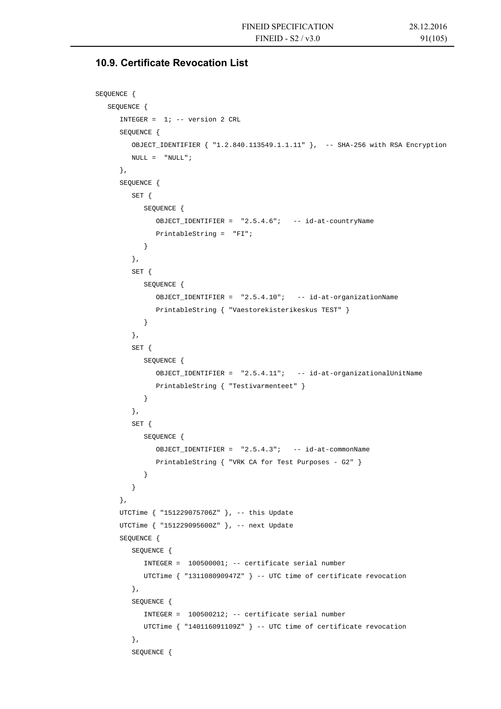# **10.9. Certificate Revocation List**

```
SEQUENCE { 
    SEQUENCE { 
       INTEGER = 1; -- version 2 CRL 
       SEQUENCE { 
          OBJECT_IDENTIFIER { "1.2.840.113549.1.1.11" }, -- SHA-256 with RSA Encryption 
         \begin{array}{ccc} \text{NULL} & = & \text{"NULL"} \; ; \end{array} }, 
       SEQUENCE { 
          SET { 
             SEQUENCE { 
                OBJECT_IDENTIFIER = "2.5.4.6"; -- id-at-countryName 
                PrintableString = "FI"; 
 } 
          }, 
          SET { 
             SEQUENCE { 
                OBJECT_IDENTIFIER = "2.5.4.10"; -- id-at-organizationName 
                PrintableString { "Vaestorekisterikeskus TEST" } 
 } 
          }, 
          SET { 
             SEQUENCE { 
                OBJECT_IDENTIFIER = "2.5.4.11"; -- id-at-organizationalUnitName 
                PrintableString { "Testivarmenteet" } 
             } 
          }, 
          SET { 
             SEQUENCE { 
               OBJECT IDENTIFIER = "2.5.4.3"; -- id-at-commonName
                PrintableString { "VRK CA for Test Purposes - G2" } 
 } 
 } 
       }, 
       UTCTime { "151229075706Z" }, -- this Update 
      UTCTime { "151229095600Z" }, -- next Update
       SEQUENCE { 
          SEQUENCE { 
             INTEGER = 100500001; -- certificate serial number 
             UTCTime { "131108090947Z" } -- UTC time of certificate revocation 
          }, 
          SEQUENCE { 
             INTEGER = 100500212; -- certificate serial number 
             UTCTime { "140116091109Z" } -- UTC time of certificate revocation 
          }, 
          SEQUENCE {
```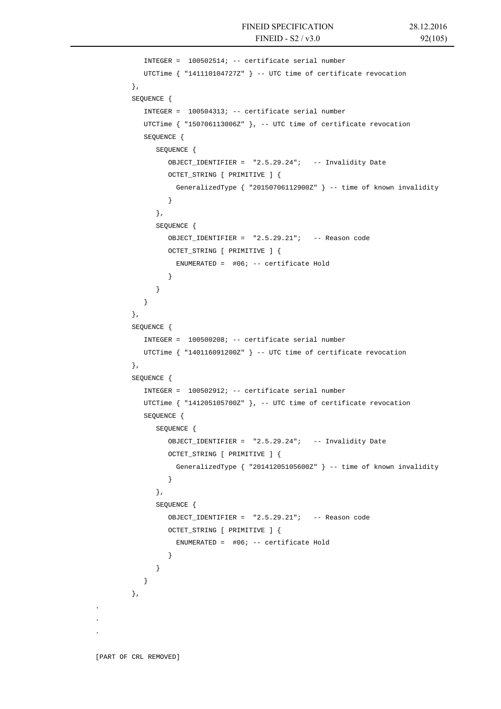```
 INTEGER = 100502514; -- certificate serial number 
            UTCTime { "141110104727Z" } -- UTC time of certificate revocation 
         }, 
         SEQUENCE { 
           INTEGER = 100504313; -- certificate serial number
            UTCTime { "150706113006Z" }, -- UTC time of certificate revocation 
            SEQUENCE { 
               SEQUENCE { 
                 OBJECT_IDENTIFIER = "2.5.29.24"; -- Invalidity Date 
                 OCTET_STRING [ PRIMITIVE ] { 
                   GeneralizedType { "20150706112900Z" } -- time of known invalidity 
 } 
              }, 
              SEQUENCE { 
                 OBJECT_IDENTIFIER = "2.5.29.21"; -- Reason code 
                 OCTET_STRING [ PRIMITIVE ] { 
                  ENUMERATED = \#06; -- certificate Hold
 } 
 } 
 } 
         }, 
         SEQUENCE { 
            INTEGER = 100500208; -- certificate serial number 
            UTCTime { "140116091200Z" } -- UTC time of certificate revocation 
         }, 
         SEQUENCE { 
            INTEGER = 100502912; -- certificate serial number 
            UTCTime { "141205105700Z" }, -- UTC time of certificate revocation 
            SEQUENCE { 
              SEQUENCE { 
                 OBJECT_IDENTIFIER = "2.5.29.24"; -- Invalidity Date 
                 OCTET_STRING [ PRIMITIVE ] { 
                   GeneralizedType { "20141205105600Z" } -- time of known invalidity 
 } 
              }, 
               SEQUENCE { 
                 OBJECT_IDENTIFIER = "2.5.29.21"; -- Reason code 
                 OCTET_STRING [ PRIMITIVE ] { 
                  ENUMERATED = \#06; -- certificate Hold
 } 
 } 
 } 
         },
```
. . .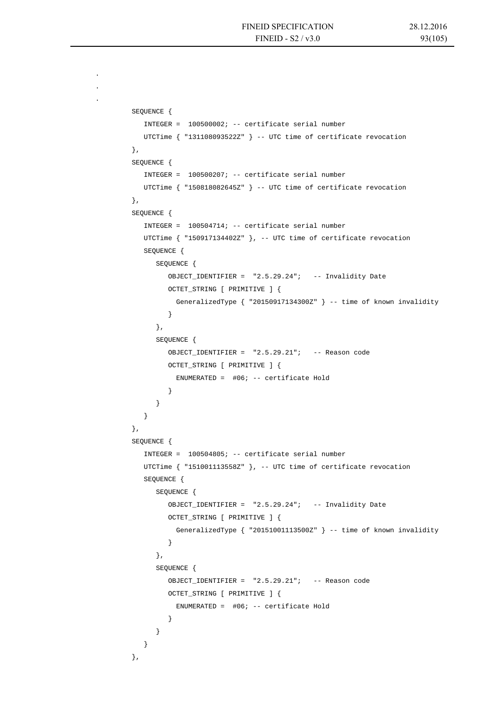. . .

```
 SEQUENCE { 
            INTEGER = 100500002; -- certificate serial number 
            UTCTime { "131108093522Z" } -- UTC time of certificate revocation 
         }, 
         SEQUENCE { 
            INTEGER = 100500207; -- certificate serial number 
           UTCTime { "150818082645Z" } -- UTC time of certificate revocation 
         }, 
         SEQUENCE { 
            INTEGER = 100504714; -- certificate serial number 
            UTCTime { "150917134402Z" }, -- UTC time of certificate revocation 
            SEQUENCE { 
              SEQUENCE { 
                 OBJECT_IDENTIFIER = "2.5.29.24"; -- Invalidity Date 
                 OCTET_STRING [ PRIMITIVE ] { 
                   GeneralizedType { "20150917134300Z" } -- time of known invalidity 
 } 
              }, 
               SEQUENCE { 
                 OBJECT_IDENTIFIER = "2.5.29.21"; -- Reason code 
                 OCTET_STRING [ PRIMITIVE ] { 
                  ENUMERATED = #06; -- certificate Hold
 } 
 } 
 } 
         }, 
         SEQUENCE { 
            INTEGER = 100504805; -- certificate serial number 
            UTCTime { "151001113558Z" }, -- UTC time of certificate revocation 
            SEQUENCE { 
              SEQUENCE { 
                 OBJECT_IDENTIFIER = "2.5.29.24"; -- Invalidity Date 
                 OCTET_STRING [ PRIMITIVE ] { 
                   GeneralizedType { "20151001113500Z" } -- time of known invalidity 
 } 
               }, 
              SEQUENCE {
                 OBJECT_IDENTIFIER = "2.5.29.21"; -- Reason code 
                 OCTET_STRING [ PRIMITIVE ] { 
                  ENUMERATED = #06; -- certificate Hold
 } 
 } 
 } 
         },
```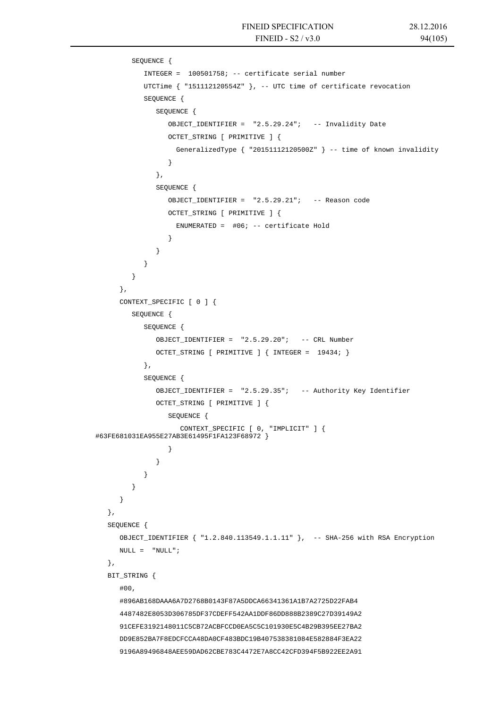```
 SEQUENCE { 
            INTEGER = 100501758; -- certificate serial number 
            UTCTime { "151112120554Z" }, -- UTC time of certificate revocation 
            SEQUENCE { 
               SEQUENCE { 
                  OBJECT_IDENTIFIER = "2.5.29.24"; -- Invalidity Date 
                  OCTET_STRING [ PRIMITIVE ] { 
                    GeneralizedType { "20151112120500Z" } -- time of known invalidity 
 } 
               }, 
               SEQUENCE { 
                  OBJECT_IDENTIFIER = "2.5.29.21"; -- Reason code 
                  OCTET_STRING [ PRIMITIVE ] { 
                   ENUMERATED = #06; -- certificate Hold
 } 
 } 
 } 
 } 
      }, 
      CONTEXT_SPECIFIC [ 0 ] { 
         SEQUENCE { 
            SEQUENCE { 
               OBJECT_IDENTIFIER = "2.5.29.20"; -- CRL Number 
               OCTET_STRING [ PRIMITIVE ] { INTEGER = 19434; } 
            }, 
            SEQUENCE { 
               OBJECT_IDENTIFIER = "2.5.29.35"; -- Authority Key Identifier 
               OCTET_STRING [ PRIMITIVE ] { 
                  SEQUENCE { 
                    CONTEXT_SPECIFIC [ 0, "IMPLICIT" ] { 
#63FE681031EA955E27AB3E61495F1FA123F68972 } 
 } 
 } 
 } 
 } 
      } 
   }, 
   SEQUENCE { 
      OBJECT_IDENTIFIER { "1.2.840.113549.1.1.11" }, -- SHA-256 with RSA Encryption 
     NULL = "NULL"; }, 
   BIT_STRING { 
      #00, 
      #896AB168DAAA6A7D2768B0143F87A5DDCA66341361A1B7A2725D22FAB4 
      4487482E8053D306785DF37CDEFF542AA1DDF86DD888B2389C27D39149A2 
      91CEFE3192148011C5CB72ACBFCCD0EA5C5C101930E5C4B29B395EE27BA2 
      DD9E852BA7F8EDCFCCA48DA0CF483BDC19B407538381084E582884F3EA22 
      9196A89496848AEE59DAD62CBE783C4472E7A8CC42CFD394F5B922EE2A91
```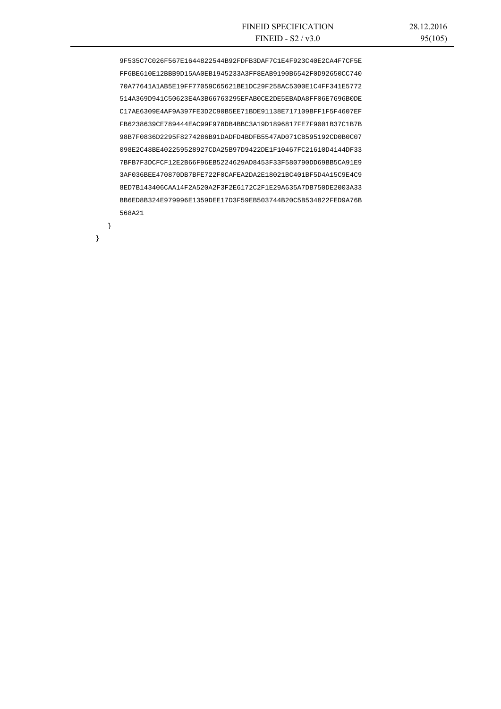9F535C7C026F567E1644822544B92FDFB3DAF7C1E4F923C40E2CA4F7CF5E FF6BE610E12BBB9D15AA0EB1945233A3FF8EAB9190B6542F0D92650CC740 70A77641A1AB5E19FF77059C65621BE1DC29F258AC5300E1C4FF341E5772 514A369D941C50623E4A3B66763295EFAB0CE2DE5EBADA8FF06E7696B0DE C17AE6309E4AF9A397FE3D2C90B5EE71BDE91138E717109BFF1F5F4607EF FB6238639CE789444EAC99F978DB4BBC3A19D1896817FE7F9001B37C1B7B 98B7F0836D2295F8274286B91DADFD4BDFB5547AD071CB595192CD0B0C07 098E2C48BE402259528927CDA25B97D9422DE1F10467FC21610D4144DF33 7BFB7F3DCFCF12E2B66F96EB5224629AD8453F33F580790DD69BB5CA91E9 3AF036BEE470870DB7BFE722F0CAFEA2DA2E18021BC401BF5D4A15C9E4C9 8ED7B143406CAA14F2A520A2F3F2E6172C2F1E29A635A7DB750DE2003A33 BB6ED8B324E979996E1359DEE17D3F59EB503744B20C5B534822FED9A76B 568A21

}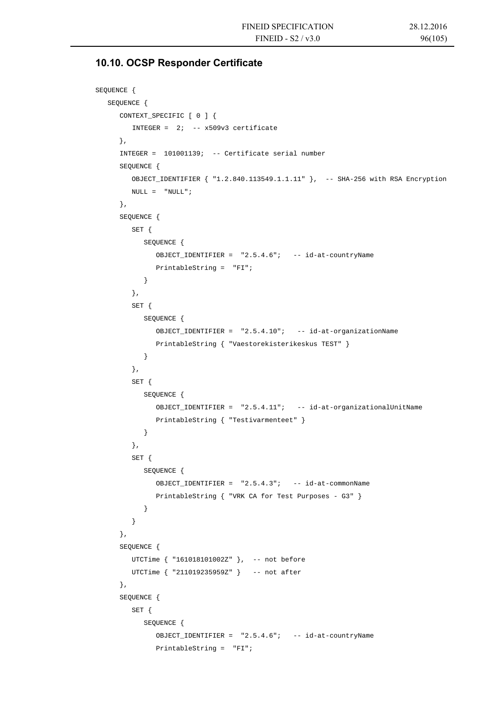# **10.10. OCSP Responder Certificate**

```
SEQUENCE { 
   SEQUENCE { 
       CONTEXT_SPECIFIC [ 0 ] { 
         INTEGER = 2i -- x509v3 certificate
      }, 
       INTEGER = 101001139; -- Certificate serial number 
       SEQUENCE { 
         OBJECT_IDENTIFIER { "1.2.840.113549.1.1.11" }, -- SHA-256 with RSA Encryption 
        NULL = "NULL"; }, 
       SEQUENCE { 
         SET { 
             SEQUENCE { 
                OBJECT_IDENTIFIER = "2.5.4.6"; -- id-at-countryName 
               PrintableString = "FI"; 
             } 
          }, 
          SET { 
             SEQUENCE { 
                OBJECT_IDENTIFIER = "2.5.4.10"; -- id-at-organizationName 
                PrintableString { "Vaestorekisterikeskus TEST" } 
 } 
          }, 
          SET { 
             SEQUENCE { 
                OBJECT_IDENTIFIER = "2.5.4.11"; -- id-at-organizationalUnitName 
                PrintableString { "Testivarmenteet" } 
 } 
          }, 
          SET { 
             SEQUENCE { 
                OBJECT_IDENTIFIER = "2.5.4.3"; -- id-at-commonName 
                PrintableString { "VRK CA for Test Purposes - G3" } 
 } 
          } 
       }, 
       SEQUENCE { 
         UTCTime { "161018101002Z" }, -- not before 
         UTCTime { "211019235959Z" } -- not after 
       }, 
       SEQUENCE { 
         SET { 
             SEQUENCE { 
                OBJECT_IDENTIFIER = "2.5.4.6"; -- id-at-countryName 
                PrintableString = "FI";
```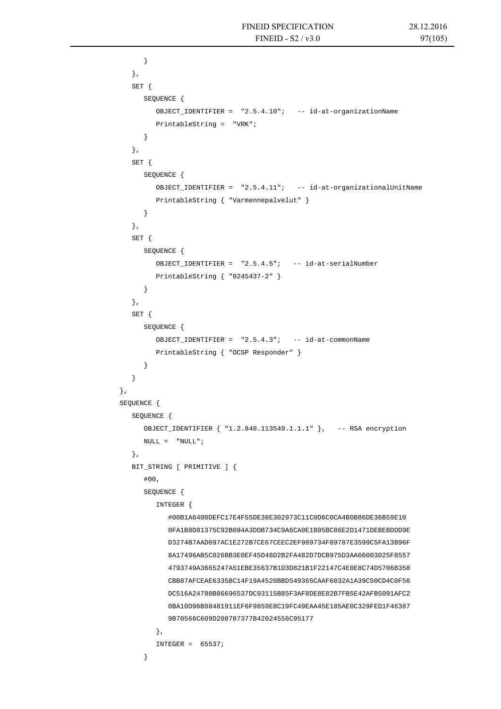```
 } 
          }, 
         SET { 
             SEQUENCE { 
                OBJECT_IDENTIFIER = "2.5.4.10"; -- id-at-organizationName 
                PrintableString = "VRK"; 
 } 
          }, 
         SET { 
            SEQUENCE { 
                OBJECT_IDENTIFIER = "2.5.4.11"; -- id-at-organizationalUnitName 
                PrintableString { "Varmennepalvelut" } 
 } 
          }, 
         SET { 
            SEQUENCE { 
               OBJECT IDENTIFIER = "2.5.4.5"; -- id-at-serialNumber
                PrintableString { "0245437-2" } 
 } 
          }, 
          SET { 
            SEQUENCE { 
                OBJECT_IDENTIFIER = "2.5.4.3"; -- id-at-commonName 
                PrintableString { "OCSP Responder" } 
             } 
 } 
      }, 
      SEQUENCE { 
         SEQUENCE { 
            OBJECT_IDENTIFIER { "1.2.840.113549.1.1.1" }, -- RSA encryption 
           \texttt{NULL} = \texttt{``NULL''} \; ; }, 
         BIT_STRING [ PRIMITIVE ] { 
             #00, 
             SEQUENCE { 
                INTEGER { 
                   #00B1A6400DEFC17E4F55DE38E302973C11C0D6C0CA4B0B86DE36B59E10 
                   0FA1B8D81375C92B094A3DDB734C9A6CA0E1B95BC86E2D1471DEBEBDDD9E 
                   D3274B7AAD097AC1E272B7CE67CEEC2EF989734F89787E3599C5FA13B96F 
                   8A17496AB5C026BB3E0EF45D46D2B2FA482D7DCB975D3AA66003025F8557 
                   4793749A3665247A51EBE35637B1D3D821B1F22147C4E0E8C74D5706B358 
                   CBB87AFCEAE6335BC14F19A4520BBD549365CAAF6032A1A39C50CD4C0F56 
                   DC516A24780B86696537DC93115B85F3AF8DE8E82B7FB5E42AFB5091AFC2 
                   0BA10D96B88481911EF6F9859E8C19FC49EAA45E185AE0C329FED1F46387 
                   9B70566C609D208787377B42024556C95177 
                }, 
               INTEGER = 65537; }
```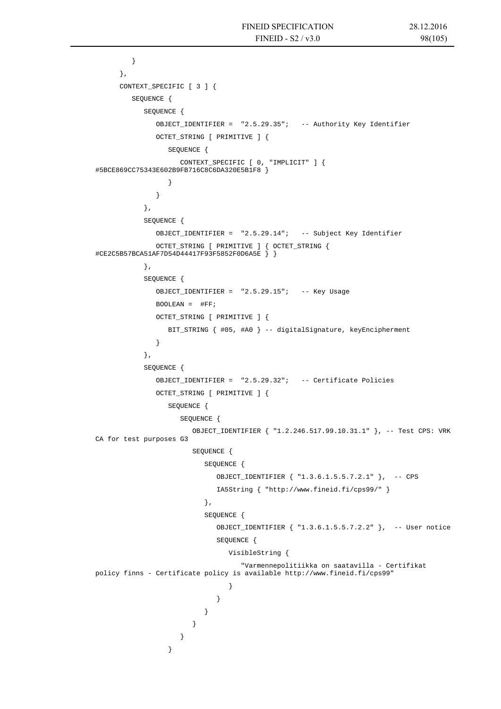```
 } 
      }, 
      CONTEXT_SPECIFIC [ 3 ] { 
         SEQUENCE { 
            SEQUENCE { 
              OBJECT_IDENTIFIER = "2.5.29.35"; -- Authority Key Identifier 
              OCTET_STRING [ PRIMITIVE ] { 
                 SEQUENCE { 
                    CONTEXT_SPECIFIC [ 0, "IMPLICIT" ] { 
#5BCE869CC75343E602B9FB716C8C6DA320E5B1F8 } 
 } 
 } 
            }, 
            SEQUENCE { 
              OBJECT_IDENTIFIER = "2.5.29.14"; -- Subject Key Identifier 
              OCTET_STRING [ PRIMITIVE ] { OCTET_STRING { 
#CE2C5B57BCA51AF7D54D44417F93F5852F0D6A5E } } 
            }, 
            SEQUENCE { 
             OBJECT IDENTIFIER = "2.5.29.15"; -- Key Usage
             \texttt{BOOLEAN} \ = \ \ \texttt{\#FF} \, \texttt{;} OCTET_STRING [ PRIMITIVE ] { 
                 BIT_STRING { #05, #A0 } -- digitalSignature, keyEncipherment 
 } 
            }, 
            SEQUENCE { 
              OBJECT_IDENTIFIER = "2.5.29.32"; -- Certificate Policies 
             OCTET STRING [ PRIMITIVE ] {
                 SEQUENCE { 
                    SEQUENCE { 
                       OBJECT_IDENTIFIER { "1.2.246.517.99.10.31.1" }, -- Test CPS: VRK 
CA for test purposes G3 
                       SEQUENCE { 
                         SEQUENCE { 
                            OBJECT_IDENTIFIER { "1.3.6.1.5.5.7.2.1" }, -- CPS 
                            IA5String { "http://www.fineid.fi/cps99/" } 
 }, 
                          SEQUENCE { 
                            OBJECT_IDENTIFIER { "1.3.6.1.5.5.7.2.2" }, -- User notice 
                            SEQUENCE { 
                               VisibleString { 
                                  "Varmennepolitiikka on saatavilla - Certifikat 
policy finns - Certificate policy is available http://www.fineid.fi/cps99" 
 } 
 } 
 } 
 } 
 } 
 }
```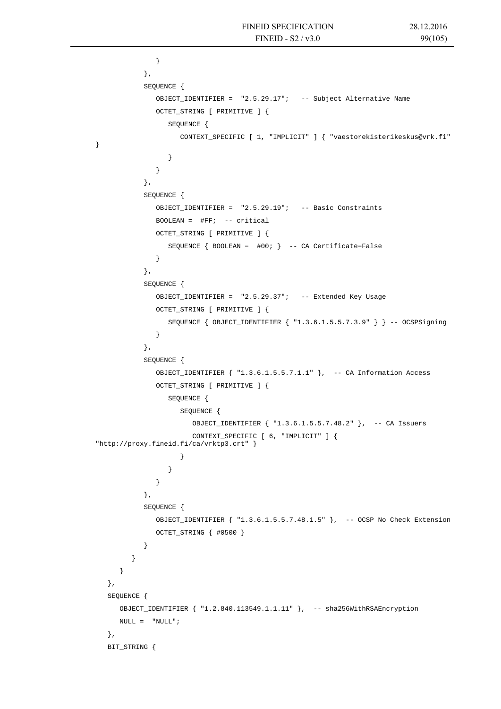```
 } 
            }, 
            SEQUENCE { 
               OBJECT_IDENTIFIER = "2.5.29.17"; -- Subject Alternative Name 
               OCTET_STRING [ PRIMITIVE ] { 
                  SEQUENCE { 
                     CONTEXT_SPECIFIC [ 1, "IMPLICIT" ] { "vaestorekisterikeskus@vrk.fi" 
 } 
 } 
            }, 
            SEQUENCE { 
               OBJECT_IDENTIFIER = "2.5.29.19"; -- Basic Constraints 
              BOOLEAN = \#FF; -- critical
               OCTET_STRING [ PRIMITIVE ] { 
                  SEQUENCE { BOOLEAN = #00; } -- CA Certificate=False 
 } 
            }, 
            SEQUENCE { 
               OBJECT_IDENTIFIER = "2.5.29.37"; -- Extended Key Usage 
               OCTET_STRING [ PRIMITIVE ] { 
                  SEQUENCE { OBJECT_IDENTIFIER { "1.3.6.1.5.5.7.3.9" } } -- OCSPSigning 
 } 
            }, 
            SEQUENCE { 
               OBJECT_IDENTIFIER { "1.3.6.1.5.5.7.1.1" }, -- CA Information Access 
              OCTET STRING [ PRIMITIVE ] {
                  SEQUENCE { 
                     SEQUENCE { 
                        OBJECT_IDENTIFIER { "1.3.6.1.5.5.7.48.2" }, -- CA Issuers 
                        CONTEXT_SPECIFIC [ 6, "IMPLICIT" ] { 
"http://proxy.fineid.fi/ca/vrktp3.crt" } 
 } 
 } 
 } 
            }, 
            SEQUENCE { 
               OBJECT_IDENTIFIER { "1.3.6.1.5.5.7.48.1.5" }, -- OCSP No Check Extension 
              OCTET STRING { #0500 }
 } 
         } 
      } 
   }, 
   SEQUENCE { 
      OBJECT_IDENTIFIER { "1.2.840.113549.1.1.11" }, -- sha256WithRSAEncryption 
     \begin{array}{rcl} \text{NULL} & = & \text{"NULL"} \; ; \end{array} }, 
   BIT_STRING {
```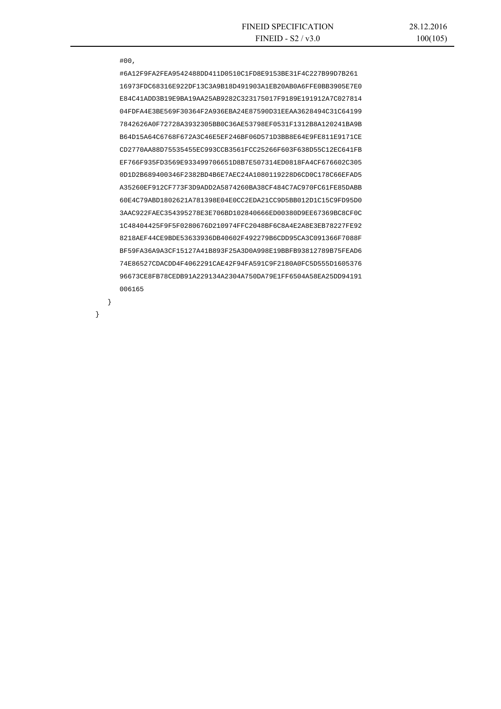#00,

}

}

 #6A12F9FA2FEA9542488DD411D0510C1FD8E9153BE31F4C227B99D7B261 16973FDC68316E922DF13C3A9B18D491903A1EB20AB0A6FFE0BB3905E7E0 E84C41ADD3B19E9BA19AA25AB9282C323175017F9189E191912A7C027814 04FDFA4E3BE569F30364F2A936EBA24E87590D31EEAA3628494C31C64199 7842626A0F72728A3932305BB0C36AE53798EF0531F1312B8A120241BA9B B64D15A64C6768F672A3C46E5EF246BF06D571D3BB8E64E9FE811E9171CE CD2770AA88D75535455EC993CCB3561FCC25266F603F638D55C12EC641FB EF766F935FD3569E933499706651D8B7E507314ED0818FA4CF676602C305 0D1D2B689400346F2382BD4B6E7AEC24A1080119228D6CD0C178C66EFAD5 A35260EF912CF773F3D9ADD2A5874260BA38CF484C7AC970FC61FE85DABB 60E4C79ABD1802621A781398E04E0CC2EDA21CC9D5BB012D1C15C9FD95D0 3AAC922FAEC354395278E3E706BD102840666ED00380D9EE67369BC8CF0C 1C48404425F9F5F0280676D210974FFC2048BF6C8A4E2A8E3EB78227FE92 8218AEF44CE9BDE53633936DB40602F492279B6CDD95CA3C091366F7088F BF59FA36A9A3CF15127A41B893F25A3D0A998E19BBFB93812789B75FEAD6 74E86527CDACDD4F4062291CAE42F94FA591C9F2180A0FC5D555D1605376 96673CE8FB78CEDB91A229134A2304A750DA79E1FF6504A58EA25DD94191 006165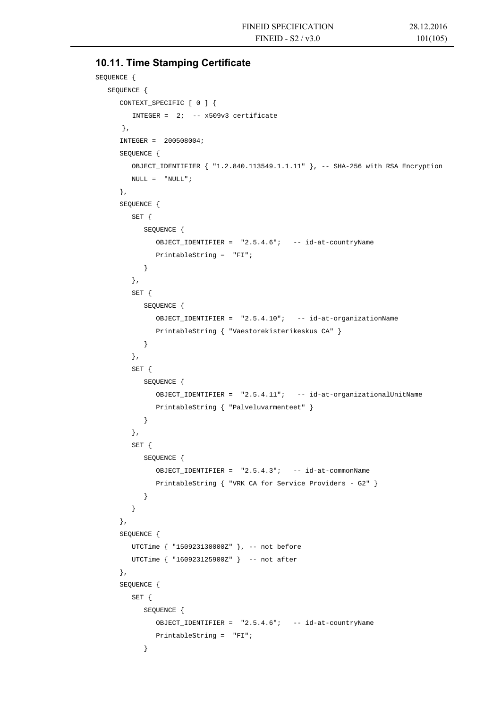# **10.11. Time Stamping Certificate**

```
SEQUENCE { 
   SEQUENCE {
       CONTEXT_SPECIFIC [ 0 ] { 
         INTEGER = 2i -- x509v3 certificate
       }, 
       INTEGER = 200508004; 
       SEQUENCE { 
          OBJECT_IDENTIFIER { "1.2.840.113549.1.1.11" }, -- SHA-256 with RSA Encryption 
         \begin{array}{rcl} \text{NULL} & = & \text{"NULL"} \; ; \end{array} }, 
       SEQUENCE { 
          SET { 
             SEQUENCE { 
                OBJECT_IDENTIFIER = "2.5.4.6"; -- id-at-countryName 
                PrintableString = "FI"; 
 } 
          }, 
          SET { 
             SEQUENCE { 
                OBJECT_IDENTIFIER = "2.5.4.10"; -- id-at-organizationName 
                PrintableString { "Vaestorekisterikeskus CA" } 
 } 
          }, 
          SET { 
             SEQUENCE { 
                OBJECT_IDENTIFIER = "2.5.4.11"; -- id-at-organizationalUnitName 
                PrintableString { "Palveluvarmenteet" } 
 } 
          }, 
          SET { 
             SEQUENCE { 
               OBJECT IDENTIFIER = "2.5.4.3"; -- id-at-commonName
                PrintableString { "VRK CA for Service Providers - G2" } 
 } 
          } 
       }, 
       SEQUENCE { 
          UTCTime { "150923130000Z" }, -- not before 
          UTCTime { "160923125900Z" } -- not after 
       }, 
       SEQUENCE { 
          SET { 
             SEQUENCE { 
                OBJECT_IDENTIFIER = "2.5.4.6"; -- id-at-countryName 
                PrintableString = "FI"; 
             }
```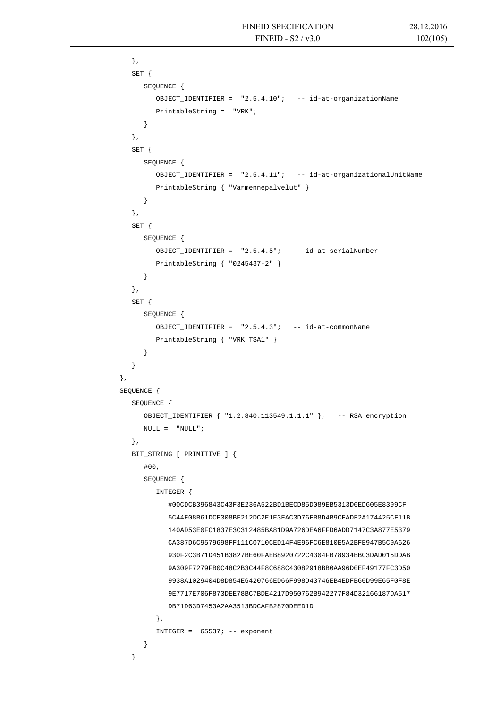```
 }, 
         SET { 
            SEQUENCE { 
               OBJECT_IDENTIFIER = "2.5.4.10"; -- id-at-organizationName 
               PrintableString = "VRK"; 
 } 
         }, 
         SET { 
            SEQUENCE { 
               OBJECT_IDENTIFIER = "2.5.4.11"; -- id-at-organizationalUnitName 
               PrintableString { "Varmennepalvelut" } 
 } 
         }, 
         SET { 
            SEQUENCE { 
              OBJECT IDENTIFIER = "2.5.4.5"; -- id-at-serialNumber
               PrintableString { "0245437-2" } 
 } 
         }, 
         SET { 
            SEQUENCE { 
               OBJECT_IDENTIFIER = "2.5.4.3"; -- id-at-commonName 
               PrintableString { "VRK TSA1" } 
 } 
 } 
      }, 
      SEQUENCE { 
         SEQUENCE { 
            OBJECT_IDENTIFIER { "1.2.840.113549.1.1.1" }, -- RSA encryption 
           NULL = "NULL"; }, 
         BIT_STRING [ PRIMITIVE ] { 
            #00, 
            SEQUENCE { 
               INTEGER { 
                  #00CDCB396843C43F3E236A522BD1BECD85D089EB5313D0ED605E8399CF 
                  5C44F08B61DCF308BE212DC2E1E3FAC3D76FB8D4B9CFADF2A174425CF11B 
                  140AD53E0FC1837E3C312485BA81D9A726DEA6FFD6ADD7147C3A877E5379 
                  CA387D6C9579698FF111C0710CED14F4E96FC6E810E5A2BFE947B5C9A626 
                  930F2C3B71D451B3827BE60FAEB8920722C4304FB78934BBC3DAD015DDAB 
                  9A309F7279FB0C48C2B3C44F8C688C43082918BB0AA96D0EF49177FC3D50 
                  9938A1029404D8D854E6420766ED66F998D43746EB4EDFB60D99E65F0F8E 
                  9E7717E706F873DEE78BC7BDE4217D950762B942277F84D32166187DA517 
                  DB71D63D7453A2AA3513BDCAFB2870DEED1D 
               }, 
              INTEGER = 65537; -- exponent
 } 
 }
```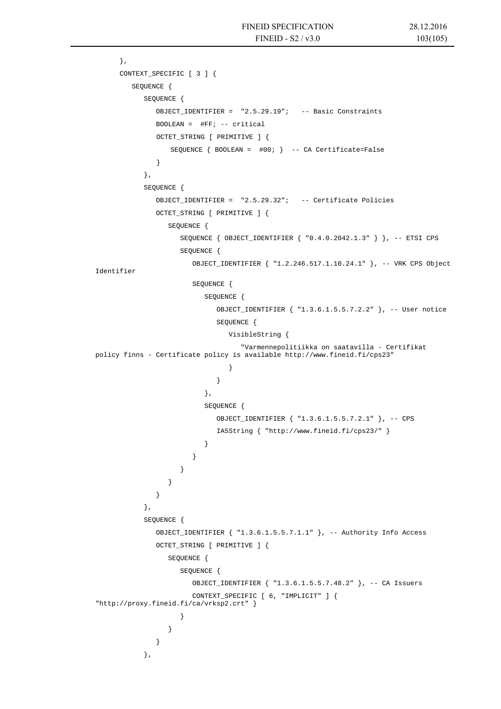},

```
CONTEXT SPECIFIC [ 3 ] {
             SEQUENCE { 
                SEQUENCE { 
                 OBJECT IDENTIFIER = "2.5.29.19"; -- Basic Constraints
                 BOOLEAN = \#FF: -- critical OCTET_STRING [ PRIMITIVE ] { 
                      SEQUENCE { BOOLEAN = #00; } -- CA Certificate=False 
 } 
                }, 
                SEQUENCE { 
                  OBJECT_IDENTIFIER = "2.5.29.32"; -- Certificate Policies 
                  OCTET_STRING [ PRIMITIVE ] { 
                     SEQUENCE { 
                        SEQUENCE { OBJECT_IDENTIFIER { "0.4.0.2042.1.3" } }, -- ETSI CPS 
                        SEQUENCE { 
                          OBJECT_IDENTIFIER { "1.2.246.517.1.10.24.1" }, -- VRK CPS Object 
    Identifier 
                          SEQUENCE { 
                             SEQUENCE { 
                               OBJECT_IDENTIFIER { "1.3.6.1.5.5.7.2.2" }, -- User notice 
                               SEQUENCE { 
                                  VisibleString { 
                                     "Varmennepolitiikka on saatavilla - Certifikat 
    policy finns - Certificate policy is available http://www.fineid.fi/cps23" 
      } 
      } 
      }, 
                             SEQUENCE { 
                               OBJECT_IDENTIFIER { "1.3.6.1.5.5.7.2.1" }, -- CPS 
                               IA5String { "http://www.fineid.fi/cps23/" } 
      } 
      } 
      } 
      } 
      } 
                }, 
                SEQUENCE { 
                  OBJECT_IDENTIFIER { "1.3.6.1.5.5.7.1.1" }, -- Authority Info Access 
                  OCTET_STRING [ PRIMITIVE ] { 
                     SEQUENCE { 
                       SEOUENCE {
                          OBJECT_IDENTIFIER { "1.3.6.1.5.5.7.48.2" }, -- CA Issuers 
                          CONTEXT_SPECIFIC [ 6, "IMPLICIT" ] { 
    "http://proxy.fineid.fi/ca/vrksp2.crt" } 
      } 
      } 
      } 
                },
```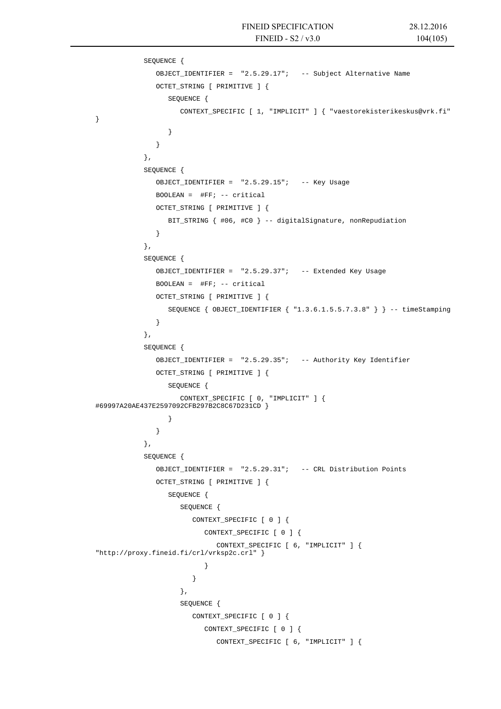```
SEQUENCE { 
               OBJECT IDENTIFIER = "2.5.29.17"; -- Subject Alternative Name
               OCTET_STRING [ PRIMITIVE ] { 
                  SEQUENCE { 
                     CONTEXT_SPECIFIC [ 1, "IMPLICIT" ] { "vaestorekisterikeskus@vrk.fi" 
} 
                  } 
               } 
            }, 
            SEQUENCE { 
               OBJECT_IDENTIFIER = "2.5.29.15"; -- Key Usage 
               BOOLEAN = #FF; -- critical 
               OCTET_STRING [ PRIMITIVE ] { 
                  BIT_STRING { #06, #C0 } -- digitalSignature, nonRepudiation 
               } 
            }, 
            SEQUENCE { 
               OBJECT_IDENTIFIER = "2.5.29.37"; -- Extended Key Usage 
               BOOLEAN = #FF: -- criticalOCTET_STRING [ PRIMITIVE ] { 
                  SEQUENCE { OBJECT_IDENTIFIER { "1.3.6.1.5.5.7.3.8" } } -- timeStamping
               } 
            }, 
            SEQUENCE { 
               OBJECT_IDENTIFIER = "2.5.29.35"; -- Authority Key Identifier 
               OCTET_STRING [ PRIMITIVE ] { 
                  SEQUENCE { 
                     CONTEXT_SPECIFIC [ 0, "IMPLICIT" ] { 
#69997A20AE437E2597092CFB297B2C8C67D231CD } 
                  } 
               } 
            }, 
            SEQUENCE { 
               OBJECT_IDENTIFIER = "2.5.29.31"; -- CRL Distribution Points 
               OCTET_STRING [ PRIMITIVE ] { 
                  SEQUENCE { 
                     SEQUENCE { 
                        CONTEXT_SPECIFIC [ 0 ] { 
                           CONTEXT SPECIFIC [ 0 ] {
                               CONTEXT_SPECIFIC [ 6, "IMPLICIT" ] { 
"http://proxy.fineid.fi/crl/vrksp2c.crl" } 
                           } 
                        } 
                     }, 
                     SEQUENCE { 
                        CONTEXT_SPECIFIC [ 0 ] { 
                           CONTEXT_SPECIFIC [ 0 ] { 
                               CONTEXT_SPECIFIC [ 6, "IMPLICIT" ] {
```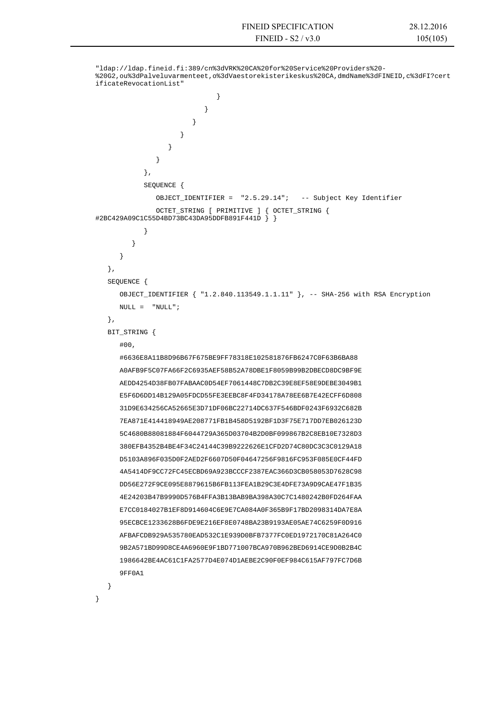```
"ldap://ldap.fineid.fi:389/cn%3dVRK%20CA%20for%20Service%20Providers%20-
%20G2,ou%3dPalveluvarmenteet,o%3dVaestorekisterikeskus%20CA,dmdName%3dFINEID,c%3dFI?cert
ificateRevocationList" 
                               } 
                            } 
                         } 
                      } 
                   } 
                } 
            }, 
            SEQUENCE { 
               OBJECT_IDENTIFIER = "2.5.29.14"; -- Subject Key Identifier 
               OCTET STRING [ PRIMITIVE ] { OCTET STRING {
#2BC429A09C1C55D4BD73BC43DA95DDFB891F441D } } 
            } 
         } 
      } 
   }, 
   SEQUENCE { 
      OBJECT_IDENTIFIER { "1.2.840.113549.1.1.11" }, -- SHA-256 with RSA Encryption 
      \texttt{NULL} = \texttt{``NULL''} \; ; }, 
   BIT_STRING { 
      #00, 
      #6636E8A11B8D96B67F675BE9FF78318E102581876FB6247C0F63B6BA88 
      A0AFB9F5C07FA66F2C6935AEF58B52A78DBE1F8059B99B2DBECD8DC9BF9E 
      AEDD4254D38FB07FABAAC0D54EF7061448C7DB2C39E8EF58E9DEBE3049B1 
      E5F6D6DD14B129A05FDCD55FE3EEBC8F4FD34178A78EE6B7E42ECFF6D808 
      31D9E634256CA52665E3D71DF06BC22714DC637F546BDF0243F6932C682B 
      7EA871E414418949AE208771FB1B458D5192BF1D3F75E717DD7EB026123D 
      5C4680B88081884F6044729A365D03704B2D0BF099867B2C8EB10E7328D3 
      380EFB4352B4BE4F34C24144C39B9222626E1CFD2D74C80DC3C3C0129A18 
      D5103A896F035D0F2AED2F6607D50F04647256F9816FC953F085E0CF44FD 
      4A5414DF9CC72FC45ECBD69A923BCCCF2387EAC366D3CB058053D7628C98 
      DD56E272F9CE095E8879615B6FB113FEA1B29C3E4DFE73A9D9CAE47F1B35 
      4E24203B47B9990D576B4FFA3B13BAB9BA398A30C7C1480242B0FD264FAA 
      E7CC0184027B1EF8D914604C6E9E7CA084A0F365B9F17BD2098314DA7E8A 
      95ECBCE1233628B6FDE9E216EF8E0748BA23B9193AE05AE74C6259F0D916 
      AFBAFCDB929A535780EAD532C1E939D0BFB7377FC0ED1972170C81A264C0 
      9B2A571BD99D8CE4A6960E9F1BD771007BCA970B962BED6914CE9D0B2B4C 
      1986642BE4AC61C1FA2577D4E074D1AEBE2C90F0EF984C615AF797FC7D6B 
      9FF0A1 
 }
```
}